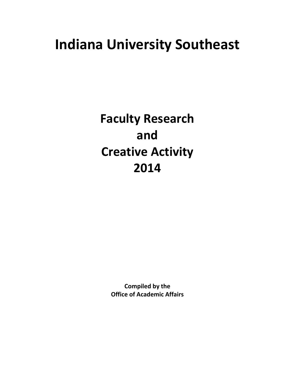# **Indiana University Southeast**

**Faculty Research and Creative Activity 2014**

> **Compiled by the Office of Academic Affairs**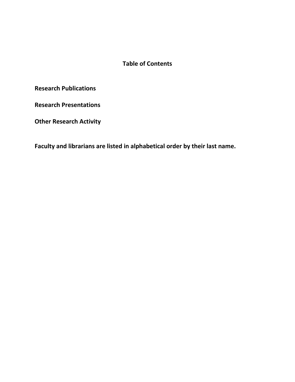## **Table of Contents**

**Research Publications** 

**Research Presentations** 

**Other Research Activity** 

**Faculty and librarians are listed in alphabetical order by their last name.**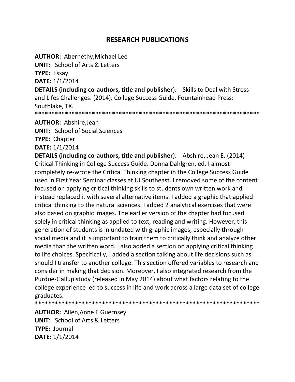# **RESEARCH PUBLICATIONS**

**AUTHOR: Abernethy, Michael Lee** 

**UNIT:** School of Arts & Letters

**TYPE: Essay** 

DATE: 1/1/2014

**DETAILS (including co-authors, title and publisher):** Skills to Deal with Stress and Lifes Challenges. (2014). College Success Guide. Fountainhead Press: Southlake, TX.

**AUTHOR: Abshire.Jean** 

**UNIT:** School of Social Sciences

**TYPE: Chapter** 

DATE: 1/1/2014

**DETAILS (including co-authors, title and publisher):** Abshire, Jean E. (2014) Critical Thinking in College Success Guide. Donna Dahlgren, ed. I almost completely re-wrote the Critical Thinking chapter in the College Success Guide used in First Year Seminar classes at IU Southeast. I removed some of the content focused on applying critical thinking skills to students own written work and instead replaced it with several alternative items: I added a graphic that applied critical thinking to the natural sciences. I added 2 analytical exercises that were also based on graphic images. The earlier version of the chapter had focused solely in critical thinking as applied to text, reading and writing. However, this generation of students is in undated with graphic images, especially through social media and it is important to train them to critically think and analyze other media than the written word. I also added a section on applying critical thinking to life choices. Specifically, I added a section talking about life decisions such as should I transfer to another college. This section offered variables to research and consider in making that decision. Moreover, I also integrated research from the Purdue-Gallup study (released in May 2014) about what factors relating to the college experience led to success in life and work across a large data set of college graduates.

**AUTHOR: Allen, Anne E Guernsey UNIT:** School of Arts & Letters **TYPE: Journal** DATE: 1/1/2014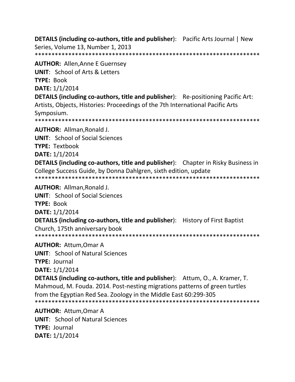**DETAILS (including co-authors, title and publisher):** Pacific Arts Journal | New Series, Volume 13, Number 1, 2013 **AUTHOR: Allen, Anne E Guernsey UNIT: School of Arts & Letters TYPE: Book** DATE: 1/1/2014 **DETAILS (including co-authors, title and publisher):** Re-positioning Pacific Art:

Artists, Objects, Histories: Proceedings of the 7th International Pacific Arts Symposium.

**AUTHOR: Allman, Ronald J.** 

**UNIT:** School of Social Sciences

**TYPE: Textbook** 

DATE: 1/1/2014

**DETAILS (including co-authors, title and publisher):** Chapter in Risky Business in College Success Guide, by Donna Dahlgren, sixth edition, update 

**AUTHOR: Allman.Ronald J.** 

**UNIT:** School of Social Sciences

TYPE: Book

DATE: 1/1/2014

**DETAILS (including co-authors, title and publisher):** History of First Baptist Church. 175th anniversary book

**AUTHOR: Attum, Omar A** 

**UNIT:** School of Natural Sciences

**TYPE: Journal** 

DATE: 1/1/2014

**DETAILS (including co-authors, title and publisher):** Attum, O., A. Kramer, T. Mahmoud, M. Fouda. 2014. Post-nesting migrations patterns of green turtles from the Egyptian Red Sea. Zoology in the Middle East 60:299-305 

**AUTHOR: Attum.Omar A UNIT:** School of Natural Sciences **TYPE: Journal** DATE: 1/1/2014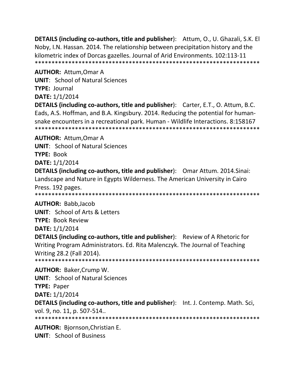**DETAILS (including co-authors, title and publisher):** Attum, O., U. Ghazali, S.K. El Noby, I.N. Hassan. 2014. The relationship between precipitation history and the kilometric index of Dorcas gazelles. Journal of Arid Environments. 102:113-11 

**AUTHOR: Attum, Omar A** 

**UNIT:** School of Natural Sciences **TYPE: Journal** 

DATE: 1/1/2014

**DETAILS (including co-authors, title and publisher):** Carter, E.T., O. Attum, B.C. Eads, A.S. Hoffman, and B.A. Kingsbury. 2014. Reducing the potential for humansnake encounters in a recreational park. Human - Wildlife Interactions. 8:158167 

**AUTHOR: Attum, Omar A** 

**UNIT: School of Natural Sciences** 

**TYPE: Book** 

**DATE: 1/1/2014** 

**DETAILS (including co-authors, title and publisher):** Omar Attum. 2014. Sinai: Landscape and Nature in Egypts Wilderness. The American University in Cairo Press. 192 pages.

**AUTHOR: Babb, Jacob** 

**UNIT:** School of Arts & Letters **TYPE: Book Review** 

**DATE: 1/1/2014** 

**DETAILS (including co-authors, title and publisher):** Review of A Rhetoric for Writing Program Administrators. Ed. Rita Malenczyk. The Journal of Teaching Writing 28.2 (Fall 2014).

**AUTHOR: Baker, Crump W. UNIT: School of Natural Sciences TYPE: Paper DATE: 1/1/2014 DETAILS (including co-authors, title and publisher):** Int. J. Contemp. Math. Sci,

vol. 9, no. 11, p. 507-514..

**AUTHOR: Biornson, Christian E. UNIT:** School of Business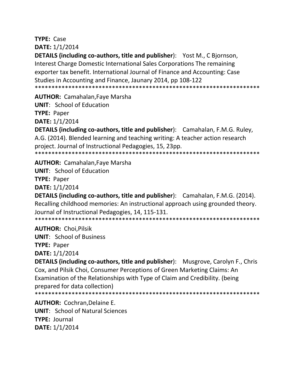**TYPE: Case** DATE: 1/1/2014

**DETAILS (including co-authors, title and publisher):** Yost M., C Bjornson, Interest Charge Domestic International Sales Corporations The remaining exporter tax benefit. International Journal of Finance and Accounting: Case Studies in Accounting and Finance, Jaunary 2014, pp 108-122 

**AUTHOR: Camahalan, Faye Marsha** 

**UNIT: School of Education** 

**TYPE: Paper** 

**DATE:** 1/1/2014

DETAILS (including co-authors, title and publisher): Camahalan, F.M.G. Ruley, A.G. (2014). Blended learning and teaching writing: A teacher action research proiect. Journal of Instructional Pedagogies, 15, 23pp. 

**AUTHOR:** Camahalan, Faye Marsha

**UNIT:** School of Education

**TYPE: Paper** 

**DATE: 1/1/2014** 

**DETAILS (including co-authors, title and publisher):** Camahalan, F.M.G. (2014). Recalling childhood memories: An instructional approach using grounded theory. Journal of Instructional Pedagogies, 14, 115-131.

**AUTHOR: Choi.Pilsik** 

**UNIT: School of Business TYPE: Paper DATE: 1/1/2014** 

**DETAILS (including co-authors, title and publisher):** Musgrove, Carolyn F., Chris Cox, and Pilsik Choi, Consumer Perceptions of Green Marketing Claims: An Examination of the Relationships with Type of Claim and Credibility. (being prepared for data collection)

**AUTHOR: Cochran, Delaine E. UNIT:** School of Natural Sciences **TYPE: Journal** DATE: 1/1/2014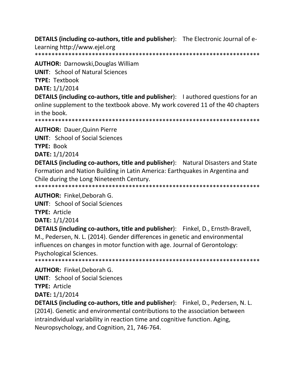**DETAILS (including co-authors, title and publisher):** The Electronic Journal of e-

Learning http://www.ejel.org 

**AUTHOR: Darnowski, Douglas William UNIT: School of Natural Sciences** 

**TYPE: Textbook** 

DATE: 1/1/2014

DETAILS (including co-authors, title and publisher): I authored questions for an online supplement to the textbook above. My work covered 11 of the 40 chapters in the book.

**AUTHOR: Dauer, Quinn Pierre** 

**UNIT: School of Social Sciences** 

**TYPE: Book** 

DATE: 1/1/2014

**DETAILS (including co-authors, title and publisher):** Natural Disasters and State Formation and Nation Building in Latin America: Earthquakes in Argentina and Chile during the Long Nineteenth Century. 

**AUTHOR: Finkel, Deborah G.** 

**UNIT:** School of Social Sciences

**TYPE: Article** 

**DATE: 1/1/2014** 

**DETAILS (including co-authors, title and publisher):** Finkel, D., Ernsth-Bravell, M., Pedersen, N. L. (2014). Gender differences in genetic and environmental influences on changes in motor function with age. Journal of Gerontology: **Psychological Sciences.** 

**AUTHOR: Finkel.Deborah G.** 

**UNIT:** School of Social Sciences

**TYPE: Article** 

DATE: 1/1/2014

**DETAILS (including co-authors, title and publisher):** Finkel, D., Pedersen, N. L. (2014). Genetic and environmental contributions to the association between intraindividual variability in reaction time and cognitive function. Aging, Neuropsychology, and Cognition, 21, 746-764.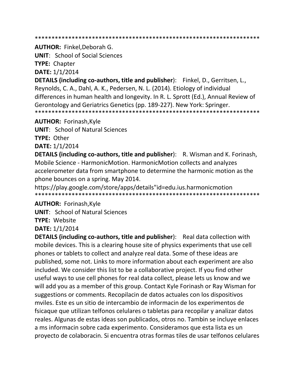**AUTHOR: Finkel.Deborah G.** 

**UNIT:** School of Social Sciences **TYPE: Chapter** 

DATE: 1/1/2014

DETAILS (including co-authors, title and publisher): Finkel, D., Gerritsen, L., Reynolds, C. A., Dahl, A. K., Pedersen, N. L. (2014). Etiology of individual differences in human health and longevity. In R. L. Sprott (Ed.), Annual Review of Gerontology and Geriatrics Genetics (pp. 189-227). New York: Springer. 

**AUTHOR: Forinash, Kyle** 

**UNIT: School of Natural Sciences** 

**TYPE: Other** 

DATE: 1/1/2014

**DETAILS (including co-authors, title and publisher):** R. Wisman and K. Forinash, Mobile Science - HarmonicMotion. HarmonicMotion collects and analyzes accelerometer data from smartphone to determine the harmonic motion as the phone bounces on a spring. May 2014.

https://play.google.com/store/apps/details"id=edu.ius.harmonicmotion 

**AUTHOR: Forinash, Kyle** 

**UNIT: School of Natural Sciences** 

**TYPE: Website** 

DATE: 1/1/2014

**DETAILS (including co-authors, title and publisher):** Real data collection with mobile devices. This is a clearing house site of physics experiments that use cell phones or tablets to collect and analyze real data. Some of these ideas are published, some not. Links to more information about each experiment are also included. We consider this list to be a collaborative project. If you find other useful ways to use cell phones for real data collect, please lets us know and we will add you as a member of this group. Contact Kyle Forinash or Ray Wisman for suggestions or comments. Recopilacin de datos actuales con los dispositivos mviles. Este es un sitio de intercambio de informacin de los experimentos de fsicaque que utilizan telfonos celulares o tabletas para recopilar y analizar datos reales. Algunas de estas ideas son publicados, otros no. Tambin se incluye enlaces a ms informacin sobre cada experimento. Consideramos que esta lista es un proyecto de colaboracin. Si encuentra otras formas tiles de usar telfonos celulares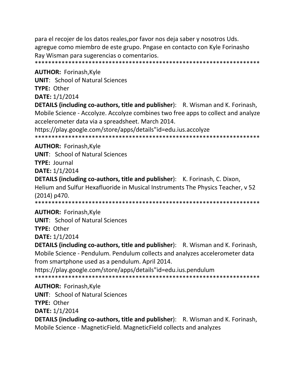para el recojer de los datos reales, por favor nos deja saber y nosotros Uds. agregue como miembro de este grupo. Pngase en contacto con Kyle Forinasho Ray Wisman para sugerencias o comentarios. 

**AUTHOR: Forinash, Kyle** 

**UNIT: School of Natural Sciences** 

TYPE: Other

DATE: 1/1/2014

**DETAILS (including co-authors, title and publisher):** R. Wisman and K. Forinash, Mobile Science - Accolyze. Accolyze combines two free apps to collect and analyze accelerometer data via a spreadsheet. March 2014.

https://play.google.com/store/apps/details"id=edu.ius.accolyze

**AUTHOR: Forinash, Kyle** 

**UNIT:** School of Natural Sciences

**TYPE: Journal** 

DATE: 1/1/2014

**DETAILS (including co-authors, title and publisher):** K. Forinash, C. Dixon, Helium and Sulfur Hexafluoride in Musical Instruments The Physics Teacher, v 52  $(2014)$  p470.

**AUTHOR: Forinash, Kyle** 

**UNIT: School of Natural Sciences** 

**TYPE: Other** 

**DATE: 1/1/2014** 

**DETAILS (including co-authors, title and publisher):** R. Wisman and K. Forinash, Mobile Science - Pendulum. Pendulum collects and analyzes accelerometer data from smartphone used as a pendulum. April 2014.

https://play.google.com/store/apps/details"id=edu.ius.pendulum 

**AUTHOR: Forinash, Kyle** 

**UNIT:** School of Natural Sciences

**TYPE: Other** 

**DATE: 1/1/2014** 

**DETAILS (including co-authors, title and publisher):** R. Wisman and K. Forinash, Mobile Science - MagneticField. MagneticField collects and analyzes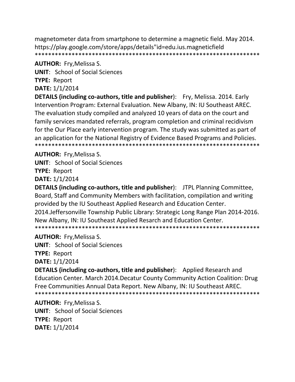magnetometer data from smartphone to determine a magnetic field. May 2014. https://play.google.com/store/apps/details"id=edu.ius.magneticfield 

#### **AUTHOR: Fry, Melissa S.**

**UNIT:** School of Social Sciences

**TYPE: Report** 

DATE: 1/1/2014

**DETAILS (including co-authors, title and publisher):** Fry, Melissa. 2014. Early Intervention Program: External Evaluation. New Albany, IN: IU Southeast AREC. The evaluation study compiled and analyzed 10 years of data on the court and family services mandated referrals, program completion and criminal recidivism for the Our Place early intervention program. The study was submitted as part of an application for the National Registry of Evidence Based Programs and Policies. 

# **AUTHOR: Fry, Melissa S.**

**UNIT:** School of Social Sciences **TYPE: Report** 

DATE: 1/1/2014

**DETAILS (including co-authors, title and publisher):** JTPL Planning Committee, Board, Staff and Community Members with facilitation, compilation and writing provided by the IU Southeast Applied Research and Education Center. 2014. Jeffersonville Township Public Library: Strategic Long Range Plan 2014-2016. New Albany, IN: IU Southeast Applied Resarch and Education Center. 

**AUTHOR: Fry, Melissa S.** 

**UNIT:** School of Social Sciences **TYPE: Report DATE:** 1/1/2014

**DETAILS (including co-authors, title and publisher):** Applied Research and Education Center. March 2014. Decatur County Community Action Coalition: Drug Free Communities Annual Data Report. New Albany, IN: IU Southeast AREC. 

**AUTHOR: Fry, Melissa S.** 

**UNIT:** School of Social Sciences **TYPE: Report** DATE: 1/1/2014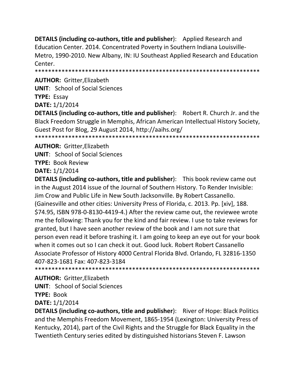**DETAILS (including co-authors, title and publisher**): Applied Research and Education Center. 2014. Concentrated Poverty in Southern Indiana Louisville-Metro, 1990-2010. New Albany, IN: IU Southeast Applied Research and Education Center.

\*\*\*\*\*\*\*\*\*\*\*\*\*\*\*\*\*\*\*\*\*\*\*\*\*\*\*\*\*\*\*\*\*\*\*\*\*\*\*\*\*\*\*\*\*\*\*\*\*\*\*\*\*\*\*\*\*\*\*\*\*\*\*\*\*\*\*

**AUTHOR:** Gritter,Elizabeth

**UNIT**: School of Social Sciences

**TYPE:** Essay

**DATE:** 1/1/2014

**DETAILS (including co-authors, title and publisher**): Robert R. Church Jr. and the Black Freedom Struggle in Memphis, African American Intellectual History Society, Guest Post for Blog, 29 August 2014, http://aaihs.org/

\*\*\*\*\*\*\*\*\*\*\*\*\*\*\*\*\*\*\*\*\*\*\*\*\*\*\*\*\*\*\*\*\*\*\*\*\*\*\*\*\*\*\*\*\*\*\*\*\*\*\*\*\*\*\*\*\*\*\*\*\*\*\*\*\*\*\*

**AUTHOR:** Gritter,Elizabeth **UNIT**: School of Social Sciences **TYPE:** Book Review **DATE:** 1/1/2014

**DETAILS (including co-authors, title and publisher**): This book review came out in the August 2014 issue of the Journal of Southern History. To Render Invisible: Jim Crow and Public Life in New South Jacksonville. By Robert Cassanello. (Gainesville and other cities: University Press of Florida, c. 2013. Pp. [xiv], 188. \$74.95, ISBN 978-0-8130-4419-4.) After the review came out, the reviewee wrote me the following: Thank you for the kind and fair review. I use to take reviews for granted, but I have seen another review of the book and I am not sure that person even read it before trashing it. I am going to keep an eye out for your book when it comes out so I can check it out. Good luck. Robert Robert Cassanello Associate Professor of History 4000 Central Florida Blvd. Orlando, FL 32816-1350 407-823-1681 Fax: 407-823-3184 \*\*\*\*\*\*\*\*\*\*\*\*\*\*\*\*\*\*\*\*\*\*\*\*\*\*\*\*\*\*\*\*\*\*\*\*\*\*\*\*\*\*\*\*\*\*\*\*\*\*\*\*\*\*\*\*\*\*\*\*\*\*\*\*\*\*\*

**AUTHOR:** Gritter,Elizabeth **UNIT**: School of Social Sciences **TYPE:** Book **DATE:** 1/1/2014

**DETAILS (including co-authors, title and publisher**): River of Hope: Black Politics and the Memphis Freedom Movement, 1865-1954 (Lexington: University Press of Kentucky, 2014), part of the Civil Rights and the Struggle for Black Equality in the Twentieth Century series edited by distinguished historians Steven F. Lawson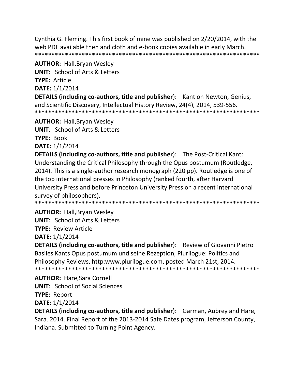Cynthia G. Fleming. This first book of mine was published on 2/20/2014, with the web PDF available then and cloth and e-book copies available in early March. 

**AUTHOR: Hall, Bryan Wesley** 

**UNIT: School of Arts & Letters TYPE: Article** DATE: 1/1/2014

**DETAILS (including co-authors, title and publisher):** Kant on Newton, Genius, and Scientific Discovery, Intellectual History Review, 24(4), 2014, 539-556. 

**AUTHOR:** Hall, Bryan Wesley

**UNIT:** School of Arts & Letters

**TYPE: Book** 

**DATE: 1/1/2014** 

**DETAILS (including co-authors, title and publisher):** The Post-Critical Kant: Understanding the Critical Philosophy through the Opus postumum (Routledge, 2014). This is a single-author research monograph (220 pp). Routledge is one of the top international presses in Philosophy (ranked fourth, after Harvard University Press and before Princeton University Press on a recent international survey of philosophers).

\*\*\*\*\*\*\*\*\*\*\*\*\*\*\*\*\*\*\*\*\*\*\* 

**AUTHOR: Hall, Bryan Wesley** 

**UNIT:** School of Arts & Letters

**TYPE: Review Article** 

**DATE: 1/1/2014** 

**DETAILS (including co-authors, title and publisher):** Review of Giovanni Pietro Basiles Kants Opus postumum und seine Rezeption, Plurilogue: Politics and Philosophy Reviews, http:www.plurilogue.com, posted March 21st, 2014. 

**AUTHOR: Hare, Sara Cornell UNIT:** School of Social Sciences **TYPE: Report** DATE: 1/1/2014

**DETAILS (including co-authors, title and publisher):** Garman, Aubrey and Hare, Sara. 2014. Final Report of the 2013-2014 Safe Dates program, Jefferson County, Indiana. Submitted to Turning Point Agency.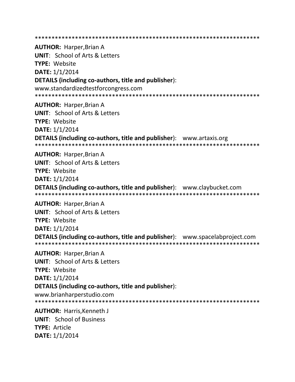**AUTHOR: Harper, Brian A UNIT: School of Arts & Letters TYPE: Website** DATE: 1/1/2014 DETAILS (including co-authors, title and publisher): www.standardizedtestforcongress.com **AUTHOR: Harper, Brian A UNIT:** School of Arts & Letters **TYPE: Website** DATE: 1/1/2014 **DETAILS (including co-authors, title and publisher):** www.artaxis.org **AUTHOR: Harper, Brian A UNIT:** School of Arts & Letters TYPE: Website DATE: 1/1/2014 **DETAILS (including co-authors, title and publisher):** www.claybucket.com **AUTHOR: Harper, Brian A UNIT:** School of Arts & Letters **TYPE: Website** DATE: 1/1/2014 **DETAILS (including co-authors, title and publisher):** www.spacelabproject.com **AUTHOR: Harper, Brian A UNIT: School of Arts & Letters TYPE: Website DATE: 1/1/2014** DETAILS (including co-authors, title and publisher): www.brianharperstudio.com **AUTHOR: Harris.Kenneth J UNIT: School of Business** TYPE: Article DATE: 1/1/2014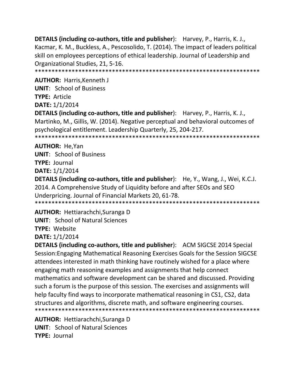**DETAILS (including co-authors, title and publisher):** Harvey, P., Harris, K. J., Kacmar, K. M., Buckless, A., Pescosolido, T. (2014). The impact of leaders political skill on employees perceptions of ethical leadership. Journal of Leadership and Organizational Studies, 21, 5-16. 

**AUTHOR: Harris, Kenneth J** 

**UNIT: School of Business** 

TYPE: Article

DATE: 1/1/2014

**DETAILS (including co-authors, title and publisher):** Harvey, P., Harris, K. J., Martinko, M., Gillis, W. (2014). Negative perceptual and behavioral outcomes of psychological entitlement. Leadership Quarterly, 25, 204-217. 

**AUTHOR: He.Yan** 

**UNIT:** School of Business **TYPE: Journal** DATE: 1/1/2014

**DETAILS (including co-authors, title and publisher):** He, Y., Wang, J., Wei, K.C.J. 2014. A Comprehensive Study of Liquidity before and after SEOs and SEO Underpricing. Journal of Financial Markets 20, 61-78. 

**AUTHOR: Hettiarachchi, Suranga D** 

**UNIT: School of Natural Sciences** 

**TYPE: Website** 

**DATE: 1/1/2014** 

**DETAILS (including co-authors, title and publisher):** ACM SIGCSE 2014 Special Session: Engaging Mathematical Reasoning Exercises Goals for the Session SIGCSE attendees interested in math thinking have routinely wished for a place where engaging math reasoning examples and assignments that help connect mathematics and software development can be shared and discussed. Providing such a forum is the purpose of this session. The exercises and assignments will help faculty find ways to incorporate mathematical reasoning in CS1, CS2, data structures and algorithms, discrete math, and software engineering courses. 

**AUTHOR: Hettiarachchi, Suranga D UNIT:** School of Natural Sciences **TYPE: Journal**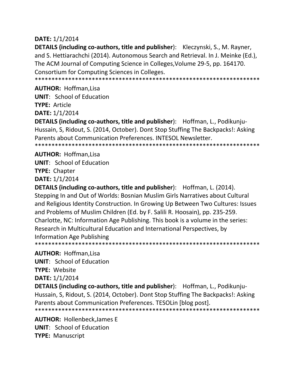#### DATE: 1/1/2014

**DETAILS (including co-authors, title and publisher):** Kleczynski, S., M. Rayner, and S. Hettiarachchi (2014). Autonomous Search and Retrieval. In J. Meinke (Ed.), The ACM Journal of Computing Science in Colleges, Volume 29-5, pp. 164170. Consortium for Computing Sciences in Colleges.

#### **AUTHOR: Hoffman.Lisa**

**UNIT:** School of Education **TYPE: Article** 

DATE: 1/1/2014

**DETAILS (including co-authors, title and publisher):** Hoffman, L., Podikunju-Hussain, S, Ridout, S. (2014, October). Dont Stop Stuffing The Backpacks!: Asking Parents about Communication Preferences. INTESOL Newsletter.

**AUTHOR: Hoffman, Lisa** 

**UNIT:** School of Education **TYPE: Chapter** DATE: 1/1/2014

**DETAILS (including co-authors, title and publisher):** Hoffman, L. (2014). Stepping In and Out of Worlds: Bosnian Muslim Girls Narratives about Cultural and Religious Identity Construction. In Growing Up Between Two Cultures: Issues and Problems of Muslim Children (Ed. by F. Salili R. Hoosain), pp. 235-259. Charlotte, NC: Information Age Publishing. This book is a volume in the series: Research in Multicultural Education and International Perspectives, by Information Age Publishing 

### **AUTHOR: Hoffman, Lisa**

**UNIT: School of Education** 

**TYPE: Website** 

**DATE:** 1/1/2014

DETAILS (including co-authors, title and publisher): Hoffman, L., Podikunju-Hussain, S, Ridout, S. (2014, October). Dont Stop Stuffing The Backpacks!: Asking Parents about Communication Preferences. TESOLin [blog post].

**AUTHOR: Hollenbeck, James E UNIT:** School of Education **TYPE: Manuscript**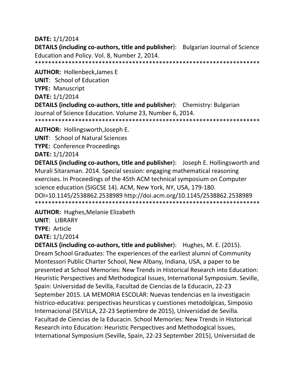#### **DATE:** 1/1/2014

**DETAILS (including co-authors, title and publisher):** Bulgarian Journal of Science Education and Policy. Vol. 8, Number 2, 2014.

\*\*\*\*\*\*\*\*\*\*\*\*\*\*\*\*\*\*\*\*\*\*\*\*\*\*\*\*\*\*\*\*\*\*\*\*\*\*\*\*\*\*\*\*\*\*\*\*\*\*\*\*\*\*\*\*\*\*\*\*\*\*\*\*\*\*\*

**AUTHOR:** Hollenbeck,James E

**UNIT**: School of Education

**TYPE:** Manuscript

**DATE:** 1/1/2014

**DETAILS (including co-authors, title and publisher**): Chemistry: Bulgarian Journal of Science Education. Volume 23, Number 6, 2014.

\*\*\*\*\*\*\*\*\*\*\*\*\*\*\*\*\*\*\*\*\*\*\*\*\*\*\*\*\*\*\*\*\*\*\*\*\*\*\*\*\*\*\*\*\*\*\*\*\*\*\*\*\*\*\*\*\*\*\*\*\*\*\*\*\*\*\*

**AUTHOR:** Hollingsworth,Joseph E.

**UNIT**: School of Natural Sciences

**TYPE:** Conference Proceedings

**DATE:** 1/1/2014

**DETAILS (including co-authors, title and publisher**): Joseph E. Hollingsworth and Murali Sitaraman. 2014. Special session: engaging mathematical reasoning exercises. In Proceedings of the 45th ACM technical symposium on Computer science education (SIGCSE 14). ACM, New York, NY, USA, 179-180. DOI=10.1145/2538862.2538989 http://doi.acm.org/10.1145/2538862.2538989 \*\*\*\*\*\*\*\*\*\*\*\*\*\*\*\*\*\*\*\*\*\*\*\*\*\*\*\*\*\*\*\*\*\*\*\*\*\*\*\*\*\*\*\*\*\*\*\*\*\*\*\*\*\*\*\*\*\*\*\*\*\*\*\*\*\*\*

**AUTHOR:** Hughes,Melanie Elizabeth

**UNIT**: LIBRARY

**TYPE:** Article

**DATE:** 1/1/2014

**DETAILS (including co-authors, title and publisher**): Hughes, M. E. (2015). Dream School Graduates: The experiences of the earliest alumni of Community Montessori Public Charter School, New Albany, Indiana, USA, a paper to be presented at School Memories: New Trends in Historical Research into Education: Heuristic Perspectives and Methodogical Issues, International Symposium. Seville, Spain: Universidad de Sevilla, Facultad de Ciencias de la Educacin, 22-23 September 2015. LA MEMORIA ESCOLAR: Nuevas tendencias en la investigacin histrico-educativa: perspectivas heursticas y cuestiones metodolgicas, Simposio Internacional (SEVILLA, 22-23 Septiembre de 2015), Universidad de Sevilla. Facultad de Ciencias de la Educacin. School Memories: New Trends in Historical Research into Education: Heuristic Perspectives and Methodogical Issues, International Symposium (Seville, Spain, 22-23 September 2015), Universidad de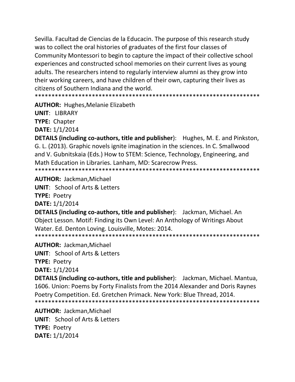Sevilla. Facultad de Ciencias de la Educacin. The purpose of this research study was to collect the oral histories of graduates of the first four classes of Community Montessori to begin to capture the impact of their collective school experiences and constructed school memories on their current lives as young adults. The researchers intend to regularly interview alumni as they grow into their working careers, and have children of their own, capturing their lives as citizens of Southern Indiana and the world.

\*\*\*\*\*\*\*\*\*\*\*\*\*\*\*\*\*\*\*\*\*\*\*\*\*\*\*\*\*\*\*

**AUTHOR: Hughes, Melanie Elizabeth** 

**UNIT: LIBRARY TYPE: Chapter DATE: 1/1/2014** 

**DETAILS (including co-authors, title and publisher):** Hughes, M. E. and Pinkston, G. L. (2013). Graphic novels ignite imagination in the sciences. In C. Smallwood and V. Gubnitskaia (Eds.) How to STEM: Science, Technology, Engineering, and Math Education in Libraries. Lanham, MD: Scarecrow Press. 

**AUTHOR: Jackman.Michael** 

**UNIT: School of Arts & Letters TYPE: Poetry** 

**DATE: 1/1/2014** 

**DETAILS (including co-authors, title and publisher):** Jackman, Michael. An Object Lesson. Motif: Finding its Own Level: An Anthology of Writings About Water. Ed. Denton Loving. Louisville, Motes: 2014. 

**AUTHOR: Jackman, Michael UNIT:** School of Arts & Letters

**TYPE: Poetry** 

**DATE:** 1/1/2014

**DETAILS (including co-authors, title and publisher):** Jackman, Michael. Mantua, 1606. Union: Poems by Forty Finalists from the 2014 Alexander and Doris Raynes Poetry Competition. Ed. Gretchen Primack. New York: Blue Thread, 2014. 

**AUTHOR: Jackman.Michael UNIT:** School of Arts & Letters **TYPE: Poetry DATE: 1/1/2014**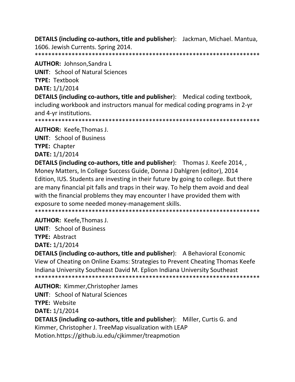**DETAILS (including co-authors, title and publisher):** Jackman, Michael. Mantua, 1606. Jewish Currents. Spring 2014.

**AUTHOR: Johnson, Sandra L** 

**UNIT: School of Natural Sciences** 

**TYPE: Textbook** 

DATE: 1/1/2014

**DETAILS (including co-authors, title and publisher):** Medical coding textbook, including workbook and instructors manual for medical coding programs in 2-yr and 4-yr institutions.

**AUTHOR: Keefe, Thomas J.** 

**UNIT: School of Business** 

**TYPE: Chapter** 

DATE: 1/1/2014

DETAILS (including co-authors, title and publisher): Thomas J. Keefe 2014,, Money Matters, In College Success Guide, Donna J Dahlgren (editor), 2014 Edition, IUS. Students are investing in their future by going to college. But there are many financial pit falls and traps in their way. To help them avoid and deal with the financial problems they may encounter I have provided them with exposure to some needed money-management skills.

**AUTHOR: Keefe, Thomas J.** 

**UNIT: School of Business** 

**TYPE: Abstract** 

DATE: 1/1/2014

**DETAILS (including co-authors, title and publisher):** A Behavioral Economic View of Cheating on Online Exams: Strategies to Prevent Cheating Thomas Keefe Indiana University Southeast David M. Eplion Indiana University Southeast \*\*\*\*\*\*\*\*\*\*\*\*\*\*

**AUTHOR: Kimmer, Christopher James UNIT:** School of Natural Sciences **TYPE: Website DATE: 1/1/2014 DETAILS (including co-authors, title and publisher):** Miller, Curtis G. and Kimmer, Christopher J. TreeMap visualization with LEAP

Motion.https://github.iu.edu/cjkimmer/treapmotion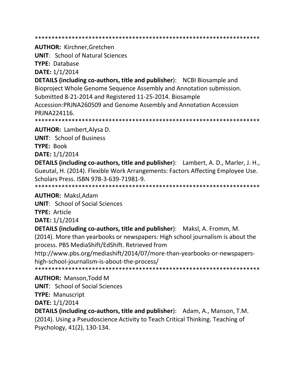\*\*\*\*\*\*\*\*\*\*\*\*\*\*\*\*\*\*\*\*\*\*\*\*\*\*\*\*\*\*\*\*\*\*\*\*\*\*\*\*\*\*\*\*\*\*\*\*\*\*\*\*\*\*\*\*\*\*\*\*\*\*\*\*\*\*\*

**AUTHOR:** Kirchner,Gretchen

**UNIT**: School of Natural Sciences

**TYPE:** Database

**DATE:** 1/1/2014

**DETAILS (including co-authors, title and publisher**): NCBI Biosample and Bioproject Whole Genome Sequence Assembly and Annotation submission. Submitted 8-21-2014 and Registered 11-25-2014. Biosample Accession:PRJNA260509 and Genome Assembly and Annotation Accession PRJNA224116.

\*\*\*\*\*\*\*\*\*\*\*\*\*\*\*\*\*\*\*\*\*\*\*\*\*\*\*\*\*\*\*\*\*\*\*\*\*\*\*\*\*\*\*\*\*\*\*\*\*\*\*\*\*\*\*\*\*\*\*\*\*\*\*\*\*\*\*

**AUTHOR:** Lambert,Alysa D.

**UNIT**: School of Business

**TYPE:** Book

**DATE:** 1/1/2014

**DETAILS (including co-authors, title and publisher**): Lambert, A. D., Marler, J. H., Gueutal, H. (2014). Flexible Work Arrangements: Factors Affecting Employee Use. Scholars Press. ISBN 978-3-639-71981-9.

\*\*\*\*\*\*\*\*\*\*\*\*\*\*\*\*\*\*\*\*\*\*\*\*\*\*\*\*\*\*\*\*\*\*\*\*\*\*\*\*\*\*\*\*\*\*\*\*\*\*\*\*\*\*\*\*\*\*\*\*\*\*\*\*\*\*\*

**AUTHOR:** Maksl,Adam

**UNIT**: School of Social Sciences

**TYPE:** Article

**DATE:** 1/1/2014

**DETAILS (including co-authors, title and publisher**): Maksl, A. Fromm, M.

(2014). More than yearbooks or newspapers: High school journalism is about the process. PBS MediaShift/EdShift. Retrieved from

http://www.pbs.org/mediashift/2014/07/more-than-yearbooks-or-newspapershigh-school-journalism-is-about-the-process/

\*\*\*\*\*\*\*\*\*\*\*\*\*\*\*\*\*\*\*\*\*\*\*\*\*\*\*\*\*\*\*\*\*\*\*\*\*\*\*\*\*\*\*\*\*\*\*\*\*\*\*\*\*\*\*\*\*\*\*\*\*\*\*\*\*\*\*

**AUTHOR:** Manson,Todd M

**UNIT**: School of Social Sciences

**TYPE:** Manuscript

**DATE:** 1/1/2014

**DETAILS (including co-authors, title and publisher**): Adam, A., Manson, T.M. (2014). Using a Pseudoscience Activity to Teach Critical Thinking. Teaching of Psychology, 41(2), 130-134.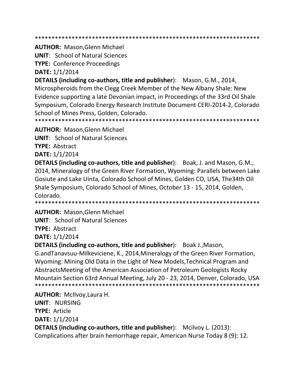\*\*\*\*\*\*\*\*\*\*\*\*\*\*\*\*\*\*\*\*\*\*\*\*\*\*\*\*\*\*\*\*\*\*\*\*\*\*\*\*\*\*\*\*\*\*\*\*\*\*\*\*\*\*\*\*\*\*\*\*\*\*\*\*\*\*\*

**AUTHOR:** Mason,Glenn Michael

**UNIT**: School of Natural Sciences

**TYPE:** Conference Proceedings

**DATE:** 1/1/2014

**DETAILS (including co-authors, title and publisher**): Mason, G.M., 2014, Microspheroids from the Clegg Creek Member of the New Albany Shale: New Evidence supporting a late Devonian impact, in Proceedings of the 33rd Oil Shale Symposium, Colorado Energy Research Institute Document CERI-2014-2, Colorado School of Mines Press, Golden, Colorado.

\*\*\*\*\*\*\*\*\*\*\*\*\*\*\*\*\*\*\*\*\*\*\*\*\*\*\*\*\*\*\*\*\*\*\*\*\*\*\*\*\*\*\*\*\*\*\*\*\*\*\*\*\*\*\*\*\*\*\*\*\*\*\*\*\*\*\*

**AUTHOR:** Mason,Glenn Michael

**UNIT**: School of Natural Sciences

**TYPE:** Abstract

**DATE:** 1/1/2014

**DETAILS (including co-authors, title and publisher**): Boak, J. and Mason, G.M., 2014, Mineralogy of the Green River Formation, Wyoming: Parallels between Lake Gosiute and Lake Uinta, Colorado School of Mines, Golden CO, USA, The34th Oil Shale Symposium, Colorado School of Mines, October 13 - 15, 2014, Golden, Colorado.

\*\*\*\*\*\*\*\*\*\*\*\*\*\*\*\*\*\*\*\*\*\*\*\*\*\*\*\*\*\*\*\*\*\*\*\*\*\*\*\*\*\*\*\*\*\*\*\*\*\*\*\*\*\*\*\*\*\*\*\*\*\*\*\*\*\*\*

### **AUTHOR:** Mason,Glenn Michael

**UNIT**: School of Natural Sciences

**TYPE:** Abstract

**DATE:** 1/1/2014

**DETAILS (including co-authors, title and publisher**): Boak J.,Mason,

G.andTanavsuu-Milkeviciene, K., 2014,Mineralogy of the Green River Formation, Wyoming: Mining Old Data in the Light of New Models,Technical Program and AbstractsMeeting of the American Association of Petroleum Geologists Rocky Mountain Section 63rd Annual Meeting, July 20 - 23, 2014, Denver, Colorado, USA \*\*\*\*\*\*\*\*\*\*\*\*\*\*\*\*\*\*\*\*\*\*\*\*\*\*\*\*\*\*\*\*\*\*\*\*\*\*\*\*\*\*\*\*\*\*\*\*\*\*\*\*\*\*\*\*\*\*\*\*\*\*\*\*\*\*\*

**AUTHOR:** McIlvoy,Laura H. **UNIT**: NURSING **TYPE:** Article **DATE:** 1/1/2014 **DETAILS (including co-authors, title and publisher):** Mcilvoy L. (2013): Complications after brain hemorrhage repair, American Nurse Today 8 (9): 12.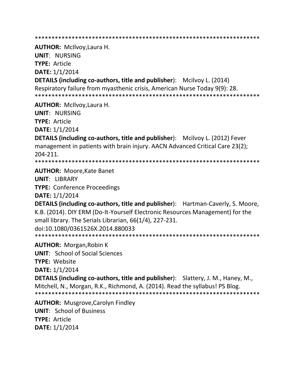\*\*\*\*\*\*\*\*\*\*\*\*\*\*\*\*\*\*\*\*\*\*\*\*\*\*\*\*\*\*\*\*\*\*\*\*\*\*\*\*\*\*\*\*\*\*\*\*\*\*\*\*\*\*\*\*\*\*\*\*\*\*\*\*\*\*\*

**AUTHOR:** McIlvoy,Laura H.

**UNIT**: NURSING **TYPE:** Article

**DATE:** 1/1/2014

**DETAILS (including co-authors, title and publisher):** Mcilvoy L. (2014) Respiratory failure from myasthenic crisis, American Nurse Today 9(9): 28. \*\*\*\*\*\*\*\*\*\*\*\*\*\*\*\*\*\*\*\*\*\*\*\*\*\*\*\*\*\*\*\*\*\*\*\*\*\*\*\*\*\*\*\*\*\*\*\*\*\*\*\*\*\*\*\*\*\*\*\*\*\*\*\*\*\*\*

**AUTHOR:** McIlvoy,Laura H.

**UNIT**: NURSING **TYPE:** Article

**DATE:** 1/1/2014

**DETAILS (including co-authors, title and publisher):** Mcilvoy L. (2012) Fever management in patients with brain injury. AACN Advanced Critical Care 23(2); 204-211.

\*\*\*\*\*\*\*\*\*\*\*\*\*\*\*\*\*\*\*\*\*\*\*\*\*\*\*\*\*\*\*\*\*\*\*\*\*\*\*\*\*\*\*\*\*\*\*\*\*\*\*\*\*\*\*\*\*\*\*\*\*\*\*\*\*\*\*

**AUTHOR:** Moore,Kate Banet

**UNIT**: LIBRARY

**TYPE:** Conference Proceedings

**DATE:** 1/1/2014

**DETAILS (including co-authors, title and publisher**): Hartman-Caverly, S. Moore, K.B. (2014). DIY ERM (Do-It-Yourself Electronic Resources Management) for the small library. The Serials Librarian, 66(1/4), 227-231. doi:10.1080/0361526X.2014.880033 \*\*\*\*\*\*\*\*\*\*\*\*\*\*\*\*\*\*\*\*\*\*\*\*\*\*\*\*\*\*\*\*\*\*\*\*\*\*\*\*\*\*\*\*\*\*\*\*\*\*\*\*\*\*\*\*\*\*\*\*\*\*\*\*\*\*\*

**AUTHOR:** Morgan,Robin K

**UNIT**: School of Social Sciences

**TYPE:** Website

**DATE:** 1/1/2014

**DETAILS (including co-authors, title and publisher**): Slattery, J. M., Haney, M., Mitchell, N., Morgan, R.K., Richmond, A. (2014). Read the syllabus! PS Blog. \*\*\*\*\*\*\*\*\*\*\*\*\*\*\*\*\*\*\*\*\*\*\*\*\*\*\*\*\*\*\*\*\*\*\*\*\*\*\*\*\*\*\*\*\*\*\*\*\*\*\*\*\*\*\*\*\*\*\*\*\*\*\*\*\*\*\*

**AUTHOR:** Musgrove,Carolyn Findley **UNIT**: School of Business **TYPE:** Article **DATE:** 1/1/2014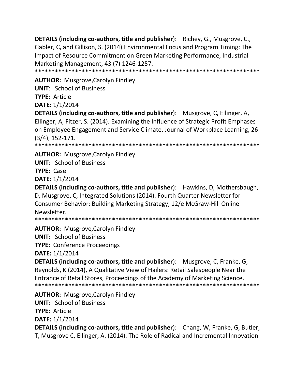**DETAILS (including co-authors, title and publisher):** Richey, G., Musgrove, C., Gabler, C, and Gillison, S. (2014). Environmental Focus and Program Timing: The Impact of Resource Commitment on Green Marketing Performance, Industrial Marketing Management, 43 (7) 1246-1257. 

**AUTHOR:** Musgrove, Carolyn Findley

**UNIT: School of Business** 

TYPE: Article

**DATE: 1/1/2014** 

**DETAILS (including co-authors, title and publisher):** Musgrove, C, Ellinger, A, Ellinger, A, Fitzer, S. (2014). Examining the Influence of Strategic Profit Emphases on Employee Engagement and Service Climate, Journal of Workplace Learning, 26  $(3/4)$ , 152-171.

\*\*\*\*\*\*\*\*\*\*\*\*\*\*\*\*\*\*

**AUTHOR: Musgrove, Carolyn Findley** 

**UNIT: School of Business** 

TYPE: Case

**DATE: 1/1/2014** 

**DETAILS (including co-authors, title and publisher):** Hawkins, D, Mothersbaugh, D, Musgrove, C, Integrated Solutions (2014). Fourth Quarter Newsletter for Consumer Behavior: Building Marketing Strategy, 12/e McGraw-Hill Online Newsletter.

**AUTHOR: Musgrove, Carolyn Findley** 

**UNIT: School of Business** 

**TYPE: Conference Proceedings** 

**DATE: 1/1/2014** 

**DETAILS (including co-authors, title and publisher):** Musgrove, C, Franke, G, Reynolds, K (2014), A Qualitative View of Hailers: Retail Salespeople Near the Entrance of Retail Stores, Proceedings of the Academy of Marketing Science. 

**AUTHOR: Musgrove, Carolyn Findley UNIT: School of Business TYPE: Article DATE: 1/1/2014 DETAILS (including co-authors, title and publisher):** Chang, W, Franke, G, Butler, T, Musgrove C, Ellinger, A. (2014). The Role of Radical and Incremental Innovation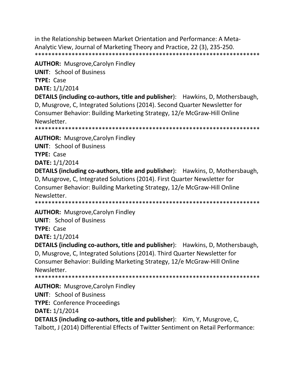in the Relationship between Market Orientation and Performance: A Meta-Analytic View, Journal of Marketing Theory and Practice, 22 (3), 235-250. \*\*\*\*\*\*\*\*\*\*\*\*\*\*\*\*\*\*\*\*\*\*\*\*\*\*\*\*\*\*\*\*\*\*\*\*\*\*\*\*\*\*\*\*\*\*\*\*\*\*\*\*\*\*\*\*\*\*\*\*\*\*\*\*\*\*\*

**AUTHOR:** Musgrove,Carolyn Findley

**UNIT**: School of Business

**TYPE:** Case

**DATE:** 1/1/2014

**DETAILS (including co-authors, title and publisher**): Hawkins, D, Mothersbaugh, D, Musgrove, C, Integrated Solutions (2014). Second Quarter Newsletter for Consumer Behavior: Building Marketing Strategy, 12/e McGraw-Hill Online Newsletter.

\*\*\*\*\*\*\*\*\*\*\*\*\*\*\*\*\*\*\*\*\*\*\*\*\*\*\*\*\*\*\*\*\*\*\*\*\*\*\*\*\*\*\*\*\*\*\*\*\*\*\*\*\*\*\*\*\*\*\*\*\*\*\*\*\*\*\*

**AUTHOR:** Musgrove,Carolyn Findley

**UNIT**: School of Business

**TYPE:** Case

**DATE:** 1/1/2014

**DETAILS (including co-authors, title and publisher**): Hawkins, D, Mothersbaugh, D, Musgrove, C, Integrated Solutions (2014). First Quarter Newsletter for Consumer Behavior: Building Marketing Strategy, 12/e McGraw-Hill Online Newsletter.

\*\*\*\*\*\*\*\*\*\*\*\*\*\*\*\*\*\*\*\*\*\*\*\*\*\*\*\*\*\*\*\*\*\*\*\*\*\*\*\*\*\*\*\*\*\*\*\*\*\*\*\*\*\*\*\*\*\*\*\*\*\*\*\*\*\*\*

**AUTHOR:** Musgrove,Carolyn Findley

**UNIT**: School of Business

**TYPE:** Case

**DATE:** 1/1/2014

**DETAILS (including co-authors, title and publisher**): Hawkins, D, Mothersbaugh, D, Musgrove, C, Integrated Solutions (2014). Third Quarter Newsletter for Consumer Behavior: Building Marketing Strategy, 12/e McGraw-Hill Online Newsletter. \*\*\*\*\*\*\*\*\*\*\*\*\*\*\*\*\*\*\*\*\*\*\*\*\*\*\*\*\*\*\*\*\*\*\*\*\*\*\*\*\*\*\*\*\*\*\*\*\*\*\*\*\*\*\*\*\*\*\*\*\*\*\*\*\*\*\*

**AUTHOR:** Musgrove,Carolyn Findley

**UNIT**: School of Business

**TYPE:** Conference Proceedings

**DATE:** 1/1/2014

**DETAILS (including co-authors, title and publisher**): Kim, Y, Musgrove, C, Talbott, J (2014) Differential Effects of Twitter Sentiment on Retail Performance: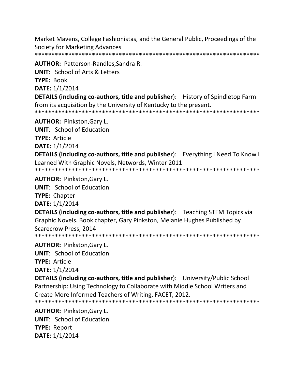Market Mavens, College Fashionistas, and the General Public, Proceedings of the Society for Marketing Advances 

**AUTHOR: Patterson-Randles, Sandra R. UNIT: School of Arts & Letters TYPE: Book** DATE: 1/1/2014 **DETAILS (including co-authors, title and publisher):** History of Spindletop Farm from its acquisition by the University of Kentucky to the present. 

**AUTHOR: Pinkston, Gary L.** 

**UNIT:** School of Education

**TYPE: Article** 

**DATE: 1/1/2014** 

**DETAILS (including co-authors, title and publisher):** Everything I Need To Know I Learned With Graphic Novels, Networds, Winter 2011 

**AUTHOR: Pinkston, Gary L.** 

**UNIT:** School of Education **TYPE: Chapter DATE: 1/1/2014** 

**DETAILS (including co-authors, title and publisher):** Teaching STEM Topics via Graphic Novels. Book chapter, Gary Pinkston, Melanie Hughes Published by **Scarecrow Press, 2014** 

**AUTHOR: Pinkston, Gary L.** 

**UNIT:** School of Education

**TYPE: Article** 

**DATE:** 1/1/2014

**DETAILS (including co-authors, title and publisher):** University/Public School Partnership: Using Technology to Collaborate with Middle School Writers and Create More Informed Teachers of Writing, FACET, 2012. 

**AUTHOR: Pinkston, Gary L. UNIT:** School of Education **TYPE: Report** DATE: 1/1/2014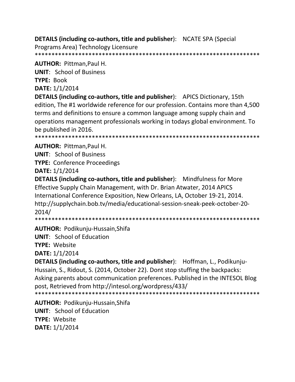**DETAILS (including co-authors, title and publisher):** NCATE SPA (Special

Programs Area) Technology Licensure 

**AUTHOR: Pittman, Paul H.** 

**UNIT: School of Business** 

**TYPE: Book** 

DATE: 1/1/2014

**DETAILS (including co-authors, title and publisher):** APICS Dictionary, 15th edition, The #1 worldwide reference for our profession. Contains more than 4,500 terms and definitions to ensure a common language among supply chain and operations management professionals working in todays global environment. To be published in 2016.

**AUTHOR: Pittman.Paul H.** 

**UNIT:** School of Business

**TYPE: Conference Proceedings** 

DATE: 1/1/2014

**DETAILS (including co-authors, title and publisher):** Mindfulness for More Effective Supply Chain Management, with Dr. Brian Atwater, 2014 APICS International Conference Exposition, New Orleans, LA, October 19-21, 2014. http://supplychain.bob.tv/media/educational-session-sneak-peek-october-20- $2014/$ 

\*\*\*\*\*\*\*\*\*\*\*\*\*\*\*\*\*\* 

**AUTHOR: Podikunju-Hussain, Shifa** 

**UNIT: School of Education** 

TYPE: Website

DATE: 1/1/2014

**DETAILS (including co-authors, title and publisher):** Hoffman, L., Podikunju-Hussain, S., Ridout, S. (2014, October 22). Dont stop stuffing the backpacks: Asking parents about communication preferences. Published in the INTESOL Blog post, Retrieved from http://intesol.org/wordpress/433/ 

**AUTHOR: Podikunju-Hussain, Shifa UNIT: School of Education TYPE: Website** DATE: 1/1/2014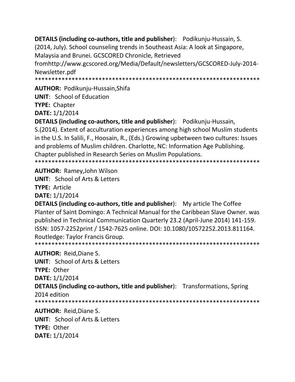**DETAILS (including co-authors, title and publisher):** Podikunju-Hussain, S. (2014, July). School counseling trends in Southeast Asia: A look at Singapore, Malaysia and Brunei. GCSCORED Chronicle, Retrieved fromhttp://www.gcscored.org/Media/Default/newsletters/GCSCORED-July-2014-Newsletter.pdf 

AUTHOR: Podikunju-Hussain, Shifa

**UNIT:** School of Education

**TYPE: Chapter** 

**DATE: 1/1/2014** 

**DETAILS (including co-authors, title and publisher):** Podikunju-Hussain, S. (2014). Extent of acculturation experiences among high school Muslim students in the U.S. In Salili, F., Hoosain, R., (Eds.) Growing upbetween two cultures: Issues and problems of Muslim children. Charlotte, NC: Information Age Publishing. Chapter published in Research Series on Muslim Populations.

**AUTHOR: Ramey, John Wilson** 

**UNIT: School of Arts & Letters** 

**TYPE: Article** 

DATE: 1/1/2014

**DETAILS (including co-authors, title and publisher):** My article The Coffee Planter of Saint Domingo: A Technical Manual for the Caribbean Slave Owner. was published in Technical Communication Quarterly 23.2 (April-June 2014) 141-159. ISSN: 1057-2252print / 1542-7625 online. DOI: 10.1080/10572252.2013.811164. Routledge: Taylor Francis Group. 

**AUTHOR: Reid, Diane S.** 

**UNIT: School of Arts & Letters** TYPE: Other **DATE: 1/1/2014 DETAILS (including co-authors, title and publisher):** Transformations, Spring 2014 edition 

**AUTHOR: Reid.Diane S. UNIT:** School of Arts & Letters TYPE: Other DATE: 1/1/2014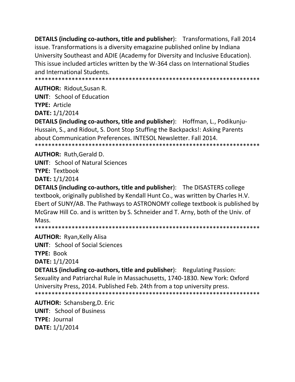**DETAILS (including co-authors, title and publisher):** Transformations, Fall 2014 issue. Transformations is a diversity emagazine published online by Indiana University Southeast and ADIE (Academy for Diversity and Inclusive Education). This issue included articles written by the W-364 class on International Studies and International Students.

**AUTHOR: Ridout.Susan R.** 

**UNIT:** School of Education

**TYPE: Article** 

DATE: 1/1/2014

**DETAILS (including co-authors, title and publisher):** Hoffman, L., Podikunju-Hussain, S., and Ridout, S. Dont Stop Stuffing the Backpacks!: Asking Parents about Communication Preferences. INTESOL Newsletter. Fall 2014. 

**AUTHOR: Ruth, Gerald D.** 

**UNIT: School of Natural Sciences** 

**TYPE: Textbook** 

**DATE: 1/1/2014** 

**DETAILS (including co-authors, title and publisher):** The DISASTERS college textbook, originally published by Kendall Hunt Co., was written by Charles H.V. Ebert of SUNY/AB. The Pathways to ASTRONOMY college textbook is published by McGraw Hill Co. and is written by S. Schneider and T. Arny, both of the Univ. of Mass.

**AUTHOR: Ryan, Kelly Alisa UNIT:** School of Social Sciences TYPE: Book

**DATE:** 1/1/2014

**DETAILS (including co-authors, title and publisher):** Regulating Passion: Sexuality and Patriarchal Rule in Massachusetts, 1740-1830. New York: Oxford University Press, 2014. Published Feb. 24th from a top university press. 

**AUTHOR: Schansberg, D. Eric UNIT: School of Business TYPE: Journal** DATE: 1/1/2014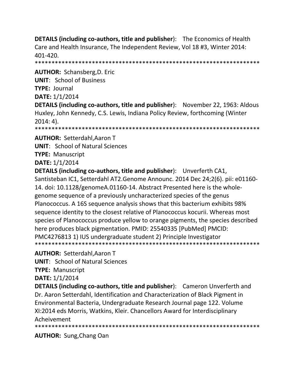**DETAILS (including co-authors, title and publisher):** The Economics of Health Care and Health Insurance, The Independent Review, Vol 18 #3, Winter 2014: 401-420.

**AUTHOR: Schansberg, D. Eric** 

**UNIT: School of Business** 

**TYPE: Journal** 

DATE: 1/1/2014

**DETAILS (including co-authors, title and publisher):** November 22, 1963: Aldous Huxley, John Kennedy, C.S. Lewis, Indiana Policy Review, forthcoming (Winter  $2014:4$ ).

**AUTHOR: Setterdahl, Aaron T** 

**UNIT: School of Natural Sciences** 

**TYPE: Manuscript** 

**DATE: 1/1/2014** 

**DETAILS (including co-authors, title and publisher):** Unverferth CA1, Santisteban IC1, Setterdahl AT2. Genome Announc. 2014 Dec 24;2(6). pii: e01160-14. doi: 10.1128/genomeA.01160-14. Abstract Presented here is the wholegenome sequence of a previously uncharacterized species of the genus Planococcus. A 16S sequence analysis shows that this bacterium exhibits 98% sequence identity to the closest relative of Planococcus kocurii. Whereas most species of Planococcus produce yellow to orange pigments, the species described here produces black pigmentation. PMID: 25540335 [PubMed] PMCID: PMC4276813 1) IUS undergraduate student 2) Principle Investigator 

**AUTHOR: Setterdahl, Aaron T** 

**UNIT: School of Natural Sciences** 

**TYPE: Manuscript** 

**DATE: 1/1/2014** 

**DETAILS (including co-authors, title and publisher):** Cameron Unverferth and Dr. Aaron Setterdahl, Identification and Characterization of Black Pigment in Environmental Bacteria, Undergraduate Research Journal page 122. Volume XI:2014 eds Morris, Watkins, Kleir. Chancellors Award for Interdisciplinary Acheivement

**AUTHOR:** Sung, Chang Oan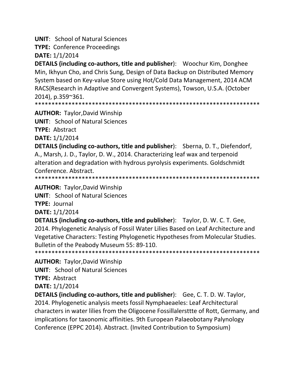**UNIT: School of Natural Sciences** 

**TYPE: Conference Proceedings** 

DATE: 1/1/2014

**DETAILS (including co-authors, title and publisher):** Woochur Kim, Donghee Min, Ikhyun Cho, and Chris Sung, Design of Data Backup on Distributed Memory System based on Key-value Store using Hot/Cold Data Management, 2014 ACM RACS(Research in Adaptive and Convergent Systems), Towson, U.S.A. (October 2014). p.359~361.

**AUTHOR: Taylor, David Winship** 

**UNIT: School of Natural Sciences TYPE: Abstract** 

**DATE: 1/1/2014** 

**DETAILS (including co-authors, title and publisher):** Sberna, D. T., Diefendorf, A., Marsh, J. D., Taylor, D. W., 2014. Characterizing leaf wax and terpenoid alteration and degradation with hydrous pyrolysis experiments. Goldschmidt Conference, Abstract.

**AUTHOR: Taylor, David Winship** 

**UNIT: School of Natural Sciences** 

**TYPE: Journal** 

DATE: 1/1/2014

**DETAILS (including co-authors, title and publisher):** Taylor, D. W. C. T. Gee, 2014. Phylogenetic Analysis of Fossil Water Lilies Based on Leaf Architecture and Vegetative Characters: Testing Phylogenetic Hypotheses from Molecular Studies. Bulletin of the Peabody Museum 55: 89-110. 

**AUTHOR: Taylor, David Winship** 

**UNIT: School of Natural Sciences** 

**TYPE: Abstract** 

DATE: 1/1/2014

**DETAILS (including co-authors, title and publisher):** Gee, C. T. D. W. Taylor, 2014. Phylogenetic analysis meets fossil Nymphaeaeles: Leaf Architectural characters in water lilies from the Oligocene Fossillalersttte of Rott, Germany, and implications for taxonomic affinities. 9th European Palaeobotany Palynology Conference (EPPC 2014). Abstract. (Invited Contribution to Symposium)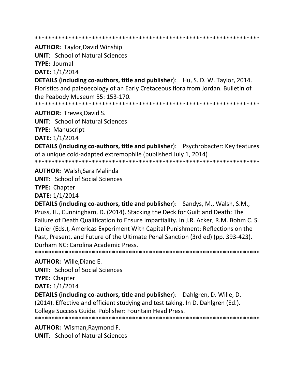**AUTHOR: Taylor, David Winship** 

**UNIT: School of Natural Sciences** 

**TYPE: Journal** 

DATE: 1/1/2014

**DETAILS (including co-authors, title and publisher):** Hu, S. D. W. Taylor, 2014. Floristics and paleoecology of an Early Cretaceous flora from Jordan. Bulletin of the Peabody Museum 55: 153-170.

**AUTHOR: Treves, David S.** 

**UNIT: School of Natural Sciences** 

**TYPE: Manuscript** 

DATE: 1/1/2014

**DETAILS (including co-authors, title and publisher):** Psychrobacter: Key features of a unique cold-adapted extremophile (published July 1, 2014)

**AUTHOR: Walsh, Sara Malinda** 

**UNIT:** School of Social Sciences

**TYPE: Chapter** 

DATE: 1/1/2014

DETAILS (including co-authors, title and publisher): Sandys, M., Walsh, S.M., Pruss, H., Cunningham, D. (2014). Stacking the Deck for Guilt and Death: The Failure of Death Qualification to Ensure Impartiality. In J.R. Acker, R.M. Bohm C. S. Lanier (Eds.), Americas Experiment With Capital Punishment: Reflections on the Past, Present, and Future of the Ultimate Penal Sanction (3rd ed) (pp. 393-423). Durham NC: Carolina Academic Press. 

**AUTHOR: Wille, Diane E.** 

**UNIT:** School of Social Sciences

**TYPE: Chapter** 

DATE: 1/1/2014

**DETAILS (including co-authors, title and publisher):** Dahlgren, D. Wille, D.

(2014). Effective and efficient studying and test taking. In D. Dahlgren (Ed.).

College Success Guide. Publisher: Fountain Head Press.

**AUTHOR: Wisman, Raymond F.** 

**UNIT:** School of Natural Sciences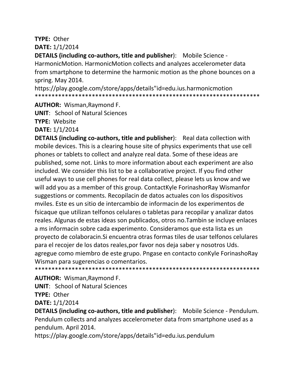# **TYPE:** Other **DATE:** 1/1/2014

**DETAILS (including co-authors, title and publisher**): Mobile Science - HarmonicMotion. HarmonicMotion collects and analyzes accelerometer data from smartphone to determine the harmonic motion as the phone bounces on a spring. May 2014.

https://play.google.com/store/apps/details"id=edu.ius.harmonicmotion \*\*\*\*\*\*\*\*\*\*\*\*\*\*\*\*\*\*\*\*\*\*\*\*\*\*\*\*\*\*\*\*\*\*\*\*\*\*\*\*\*\*\*\*\*\*\*\*\*\*\*\*\*\*\*\*\*\*\*\*\*\*\*\*\*\*\*

**AUTHOR:** Wisman,Raymond F.

**UNIT**: School of Natural Sciences

**TYPE:** Website

**DATE:** 1/1/2014

**DETAILS (including co-authors, title and publisher**): Real data collection with mobile devices. This is a clearing house site of physics experiments that use cell phones or tablets to collect and analyze real data. Some of these ideas are published, some not. Links to more information about each experiment are also included. We consider this list to be a collaborative project. If you find other useful ways to use cell phones for real data collect, please lets us know and we will add you as a member of this group. ContactKyle ForinashorRay Wismanfor suggestions or comments. Recopilacin de datos actuales con los dispositivos mviles. Este es un sitio de intercambio de informacin de los experimentos de fsicaque que utilizan telfonos celulares o tabletas para recopilar y analizar datos reales. Algunas de estas ideas son publicados, otros no.Tambin se incluye enlaces a ms informacin sobre cada experimento. Consideramos que esta lista es un proyecto de colaboracin.Si encuentra otras formas tiles de usar telfonos celulares para el recojer de los datos reales,por favor nos deja saber y nosotros Uds. agregue como miembro de este grupo. Pngase en contacto conKyle ForinashoRay Wisman para sugerencias o comentarios.

\*\*\*\*\*\*\*\*\*\*\*\*\*\*\*\*\*\*\*\*\*\*\*\*\*\*\*\*\*\*\*\*\*\*\*\*\*\*\*\*\*\*\*\*\*\*\*\*\*\*\*\*\*\*\*\*\*\*\*\*\*\*\*\*\*\*\*

**AUTHOR:** Wisman,Raymond F.

**UNIT**: School of Natural Sciences

**TYPE:** Other

**DATE:** 1/1/2014

**DETAILS (including co-authors, title and publisher**): Mobile Science - Pendulum. Pendulum collects and analyzes accelerometer data from smartphone used as a pendulum. April 2014.

https://play.google.com/store/apps/details"id=edu.ius.pendulum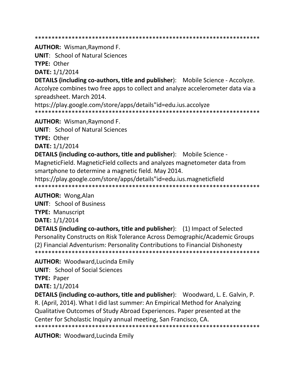**AUTHOR: Wisman, Raymond F.** 

**UNIT: School of Natural Sciences** 

TYPE: Other

DATE: 1/1/2014

**DETAILS (including co-authors, title and publisher):** Mobile Science - Accolyze. Accolyze combines two free apps to collect and analyze accelerometer data via a spreadsheet. March 2014.

https://play.google.com/store/apps/details"id=edu.ius.accolyze 

**AUTHOR:** Wisman, Raymond F.

**UNIT: School of Natural Sciences** 

**TYPE: Other** 

**DATE: 1/1/2014** 

**DETAILS (including co-authors, title and publisher):** Mobile Science -

Magnetic Field. Magnetic Field collects and analyzes magnetometer data from smartphone to determine a magnetic field. May 2014.

https://play.google.com/store/apps/details"id=edu.ius.magneticfield 

### **AUTHOR: Wong, Alan**

**UNIT:** School of Business

**TYPE: Manuscript** 

DATE: 1/1/2014

**DETAILS (including co-authors, title and publisher):** (1) Impact of Selected Personality Constructs on Risk Tolerance Across Demographic/Academic Groups (2) Financial Adventurism: Personality Contributions to Financial Dishonesty 

**AUTHOR: Woodward, Lucinda Emily** 

**UNIT:** School of Social Sciences

**TYPE: Paper** 

DATE: 1/1/2014

**DETAILS (including co-authors, title and publisher):** Woodward, L. E. Galvin, P. R. (April, 2014). What I did last summer: An Empirical Method for Analyzing Qualitative Outcomes of Study Abroad Experiences. Paper presented at the Center for Scholastic Inquiry annual meeting, San Francisco, CA. 

**AUTHOR: Woodward, Lucinda Emily**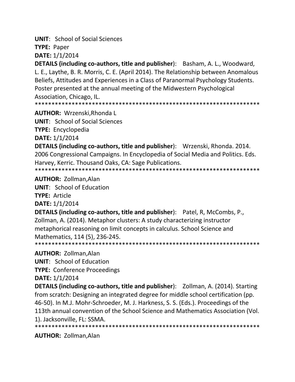**UNIT**: School of Social Sciences

**TYPE:** Paper

**DATE:** 1/1/2014

**DETAILS (including co-authors, title and publisher**): Basham, A. L., Woodward, L. E., Laythe, B. R. Morris, C. E. (April 2014). The Relationship between Anomalous Beliefs, Attitudes and Experiences in a Class of Paranormal Psychology Students. Poster presented at the annual meeting of the Midwestern Psychological Association, Chicago, IL.

\*\*\*\*\*\*\*\*\*\*\*\*\*\*\*\*\*\*\*\*\*\*\*\*\*\*\*\*\*\*\*\*\*\*\*\*\*\*\*\*\*\*\*\*\*\*\*\*\*\*\*\*\*\*\*\*\*\*\*\*\*\*\*\*\*\*\*

**AUTHOR:** Wrzenski,Rhonda L **UNIT**: School of Social Sciences

**TYPE:** Encyclopedia

**DATE:** 1/1/2014

**DETAILS (including co-authors, title and publisher**): Wrzenski, Rhonda. 2014. 2006 Congressional Campaigns. In Encyclopedia of Social Media and Politics. Eds. Harvey, Kerric. Thousand Oaks, CA: Sage Publications. \*\*\*\*\*\*\*\*\*\*\*\*\*\*\*\*\*\*\*\*\*\*\*\*\*\*\*\*\*\*\*\*\*\*\*\*\*\*\*\*\*\*\*\*\*\*\*\*\*\*\*\*\*\*\*\*\*\*\*\*\*\*\*\*\*\*\*

**AUTHOR:** Zollman,Alan

**UNIT**: School of Education **TYPE:** Article

**DATE:** 1/1/2014

**DETAILS (including co-authors, title and publisher**): Patel, R, McCombs, P., Zollman, A. (2014). Metaphor clusters: A study characterizing instructor metaphorical reasoning on limit concepts in calculus. School Science and Mathematics, 114 (5), 236-245. \*\*\*\*\*\*\*\*\*\*\*\*\*\*\*\*\*\*\*\*\*\*\*\*\*\*\*\*\*\*\*\*\*\*\*\*\*\*\*\*\*\*\*\*\*\*\*\*\*\*\*\*\*\*\*\*\*\*\*\*\*\*\*\*\*\*\*

**AUTHOR:** Zollman,Alan

**UNIT**: School of Education

**TYPE:** Conference Proceedings

**DATE:** 1/1/2014

**DETAILS (including co-authors, title and publisher**): Zollman, A. (2014). Starting from scratch: Designing an integrated degree for middle school certification (pp. 46-50). In M.J. Mohr-Schroeder, M. J. Harkness, S. S. (Eds.). Proceedings of the 113th annual convention of the School Science and Mathematics Association (Vol. 1). Jacksonville, FL: SSMA.

\*\*\*\*\*\*\*\*\*\*\*\*\*\*\*\*\*\*\*\*\*\*\*\*\*\*\*\*\*\*\*\*\*\*\*\*\*\*\*\*\*\*\*\*\*\*\*\*\*\*\*\*\*\*\*\*\*\*\*\*\*\*\*\*\*\*\*

**AUTHOR:** Zollman,Alan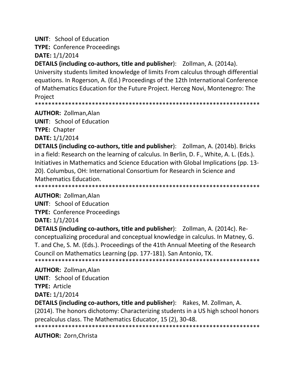**UNIT: School of Education** 

**TYPE: Conference Proceedings** 

DATE: 1/1/2014

**DETAILS (including co-authors, title and publisher):** Zollman, A. (2014a). University students limited knowledge of limits From calculus through differential equations. In Rogerson, A. (Ed.) Proceedings of the 12th International Conference of Mathematics Education for the Future Project. Herceg Novi, Montenegro: The Project

**AUTHOR: Zollman, Alan** 

**UNIT: School of Education TYPE: Chapter** 

**DATE: 1/1/2014** 

**DETAILS (including co-authors, title and publisher):** Zollman, A. (2014b). Bricks in a field: Research on the learning of calculus. In Berlin, D. F., White, A. L. (Eds.). Initiatives in Mathematics and Science Education with Global Implications (pp. 13-20). Columbus, OH: International Consortium for Research in Science and **Mathematics Education.** 

**AUTHOR: Zollman, Alan** 

**UNIT:** School of Education

**TYPE: Conference Proceedings** 

DATE: 1/1/2014

**DETAILS (including co-authors, title and publisher):** Zollman, A. (2014c). Reconceptualizing procedural and conceptual knowledge in calculus. In Matney, G. T. and Che, S. M. (Eds.). Proceedings of the 41th Annual Meeting of the Research Council on Mathematics Learning (pp. 177-181). San Antonio, TX. 

**AUTHOR: Zollman.Alan** 

**UNIT:** School of Education **TYPE: Article** 

**DATE: 1/1/2014** 

**DETAILS (including co-authors, title and publisher):** Rakes, M. Zollman, A.

(2014). The honors dichotomy: Characterizing students in a US high school honors precalculus class. The Mathematics Educator, 15 (2), 30-48.

**AUTHOR: Zorn, Christa**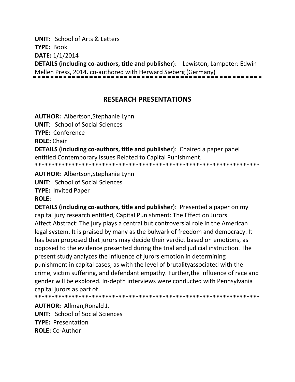**UNIT**: School of Arts & Letters

**TYPE:** Book

**DATE:** 1/1/2014

**DETAILS (including co-authors, title and publisher**): Lewiston, Lampeter: Edwin Mellen Press, 2014. co-authored with Herward Sieberg (Germany)

# **RESEARCH PRESENTATIONS**

**AUTHOR:** Albertson,Stephanie Lynn

**UNIT**: School of Social Sciences

**TYPE:** Conference

**ROLE:** Chair

**DETAILS (including co-authors, title and publisher**): Chaired a paper panel entitled Contemporary Issues Related to Capital Punishment. \*\*\*\*\*\*\*\*\*\*\*\*\*\*\*\*\*\*\*\*\*\*\*\*\*\*\*\*\*\*\*\*\*\*\*\*\*\*\*\*\*\*\*\*\*\*\*\*\*\*\*\*\*\*\*\*\*\*\*\*\*\*\*\*\*\*\*

**AUTHOR:** Albertson,Stephanie Lynn

**UNIT**: School of Social Sciences

**TYPE:** Invited Paper

### **ROLE:**

**DETAILS (including co-authors, title and publisher**): Presented a paper on my capital jury research entitled, Capital Punishment: The Effect on Jurors Affect.Abstract: The jury plays a central but controversial role in the American legal system. It is praised by many as the bulwark of freedom and democracy. It has been proposed that jurors may decide their verdict based on emotions, as opposed to the evidence presented during the trial and judicial instruction. The present study analyzes the influence of jurors emotion in determining punishment in capital cases, as with the level of brutalityassociated with the crime, victim suffering, and defendant empathy. Further,the influence of race and gender will be explored. In-depth interviews were conducted with Pennsylvania capital jurors as part of

\*\*\*\*\*\*\*\*\*\*\*\*\*\*\*\*\*\*\*\*\*\*\*\*\*\*\*\*\*\*\*\*\*\*\*\*\*\*\*\*\*\*\*\*\*\*\*\*\*\*\*\*\*\*\*\*\*\*\*\*\*\*\*\*\*\*\*

**AUTHOR:** Allman,Ronald J. **UNIT**: School of Social Sciences **TYPE:** Presentation **ROLE:** Co-Author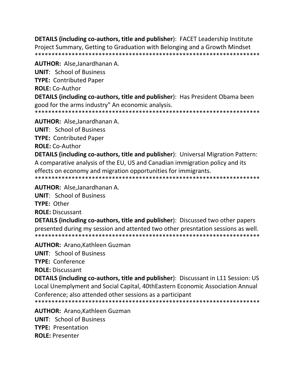**DETAILS (including co-authors, title and publisher):** FACET Leadership Institute Project Summary, Getting to Graduation with Belonging and a Growth Mindset 

**AUTHOR: Alse, Janardhanan A. UNIT: School of Business TYPE: Contributed Paper ROLE: Co-Author** DETAILS (including co-authors, title and publisher): Has President Obama been good for the arms industry" An economic analysis. 

**AUTHOR:** Alse, Janardhanan A.

**UNIT: School of Business** 

**TYPE: Contributed Paper** 

**ROLE: Co-Author** 

**DETAILS (including co-authors, title and publisher):** Universal Migration Pattern: A comparative analysis of the EU, US and Canadian immigration policy and its effects on economy and migration opportunities for immigrants. 

AUTHOR: Alse, Janardhanan A.

**UNIT: School of Business** 

TYPE: Other

**ROLE: Discussant** 

**DETAILS (including co-authors, title and publisher):** Discussed two other papers presented during my session and attented two other presntation sessions as well. 

**AUTHOR: Arano, Kathleen Guzman** 

**UNIT:** School of Business

**TYPE: Conference** 

**ROLE: Discussant** 

**DETAILS (including co-authors, title and publisher):** Discussant in L11 Session: US Local Unemplyment and Social Capital, 40thEastern Economic Association Annual Conference; also attended other sessions as a participant 

**AUTHOR: Arano.Kathleen Guzman UNIT:** School of Business

**TYPE: Presentation** 

**ROLE: Presenter**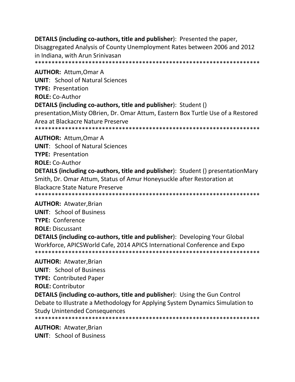**DETAILS (including co-authors, title and publisher)**: Presented the paper, Disaggregated Analysis of County Unemployment Rates between 2006 and 2012 in Indiana, with Arun Srinivasan 

**AUTHOR: Attum, Omar A UNIT:** School of Natural Sciences **TYPE: Presentation ROLE:** Co-Author

### **DETAILS (including co-authors, title and publisher)**: Student ()

presentation, Misty OBrien, Dr. Omar Attum, Eastern Box Turtle Use of a Restored Area at Blackacre Nature Preserve 

**AUTHOR: Attum, Omar A** 

**UNIT: School of Natural Sciences** 

**TYPE: Presentation** 

**ROLE: Co-Author** 

**DETAILS (including co-authors, title and publisher):** Student () presentationMary Smith, Dr. Omar Attum, Status of Amur Honeysuckle after Restoration at **Blackacre State Nature Preserve** 

**AUTHOR: Atwater, Brian** 

**UNIT: School of Business TYPE: Conference ROLE: Discussant** 

**DETAILS (including co-authors, title and publisher):** Developing Your Global Workforce, APICSWorld Cafe, 2014 APICS International Conference and Expo 

**AUTHOR: Atwater, Brian UNIT: School of Business TYPE: Contributed Paper ROLE: Contributor DETAILS (including co-authors, title and publisher):** Using the Gun Control Debate to Illustrate a Methodology for Applying System Dynamics Simulation to

**Study Unintended Consequences** 

**AUTHOR: Atwater, Brian UNIT:** School of Business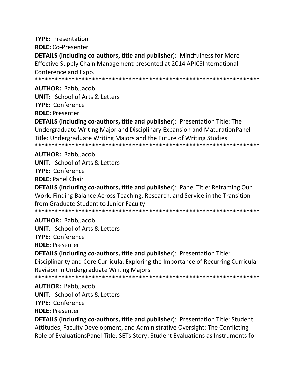**TYPE: Presentation ROLE: Co-Presenter DETAILS (including co-authors, title and publisher):** Mindfulness for More Effective Supply Chain Management presented at 2014 APICSInternational Conference and Expo. **AUTHOR: Babb.Jacob UNIT: School of Arts & Letters TYPE: Conference ROLE: Presenter DETAILS (including co-authors, title and publisher):** Presentation Title: The Undergraduate Writing Major and Disciplinary Expansion and Maturation Panel Title: Undergraduate Writing Majors and the Future of Writing Studies **AUTHOR: Babb, Jacob UNIT:** School of Arts & Letters TYPE: Conference **ROLE: Panel Chair DETAILS (including co-authors, title and publisher): Panel Title: Reframing Our** Work: Finding Balance Across Teaching, Research, and Service in the Transition from Graduate Student to Junior Faculty 

**AUTHOR: Babb, Jacob UNIT: School of Arts & Letters TYPE: Conference** 

**ROLE: Presenter** 

DETAILS (including co-authors, title and publisher): Presentation Title:

Disciplinarity and Core Curricula: Exploring the Importance of Recurring Curricular **Revision in Undergraduate Writing Majors** 

\*\*\*\*\*\*\*\*\*\*\*\*\*\*\*\*\*\*\*\*\*\*\*\*\* 

**AUTHOR: Babb, Jacob** 

**UNIT:** School of Arts & Letters

**TYPE: Conference** 

**ROLE: Presenter** 

**DETAILS (including co-authors, title and publisher):** Presentation Title: Student Attitudes, Faculty Development, and Administrative Oversight: The Conflicting Role of EvaluationsPanel Title: SETs Story: Student Evaluations as Instruments for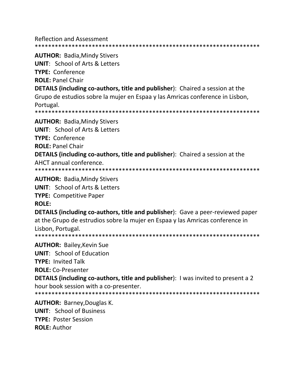**Reflection and Assessment** 

**AUTHOR: Badia, Mindy Stivers** 

**UNIT:** School of Arts & Letters

**TYPE: Conference** 

**ROLE: Panel Chair** 

**DETAILS (including co-authors, title and publisher):** Chaired a session at the Grupo de estudios sobre la mujer en Espaa y las Amricas conference in Lisbon, Portugal.

**AUTHOR: Badia, Mindy Stivers** 

**UNIT:** School of Arts & Letters

**TYPE: Conference** 

**ROLE: Panel Chair** 

**DETAILS (including co-authors, title and publisher):** Chaired a session at the AHCT annual conference.

**AUTHOR: Badia, Mindy Stivers** 

**UNIT: School of Arts & Letters** 

**TYPE: Competitive Paper** 

**ROLE:** 

DETAILS (including co-authors, title and publisher): Gave a peer-reviewed paper at the Grupo de estrudios sobre la mujer en Espaa y las Amricas conference in Lisbon. Portugal.

**AUTHOR: Bailey, Kevin Sue UNIT:** School of Education

**TYPE: Invited Talk** 

**ROLE: Co-Presenter** 

**DETAILS (including co-authors, title and publisher)**: I was invited to present a 2 hour book session with a co-presenter.

**AUTHOR: Barney, Douglas K. UNIT: School of Business TYPE: Poster Session ROLE: Author**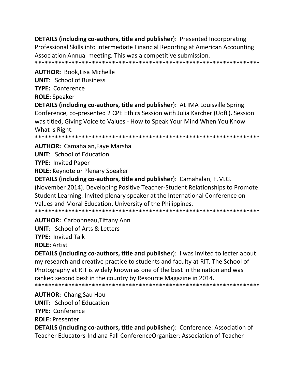**DETAILS (including co-authors, title and publisher):** Presented Incorporating Professional Skills into Intermediate Financial Reporting at American Accounting Association Annual meeting. This was a competitive submission. 

**AUTHOR: Book, Lisa Michelle** 

**UNIT: School of Business** 

TYPE: Conference

**ROLE: Speaker** 

**DETAILS (including co-authors, title and publisher):** At IMA Louisville Spring Conference, co-presented 2 CPE Ethics Session with Julia Karcher (UofL). Session was titled, Giving Voice to Values - How to Speak Your Mind When You Know What is Right.

**AUTHOR: Camahalan, Faye Marsha** 

**UNIT:** School of Education

**TYPE: Invited Paper** 

**ROLE:** Keynote or Plenary Speaker

DETAILS (including co-authors, title and publisher): Camahalan, F.M.G. (November 2014). Developing Positive Teacher-Student Relationships to Promote Student Learning. Invited plenary speaker at the International Conference on Values and Moral Education, University of the Philippines. 

**AUTHOR: Carbonneau, Tiffany Ann** 

**UNIT: School of Arts & Letters TYPE: Invited Talk ROLE: Artist** 

**DETAILS (including co-authors, title and publisher):** I was invited to lecter about my research and creative practice to students and faculty at RIT. The School of Photography at RIT is widely known as one of the best in the nation and was ranked second best in the country by Resource Magazine in 2014. 

**AUTHOR: Chang, Sau Hou UNIT:** School of Education **TYPE: Conference ROLE: Presenter** DETAILS (including co-authors, title and publisher): Conference: Association of

Teacher Educators-Indiana Fall ConferenceOrganizer: Association of Teacher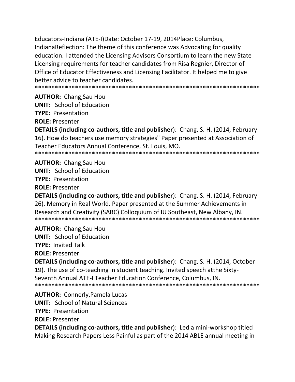Educators-Indiana (ATE-I)Date: October 17-19, 2014Place: Columbus, IndianaReflection: The theme of this conference was Advocating for quality education. I attended the Licensing Advisors Consortium to learn the new State Licensing requirements for teacher candidates from Risa Regnier, Director of Office of Educator Effectiveness and Licensing Facilitator. It helped me to give better advice to teacher candidates.

**AUTHOR: Chang, Sau Hou** 

**UNIT:** School of Education

**TYPE: Presentation** 

**ROLE: Presenter** 

**DETAILS (including co-authors, title and publisher):** Chang, S. H. (2014, February 16). How do teachers use memory strategies" Paper presented at Association of Teacher Educators Annual Conference, St. Louis, MO.

**AUTHOR:** Chang, Sau Hou **UNIT:** School of Education **TYPE: Presentation ROLE: Presenter** 

**DETAILS (including co-authors, title and publisher):** Chang, S. H. (2014, February 26). Memory in Real World. Paper presented at the Summer Achievements in Research and Creativity (SARC) Colloquium of IU Southeast, New Albany, IN. 

**AUTHOR: Chang, Sau Hou** 

**UNIT:** School of Education

**TYPE: Invited Talk** 

**ROLE: Presenter** 

**DETAILS (including co-authors, title and publisher): Chang, S. H. (2014, October** 19). The use of co-teaching in student teaching. Invited speech atthe Sixty-Seventh Annual ATE-I Teacher Education Conference, Columbus, IN. 

**AUTHOR: Connerly, Pamela Lucas UNIT: School of Natural Sciences** 

**TYPE: Presentation** 

**ROLE: Presenter** 

DETAILS (including co-authors, title and publisher): Led a mini-workshop titled Making Research Papers Less Painful as part of the 2014 ABLE annual meeting in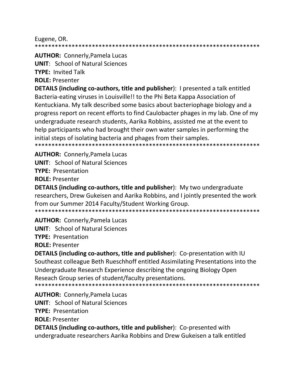Eugene, OR.

\*\*\*\*\*\*\*\*\*\*\*\*\*\* 

**AUTHOR: Connerly, Pamela Lucas** 

**UNIT:** School of Natural Sciences

**TYPE: Invited Talk** 

**ROLE: Presenter** 

**DETAILS (including co-authors, title and publisher): I presented a talk entitled** Bacteria-eating viruses in Louisville!! to the Phi Beta Kappa Association of Kentuckiana. My talk described some basics about bacteriophage biology and a progress report on recent efforts to find Caulobacter phages in my lab. One of my undergraduate research students, Aarika Robbins, assisted me at the event to help participants who had brought their own water samples in performing the initial steps of isolating bacteria and phages from their samples. \*\*\*\*\*\*\*\*\*\*\*\*\*\*\*\*\*\*\*\*\*

**AUTHOR: Connerly, Pamela Lucas** 

**UNIT: School of Natural Sciences** 

**TYPE: Presentation** 

**ROLE: Presenter** 

**DETAILS (including co-authors, title and publisher):** My two undergraduate researchers, Drew Gukeisen and Aarika Robbins, and I jointly presented the work from our Summer 2014 Faculty/Student Working Group.

**AUTHOR: Connerly, Pamela Lucas** 

**UNIT:** School of Natural Sciences

**TYPE: Presentation** 

**ROLE: Presenter** 

**DETAILS (including co-authors, title and publisher):** Co-presentation with IU Southeast colleague Beth Rueschhoff entitled Assimilating Presentations into the Undergraduate Research Experience describing the ongoing Biology Open Reseach Group series of student/faculty presentations. 

**AUTHOR: Connerly, Pamela Lucas UNIT: School of Natural Sciences TYPE: Presentation ROLE: Presenter DETAILS (including co-authors, title and publisher):** Co-presented with

undergraduate researchers Aarika Robbins and Drew Gukeisen a talk entitled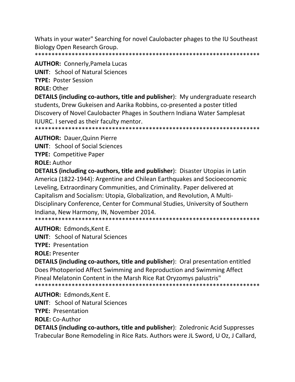Whats in your water" Searching for novel Caulobacter phages to the IU Southeast Biology Open Research Group.

# **AUTHOR: Connerly, Pamela Lucas**

**UNIT: School of Natural Sciences** 

**TYPE: Poster Session** 

**ROLE: Other** 

**DETAILS (including co-authors, title and publisher):** My undergraduate research students, Drew Gukeisen and Aarika Robbins, co-presented a poster titled Discovery of Novel Caulobacter Phages in Southern Indiana Water Samplesat **IUURC.** I served as their faculty mentor.

**AUTHOR: Dauer, Quinn Pierre** 

**UNIT:** School of Social Sciences

**TYPE: Competitive Paper** 

**ROLE: Author** 

**DETAILS (including co-authors, title and publisher):** Disaster Utopias in Latin America (1822-1944): Argentine and Chilean Earthquakes and Socioeconomic Leveling, Extraordinary Communities, and Criminality. Paper delivered at Capitalism and Socialism: Utopia, Globalization, and Revolution, A Multi-Disciplinary Conference, Center for Communal Studies, University of Southern Indiana, New Harmony, IN, November 2014.

**AUTHOR: Edmonds.Kent E.** 

**UNIT: School of Natural Sciences** 

**TYPE: Presentation** 

**ROLE: Presenter** 

**DETAILS (including co-authors, title and publisher):** Oral presentation entitled Does Photoperiod Affect Swimming and Reproduction and Swimming Affect Pineal Melatonin Content in the Marsh Rice Rat Oryzomys palustris" 

**AUTHOR: Edmonds, Kent E.** 

**UNIT: School of Natural Sciences** 

**TYPE: Presentation** 

**ROLE: Co-Author** 

**DETAILS (including co-authors, title and publisher): Zoledronic Acid Suppresses** Trabecular Bone Remodeling in Rice Rats. Authors were JL Sword, U Oz, J Callard,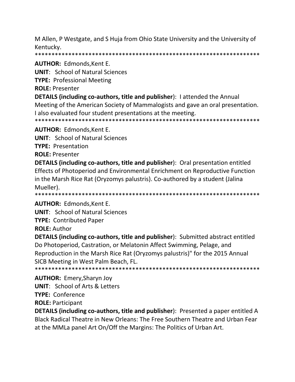M Allen, P Westgate, and S Huja from Ohio State University and the University of Kentucky.

**AUTHOR: Edmonds, Kent E.** 

**UNIT: School of Natural Sciences** 

**TYPE: Professional Meeting** 

**ROLE: Presenter** 

**DETAILS (including co-authors, title and publisher)**: I attended the Annual Meeting of the American Society of Mammalogists and gave an oral presentation.

I also evaluated four student presentations at the meeting.

**AUTHOR: Edmonds, Kent E.** 

**UNIT: School of Natural Sciences** 

**TYPE: Presentation** 

**ROLE: Presenter** 

**DETAILS (including co-authors, title and publisher):** Oral presentation entitled Effects of Photoperiod and Environmental Enrichment on Reproductive Function in the Marsh Rice Rat (Oryzomys palustris). Co-authored by a student (Jalina Mueller).

**AUTHOR: Edmonds, Kent E.** 

**UNIT: School of Natural Sciences** 

**TYPE: Contributed Paper** 

**ROLE: Author** 

**DETAILS (including co-authors, title and publisher):** Submitted abstract entitled Do Photoperiod, Castration, or Melatonin Affect Swimming, Pelage, and Reproduction in the Marsh Rice Rat (Oryzomys palustris)" for the 2015 Annual SICB Meeting in West Palm Beach, FL.

**AUTHOR: Emery, Sharyn Joy UNIT:** School of Arts & Letters **TYPE: Conference ROLE: Participant** 

**DETAILS (including co-authors, title and publisher):** Presented a paper entitled A Black Radical Theatre in New Orleans: The Free Southern Theatre and Urban Fear at the MMLa panel Art On/Off the Margins: The Politics of Urban Art.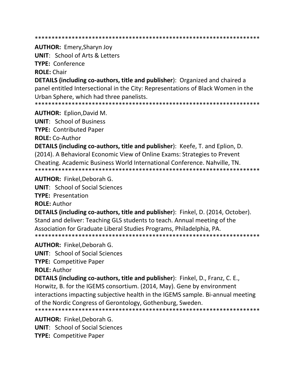**AUTHOR: Emery, Sharyn Joy** 

**UNIT: School of Arts & Letters TYPE: Conference** 

**ROLE: Chair** 

**DETAILS (including co-authors, title and publisher):** Organized and chaired a panel entitled Intersectional in the City: Representations of Black Women in the Urban Sphere, which had three panelists.

**AUTHOR:** Eplion, David M.

**UNIT: School of Business** 

**TYPE: Contributed Paper** 

ROLE: Co-Author

**DETAILS (including co-authors, title and publisher):** Keefe, T. and Eplion, D. (2014). A Behavioral Economic View of Online Exams: Strategies to Prevent Cheating. Academic Business World International Conference. Nahville, TN. 

**AUTHOR: Finkel.Deborah G.** 

**UNIT:** School of Social Sciences

**TYPE: Presentation** 

**ROLE: Author** 

DETAILS (including co-authors, title and publisher): Finkel, D. (2014, October). Stand and deliver: Teaching GLS students to teach. Annual meeting of the Association for Graduate Liberal Studies Programs, Philadelphia, PA. \*\*\*\*\*\*\*\*\*\*\*\*\*\*\*\*\*\*\*\*\*\*\*\*\*\*\*\*\*\*\*\*\*\*\*\*\*\*

**AUTHOR: Finkel, Deborah G.** 

**UNIT:** School of Social Sciences

**TYPE: Competitive Paper** 

**ROLE: Author** 

**DETAILS (including co-authors, title and publisher)**: Finkel, D., Franz, C. E., Horwitz, B. for the IGEMS consortium. (2014, May). Gene by environment interactions impacting subjective health in the IGEMS sample. Bi-annual meeting of the Nordic Congress of Gerontology, Gothenburg, Sweden. 

**AUTHOR: Finkel, Deborah G. UNIT:** School of Social Sciences

**TYPE: Competitive Paper**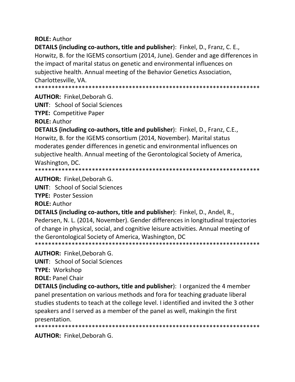### **ROLE: Author**

**DETAILS (including co-authors, title and publisher)**: Finkel, D., Franz, C. E., Horwitz, B. for the IGEMS consortium (2014, June). Gender and age differences in the impact of marital status on genetic and environmental influences on subjective health. Annual meeting of the Behavior Genetics Association, Charlottesville, VA.

**AUTHOR: Finkel.Deborah G.** 

**UNIT: School of Social Sciences** 

**TYPE: Competitive Paper** 

**ROLE: Author** 

**DETAILS (including co-authors, title and publisher):** Finkel, D., Franz, C.E., Horwitz, B. for the IGEMS consortium (2014, November). Marital status moderates gender differences in genetic and environmental influences on subjective health. Annual meeting of the Gerontological Society of America, Washington, DC.

**AUTHOR: Finkel.Deborah G.** 

**UNIT:** School of Social Sciences

**TYPE: Poster Session** 

**ROLE: Author** 

DETAILS (including co-authors, title and publisher): Finkel, D., Andel, R., Pedersen, N. L. (2014, November). Gender differences in longitudinal trajectories of change in physical, social, and cognitive leisure activities. Annual meeting of the Gerontological Society of America, Washington, DC

**AUTHOR: Finkel, Deborah G.** 

**UNIT:** School of Social Sciences

**TYPE: Workshop** 

**ROLE: Panel Chair** 

**DETAILS (including co-authors, title and publisher):** I organized the 4 member panel presentation on various methods and fora for teaching graduate liberal studies students to teach at the college level. I identified and invited the 3 other speakers and I served as a member of the panel as well, makingin the first presentation.

**AUTHOR: Finkel, Deborah G.**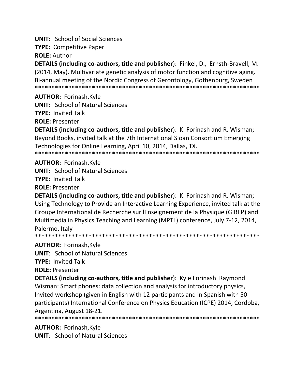**UNIT:** School of Social Sciences

**TYPE: Competitive Paper** 

**ROLE: Author** 

**DETAILS (including co-authors, title and publisher):** Finkel, D., Ernsth-Bravell, M. (2014, May). Multivariate genetic analysis of motor function and cognitive aging. Bi-annual meeting of the Nordic Congress of Gerontology, Gothenburg, Sweden 

**AUTHOR: Forinash, Kyle** 

**UNIT: School of Natural Sciences** 

**TYPE: Invited Talk** 

**ROLE: Presenter** 

**DETAILS (including co-authors, title and publisher):** K. Forinash and R. Wisman; Beyond Books, invited talk at the 7th International Sloan Consortium Emerging Technologies for Online Learning, April 10, 2014, Dallas, TX.

**AUTHOR: Forinash, Kyle** 

**UNIT: School of Natural Sciences** 

**TYPE: Invited Talk** 

**ROLE: Presenter** 

**DETAILS (including co-authors, title and publisher):** K. Forinash and R. Wisman; Using Technology to Provide an Interactive Learning Experience, invited talk at the Groupe International de Recherche sur lEnseignement de la Physique (GIREP) and Multimedia in Physics Teaching and Learning (MPTL) conference, July 7-12, 2014, Palermo. Italy

**AUTHOR: Forinash, Kyle** 

**UNIT:** School of Natural Sciences

**TYPE: Invited Talk** 

**ROLE: Presenter** 

**DETAILS (including co-authors, title and publisher):** Kyle Forinash Raymond Wisman: Smart phones: data collection and analysis for introductory physics, Invited workshop (given in English with 12 participants and in Spanish with 50 participants) International Conference on Physics Education (ICPE) 2014, Cordoba, Argentina, August 18-21.

\*\*\*\*\*\*\*\*\*\*\*\*\*\*\*\* 

**AUTHOR: Forinash, Kyle UNIT:** School of Natural Sciences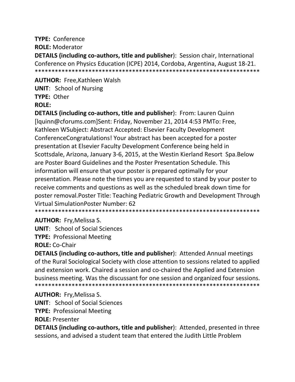# **TYPE: Conference**

**ROLE: Moderator** 

DETAILS (including co-authors, title and publisher): Session chair, International Conference on Physics Education (ICPE) 2014, Cordoba, Argentina, August 18-21. 

**AUTHOR: Free, Kathleen Walsh UNIT: School of Nursing** TYPE: Other **ROLF:** 

DETAILS (including co-authors, title and publisher): From: Lauren Quinn [Iquinn@cforums.com]Sent: Friday, November 21, 2014 4:53 PMTo: Free, Kathleen WSubject: Abstract Accepted: Elsevier Faculty Development ConferenceCongratulations! Your abstract has been accepted for a poster presentation at Elsevier Faculty Development Conference being held in Scottsdale, Arizona, January 3-6, 2015, at the Westin Kierland Resort Spa. Below are Poster Board Guidelines and the Poster Presentation Schedule. This information will ensure that your poster is prepared optimally for your presentation. Please note the times you are requested to stand by your poster to receive comments and questions as well as the scheduled break down time for poster removal. Poster Title: Teaching Pediatric Growth and Development Through Virtual SimulationPoster Number: 62

**AUTHOR: Fry, Melissa S.** 

**UNIT: School of Social Sciences** 

**TYPE: Professional Meeting** 

**ROLE: Co-Chair** 

DETAILS (including co-authors, title and publisher): Attended Annual meetings of the Rural Sociological Society with close attention to sessions related to applied and extension work. Chaired a session and co-chaired the Applied and Extension business meeting. Was the discussant for one session and organized four sessions. 

**AUTHOR: Fry, Melissa S.** 

**UNIT:** School of Social Sciences

**TYPE: Professional Meeting** 

**ROLE: Presenter** 

DETAILS (including co-authors, title and publisher): Attended, presented in three sessions, and advised a student team that entered the Judith Little Problem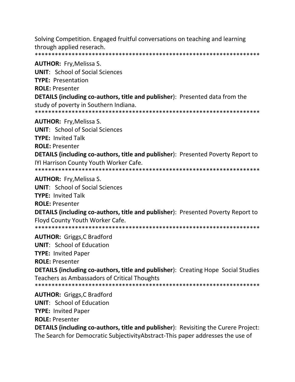Solving Competition. Engaged fruitful conversations on teaching and learning through applied reserach. 

**AUTHOR: Fry, Melissa S. UNIT:** School of Social Sciences **TYPE: Presentation ROLE: Presenter DETAILS (including co-authors, title and publisher):** Presented data from the study of poverty in Southern Indiana. **AUTHOR:** Fry, Melissa S. **UNIT:** School of Social Sciences **TYPE: Invited Talk ROLE: Presenter DETAILS (including co-authors, title and publisher):** Presented Poverty Report to IYI Harrison County Youth Worker Cafe. **AUTHOR: Fry, Melissa S. UNIT:** School of Social Sciences

**TYPE: Invited Talk ROLE: Presenter** DETAILS (including co-authors, title and publisher): Presented Poverty Report to Floyd County Youth Worker Cafe. 

**AUTHOR: Griggs, C Bradford** 

**UNIT:** School of Education

**TYPE: Invited Paper** 

**ROLE: Presenter** 

**DETAILS (including co-authors, title and publisher):** Creating Hope Social Studies Teachers as Ambassadors of Critical Thoughts

**AUTHOR:** Griggs, C Bradford

**UNIT:** School of Education

**TYPE: Invited Paper** 

**ROLE: Presenter** 

**DETAILS (including co-authors, title and publisher):** Revisiting the Curere Project: The Search for Democratic Subjectivity Abstract-This paper addresses the use of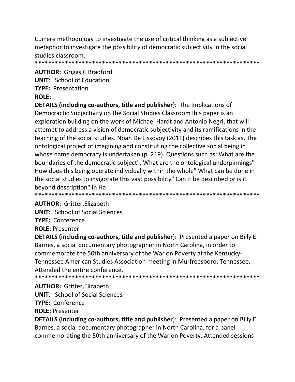Currere methodology to investigate the use of critical thinking as a subjective metaphor to investigate the possibility of democratic subjectivity in the social studies classroom.

**AUTHOR:** Griggs, C Bradford **UNIT:** School of Education **TYPE: Presentation ROLE:** 

**DETAILS (including co-authors, title and publisher):** The Implications of Democractic Subjectivity on the Social Studies Classroom This paper is an exploration building on the work of Michael Hardt and Antonio Negri, that will attempt to address a vision of democratic subjectivity and its ramifications in the teaching of the social studies. Noah De Lissovoy (2011) describes this task as, The ontological project of imagining and constituting the collective social being in whose name democracy is undertaken (p. 219). Questions such as: What are the boundaries of the democratic subject", What are the ontological underpinnings" How does this being operate individually within the whole" What can be done in the social studies to invigorate this vast possibility" Can it be described or is it beyond description" In Ha

**AUTHOR: Gritter, Elizabeth** 

**UNIT:** School of Social Sciences **TYPE: Conference ROLE: Presenter** 

**DETAILS (including co-authors, title and publisher):** Presented a paper on Billy E. Barnes, a social documentary photographer in North Carolina, in order to commemorate the 50th anniversary of the War on Poverty at the Kentucky-Tennessee American Studies Association meeting in Murfreesboro, Tennessee. Attended the entire conference. 

**AUTHOR: Gritter, Elizabeth UNIT:** School of Social Sciences **TYPE: Conference** 

**ROLE: Presenter** 

**DETAILS (including co-authors, title and publisher):** Presented a paper on Billy E. Barnes, a social documentary photographer in North Carolina, for a panel commemorating the 50th anniversary of the War on Poverty. Attended sessions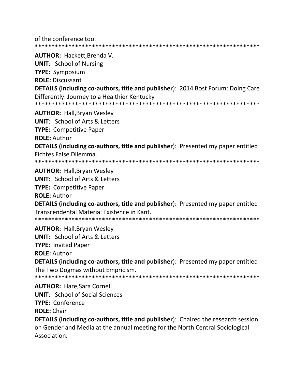of the conference too. **AUTHOR: Hackett, Brenda V. UNIT:** School of Nursing **TYPE: Symposium ROLE: Discussant** DETAILS (including co-authors, title and publisher): 2014 Bost Forum: Doing Care Differently: Journey to a Healthier Kentucky **AUTHOR: Hall, Bryan Wesley UNIT:** School of Arts & Letters **TYPE: Competitive Paper ROLE: Author DETAILS (including co-authors, title and publisher):** Presented my paper entitled Fichtes False Dilemma. **AUTHOR: Hall, Bryan Wesley UNIT: School of Arts & Letters TYPE:** Competitive Paper **ROLE: Author DETAILS (including co-authors, title and publisher):** Presented my paper entitled Transcendental Material Existence in Kant. **AUTHOR: Hall, Bryan Wesley UNIT:** School of Arts & Letters **TYPE: Invited Paper ROLE: Author DETAILS (including co-authors, title and publisher):** Presented my paper entitled The Two Dogmas without Empricism. **AUTHOR: Hare, Sara Cornell UNIT:** School of Social Sciences **TYPE: Conference ROLE: Chair** 

**DETAILS (including co-authors, title and publisher):** Chaired the research session on Gender and Media at the annual meeting for the North Central Sociological Association.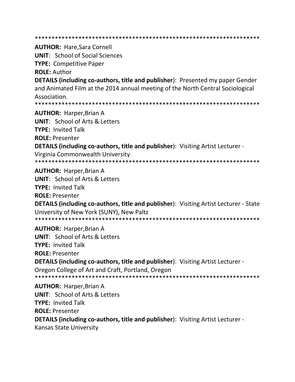**AUTHOR: Hare, Sara Cornell UNIT: School of Social Sciences TYPE: Competitive Paper ROLE: Author DETAILS (including co-authors, title and publisher)**: Presented my paper Gender and Animated Film at the 2014 annual meeting of the North Central Sociological Association. **AUTHOR: Harper, Brian A UNIT:** School of Arts & Letters **TYPE: Invited Talk ROLE: Presenter DETAILS (including co-authors, title and publisher):** Visiting Artist Lecturer -Virginia Commonwealth University **AUTHOR: Harper, Brian A UNIT: School of Arts & Letters TYPF: Invited Talk ROLE: Presenter DETAILS (including co-authors, title and publisher):** Visiting Artist Lecturer - State University of New York (SUNY), New Paltz **AUTHOR: Harper, Brian A UNIT:** School of Arts & Letters **TYPE: Invited Talk ROLE: Presenter** DETAILS (including co-authors, title and publisher): Visiting Artist Lecturer -Oregon College of Art and Craft, Portland, Oregon **AUTHOR: Harper, Brian A UNIT:** School of Arts & Letters **TYPE: Invited Talk ROLE: Presenter DETAILS (including co-authors, title and publisher):** Visiting Artist Lecturer -**Kansas State University**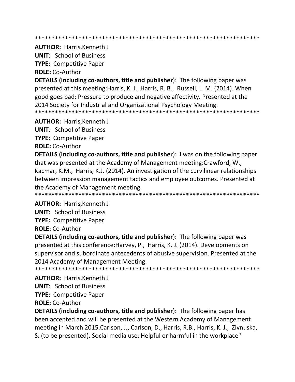**AUTHOR: Harris, Kenneth J** 

**UNIT: School of Business** 

**TYPE: Competitive Paper** 

**ROLE: Co-Author** 

**DETAILS (including co-authors, title and publisher)**: The following paper was presented at this meeting: Harris, K. J., Harris, R. B., Russell, L. M. (2014). When good goes bad: Pressure to produce and negative affectivity. Presented at the 2014 Society for Industrial and Organizational Psychology Meeting. 

**AUTHOR: Harris, Kenneth J** 

**UNIT: School of Business** 

**TYPE: Competitive Paper** 

**ROLE: Co-Author** 

**DETAILS (including co-authors, title and publisher):** I was on the following paper that was presented at the Academy of Management meeting: Crawford, W., Kacmar, K.M., Harris, K.J. (2014). An investigation of the curvilinear relationships between impression management tactics and employee outcomes. Presented at the Academy of Management meeting.

**AUTHOR: Harris, Kenneth J** 

**UNIT: School of Business** 

**TYPE: Competitive Paper** 

**ROLE: Co-Author** 

**DETAILS (including co-authors, title and publisher):** The following paper was presented at this conference: Harvey, P., Harris, K. J. (2014). Developments on supervisor and subordinate antecedents of abusive supervision. Presented at the 2014 Academy of Management Meeting.

**AUTHOR: Harris, Kenneth J UNIT: School of Business TYPE: Competitive Paper** 

**ROLE: Co-Author** 

**DETAILS (including co-authors, title and publisher):** The following paper has been accepted and will be presented at the Western Academy of Management meeting in March 2015.Carlson, J., Carlson, D., Harris, R.B., Harris, K. J., Zivnuska, S. (to be presented). Social media use: Helpful or harmful in the workplace"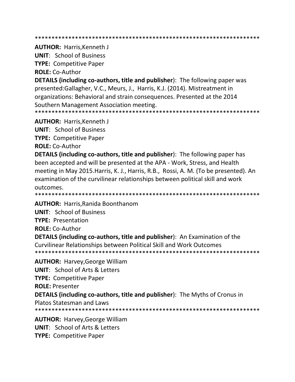**AUTHOR: Harris, Kenneth J** 

**UNIT: School of Business** 

**TYPE: Competitive Paper** 

**ROLE: Co-Author** 

**DETAILS (including co-authors, title and publisher)**: The following paper was presented:Gallagher, V.C., Meurs, J., Harris, K.J. (2014). Mistreatment in organizations: Behavioral and strain consequences. Presented at the 2014 Southern Management Association meeting. 

**AUTHOR: Harris, Kenneth J** 

**UNIT: School of Business** 

**TYPE: Competitive Paper** 

**ROLE: Co-Author** 

**DETAILS (including co-authors, title and publisher):** The following paper has been accepted and will be presented at the APA - Work, Stress, and Health meeting in May 2015. Harris, K. J., Harris, R.B., Rossi, A. M. (To be presented). An examination of the curvilinear relationships between political skill and work outcomes.

**AUTHOR: Harris, Ranida Boonthanom** 

**UNIT: School of Business** 

**TYPE: Presentation** 

**ROLE: Co-Author** 

**DETAILS (including co-authors, title and publisher):** An Examination of the Curvilinear Relationships between Political Skill and Work Outcomes 

**AUTHOR: Harvey, George William** 

**UNIT: School of Arts & Letters** 

**TYPE: Competitive Paper** 

**ROLE: Presenter** 

**DETAILS (including co-authors, title and publisher):** The Myths of Cronus in

**Platos Statesman and Laws** 

**AUTHOR: Harvey, George William UNIT:** School of Arts & Letters **TYPE: Competitive Paper**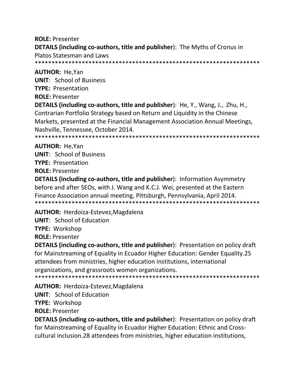**ROLE: Presenter DETAILS (including co-authors, title and publisher):** The Myths of Cronus in **Platos Statesman and Laws** 

**AUTHOR: He, Yan UNIT: School of Business TYPE: Presentation ROLE: Presenter** 

DETAILS (including co-authors, title and publisher): He, Y., Wang, J., Zhu, H., Contrarian Portfolio Strategy based on Return and Liquidity in the Chinese Markets, presented at the Financial Management Association Annual Meetings, Nashville, Tennessee, October 2014.

**AUTHOR: He.Yan UNIT:** School of Business **TYPE: Presentation ROLE: Presenter** 

**DETAILS (including co-authors, title and publisher):** Information Asymmetry before and after SEOs, with J. Wang and K.C.J. Wei, presented at the Eastern Finance Association annual meeting, Pittsburgh, Pennsylvania, April 2014. 

AUTHOR: Herdoiza-Estevez, Magdalena

**UNIT:** School of Education

**TYPE: Workshop** 

**ROLE: Presenter** 

**DETAILS (including co-authors, title and publisher):** Presentation on policy draft for Mainstreaming of Equality in Ecuador Higher Education: Gender Equality.25 attendees from ministries, higher education institutions, international organizations, and grassroots women organizations.

AUTHOR: Herdoiza-Estevez, Magdalena

**UNIT:** School of Education

**TYPE: Workshop** 

**ROLE: Presenter** 

**DETAILS (including co-authors, title and publisher):** Presentation on policy draft for Mainstreaming of Equality in Ecuador Higher Education: Ethnic and Crosscultural inclusion.28 attendees from ministries, higher education institutions,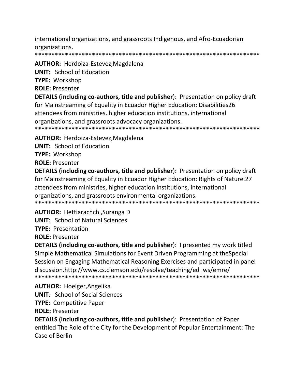international organizations, and grassroots Indigenous, and Afro-Ecuadorian organizations.

**AUTHOR: Herdoiza-Estevez, Magdalena** 

**UNIT:** School of Education

**TYPE: Workshop** 

**ROLE: Presenter** 

**DETAILS (including co-authors, title and publisher):** Presentation on policy draft for Mainstreaming of Equality in Ecuador Higher Education: Disabilities26 attendees from ministries, higher education institutions, international organizations, and grassroots advocacy organizations. 

**AUTHOR: Herdoiza-Estevez, Magdalena** 

**UNIT: School of Education** 

**TYPE: Workshop** 

**ROLE: Presenter** 

**DETAILS (including co-authors, title and publisher):** Presentation on policy draft for Mainstreaming of Equality in Ecuador Higher Education: Rights of Nature.27 attendees from ministries, higher education institutions, international organizations, and grassroots environmental organizations. 

**AUTHOR: Hettiarachchi, Suranga D** 

**UNIT: School of Natural Sciences** 

**TYPE: Presentation** 

**ROLE: Presenter** 

**DETAILS (including co-authors, title and publisher):** I presented my work titled Simple Mathematical Simulations for Event Driven Programming at the Special Session on Engaging Mathematical Reasoning Exercises and participated in panel discussion.http://www.cs.clemson.edu/resolve/teaching/ed ws/emre/ \*\*\*\*\*\*\*\*\*\*\*\*\*\*\*\*\*\*\*\*\*\*\* 

**AUTHOR: Hoelger, Angelika UNIT:** School of Social Sciences

**TYPE: Competitive Paper** 

**ROLE: Presenter** 

DETAILS (including co-authors, title and publisher): Presentation of Paper entitled The Role of the City for the Development of Popular Entertainment: The Case of Berlin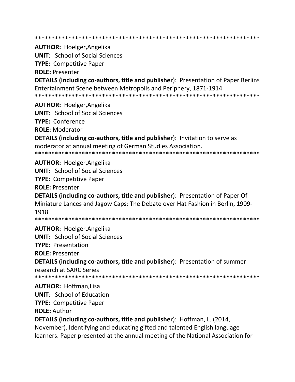**AUTHOR: Hoelger, Angelika UNIT: School of Social Sciences TYPE: Competitive Paper ROLE: Presenter DETAILS (including co-authors, title and publisher):** Presentation of Paper Berlins Entertainment Scene between Metropolis and Periphery, 1871-1914 **AUTHOR: Hoelger, Angelika UNIT:** School of Social Sciences **TYPE: Conference ROLE: Moderator DETAILS (including co-authors, title and publisher):** Invitation to serve as moderator at annual meeting of German Studies Association. **AUTHOR: Hoelger, Angelika UNIT:** School of Social Sciences **TYPE: Competitive Paper ROLE: Presenter DETAILS (including co-authors, title and publisher):** Presentation of Paper Of Miniature Lances and Jagow Caps: The Debate over Hat Fashion in Berlin, 1909-1918 **AUTHOR: Hoelger, Angelika UNIT:** School of Social Sciences **TYPE: Presentation ROLE: Presenter DETAILS (including co-authors, title and publisher):** Presentation of summer research at SARC Series **AUTHOR: Hoffman, Lisa UNIT:** School of Education **TYPE: Competitive Paper ROLE: Author DETAILS (including co-authors, title and publisher)**: Hoffman, L. (2014, November). Identifying and educating gifted and talented English language

learners. Paper presented at the annual meeting of the National Association for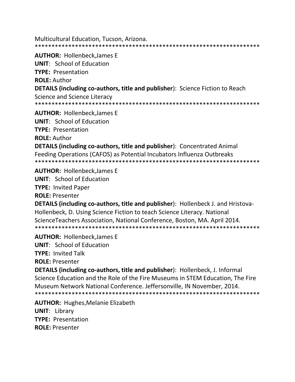Multicultural Education, Tucson, Arizona. 

**AUTHOR: Hollenbeck, James E UNIT:** School of Education **TYPE: Presentation ROLE: Author DETAILS (including co-authors, title and publisher):** Science Fiction to Reach Science and Science Literacy 

**AUTHOR: Hollenbeck, James E** 

**UNIT: School of Education** 

**TYPE: Presentation** 

**ROLE: Author** 

**DETAILS (including co-authors, title and publisher): Concentrated Animal** Feeding Operations (CAFOS) as Potential Incubators Influenza Outbreaks 

**AUTHOR: Hollenbeck.James E** 

**UNIT:** School of Education

**TYPE: Invited Paper** 

**ROLE: Presenter** 

**DETAILS (including co-authors, title and publisher):** Hollenbeck J. and Hristova-Hollenbeck, D. Using Science Fiction to teach Science Literacy. National Science Teachers Association, National Conference, Boston, MA. April 2014. 

**AUTHOR: Hollenbeck, James E** 

**UNIT:** School of Education

**TYPE: Invited Talk** 

**ROLE: Presenter** 

**DETAILS (including co-authors, title and publisher):** Hollenbeck, J. Informal Science Education and the Role of the Fire Museums in STEM Education, The Fire Museum Network National Conference. Jeffersonville, IN November, 2014. 

**AUTHOR:** Hughes, Melanie Elizabeth

**UNIT: Library TYPE: Presentation ROLE: Presenter**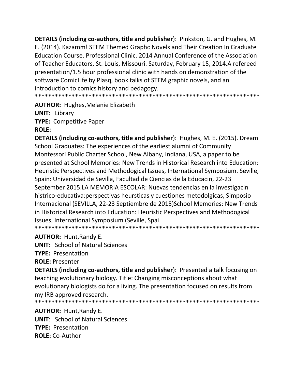**DETAILS (including co-authors, title and publisher):** Pinkston, G. and Hughes, M. E. (2014). Kazamm! STEM Themed Graphc Novels and Their Creation In Graduate Education Course. Professional Clinic. 2014 Annual Conference of the Association of Teacher Educators, St. Louis, Missouri. Saturday, February 15, 2014.A refereed presentation/1.5 hour professional clinic with hands on demonstration of the software ComicLife by Plasg, book talks of STEM graphic novels, and an introduction to comics history and pedagogy. 

**AUTHOR: Hughes, Melanie Elizabeth** 

**UNIT: Library TYPE: Competitive Paper ROLE:** 

**DETAILS (including co-authors, title and publisher):** Hughes, M. E. (2015). Dream School Graduates: The experiences of the earliest alumni of Community Montessori Public Charter School, New Albany, Indiana, USA, a paper to be presented at School Memories: New Trends in Historical Research into Education: Heuristic Perspectives and Methodogical Issues, International Symposium. Seville, Spain: Universidad de Sevilla, Facultad de Ciencias de la Educacin, 22-23 September 2015.LA MEMORIA ESCOLAR: Nuevas tendencias en la investigacin histrico-educativa: perspectivas heursticas y cuestiones metodolgicas, Simposio Internacional (SEVILLA, 22-23 Septiembre de 2015) School Memories: New Trends in Historical Research into Education: Heuristic Perspectives and Methodogical Issues, International Symposium (Seville, Spai 

**AUTHOR: Hunt, Randy E.** 

**UNIT:** School of Natural Sciences

**TYPE: Presentation** 

**ROLE: Presenter** 

**DETAILS (including co-authors, title and publisher)**: Presented a talk focusing on teaching evolutionary biology. Title: Changing misconceptions about what evolutionary biologists do for a living. The presentation focused on results from my IRB approved research.

**AUTHOR: Hunt, Randy E. UNIT: School of Natural Sciences TYPE: Presentation ROLE: Co-Author**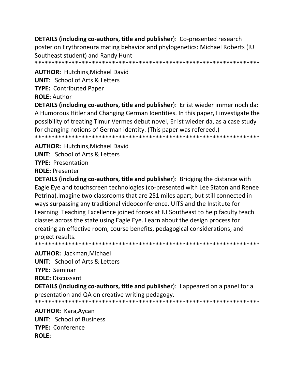**DETAILS (including co-authors, title and publisher):** Co-presented research poster on Erythroneura mating behavior and phylogenetics: Michael Roberts (IU Southeast student) and Randy Hunt 

**AUTHOR: Hutchins.Michael David UNIT:** School of Arts & Letters **TYPE: Contributed Paper** 

**ROLE: Author** 

DETAILS (including co-authors, title and publisher): Er ist wieder immer noch da: A Humorous Hitler and Changing German Identities. In this paper, I investigate the possibility of treating Timur Vermes debut novel, Er ist wieder da, as a case study for changing notions of German identity. (This paper was refereed.) \*\*\*\*\*\*\*\*\*\*\*\*\*\*\*\*

**AUTHOR: Hutchins.Michael David. UNIT:** School of Arts & Letters **TYPE: Presentation ROLE: Presenter** 

**DETAILS (including co-authors, title and publisher)**: Bridging the distance with Eagle Eye and touchscreen technologies (co-presented with Lee Staton and Renee Petrina). Imagine two classrooms that are 251 miles apart, but still connected in ways surpassing any traditional videoconference. UITS and the Institute for Learning Teaching Excellence joined forces at IU Southeast to help faculty teach classes across the state using Eagle Eye. Learn about the design process for creating an effective room, course benefits, pedagogical considerations, and project results. 

**AUTHOR: Jackman, Michael** 

**UNIT: School of Arts & Letters** 

**TYPE: Seminar** 

**ROLE: Discussant** 

DETAILS (including co-authors, title and publisher): I appeared on a panel for a presentation and QA on creative writing pedagogy.

**AUTHOR: Kara, Aycan UNIT: School of Business** TYPE: Conference **ROLE:**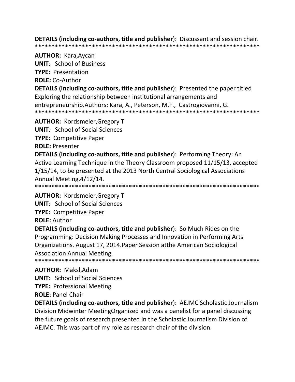**DETAILS (including co-authors, title and publisher)**: Discussant and session chair. 

#### **AUTHOR: Kara, Aycan**

**UNIT:** School of Business

**TYPE: Presentation** 

**ROLE: Co-Author** 

**DETAILS (including co-authors, title and publisher):** Presented the paper titled Exploring the relationship between institutional arrangements and entrepreneurship. Authors: Kara, A., Peterson, M.F., Castrogiovanni, G. 

**AUTHOR: Kordsmeier, Gregory T** 

**UNIT: School of Social Sciences** 

**TYPE: Competitive Paper** 

**ROLE: Presenter** 

**DETAILS (including co-authors, title and publisher):** Performing Theory: An Active Learning Technique in the Theory Classroom proposed 11/15/13, accepted 1/15/14, to be presented at the 2013 North Central Sociological Associations Annual Meeting, 4/12/14.

**AUTHOR: Kordsmeier, Gregory T** 

**UNIT:** School of Social Sciences

**TYPE: Competitive Paper** 

**ROLE: Author** 

**DETAILS (including co-authors, title and publisher):** So Much Rides on the Programming: Decision Making Processes and Innovation in Performing Arts Organizations. August 17, 2014. Paper Session atthe American Sociological **Association Annual Meeting.** 

## **AUTHOR: Maksl.Adam**

**UNIT:** School of Social Sciences

**TYPE: Professional Meeting** 

**ROLE: Panel Chair** 

**DETAILS (including co-authors, title and publisher):** AEJMC Scholastic Journalism Division Midwinter Meeting Organized and was a panelist for a panel discussing the future goals of research presented in the Scholastic Journalism Division of AEJMC. This was part of my role as research chair of the division.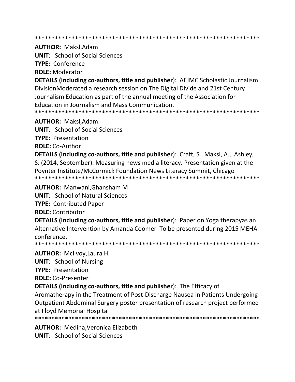**AUTHOR: Maksl.Adam** 

**UNIT:** School of Social Sciences

**TYPE: Conference** 

**ROLE: Moderator** 

**DETAILS (including co-authors, title and publisher):** AEJMC Scholastic Journalism DivisionModerated a research session on The Digital Divide and 21st Century Journalism Education as part of the annual meeting of the Association for Education in Journalism and Mass Communication. 

**AUTHOR: Maksl, Adam** 

**UNIT:** School of Social Sciences

**TYPE: Presentation** 

**ROLE: Co-Author** 

DETAILS (including co-authors, title and publisher): Craft, S., Maksl, A., Ashley, S. (2014, September). Measuring news media literacy. Presentation given at the Poynter Institute/McCormick Foundation News Literacy Summit, Chicago 

**AUTHOR: Manwani.Ghansham M** 

**UNIT: School of Natural Sciences** 

**TYPE: Contributed Paper** 

**ROLE: Contributor** 

**DETAILS (including co-authors, title and publisher)**: Paper on Yoga therapyas an Alternative Intervention by Amanda Coomer To be presented during 2015 MEHA conference.

**AUTHOR: McIlvoy, Laura H.** 

**UNIT:** School of Nursing

**TYPE: Presentation** 

**ROLE: Co-Presenter** 

**DETAILS (including co-authors, title and publisher):** The Efficacy of

Aromatherapy in the Treatment of Post-Discharge Nausea in Patients Undergoing Outpatient Abdominal Surgery poster presentation of research project performed at Floyd Memorial Hospital

**AUTHOR: Medina, Veronica Elizabeth** 

**UNIT:** School of Social Sciences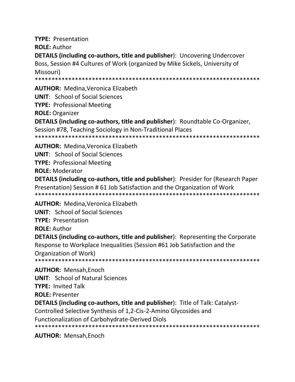**TYPE: Presentation ROLE: Author** DETAILS (including co-authors, title and publisher): Uncovering Undercover Boss, Session #4 Cultures of Work (organized by Mike Sickels, University of Missouri) 

**AUTHOR: Medina. Veronica Elizabeth** 

**UNIT:** School of Social Sciences

**TYPE: Professional Meeting** 

**ROLE: Organizer** 

**DETAILS (including co-authors, title and publisher):** Roundtable Co-Organizer, Session #78, Teaching Sociology in Non-Traditional Places \*\*\*\*\*\*\*\*\*\*\*\*\*\*\*\*\*\*\*\*\*\*\*\*\*\*\*\*\*\*\*\*\*\*\*\*\*\* \*\*\*\*\*\*\*\*\*\*\*\*\*\*\*\*\*\*\*\*\*\*\*\*\*\*\*\*

**AUTHOR: Medina, Veronica Elizabeth** 

**UNIT:** School of Social Sciences

**TYPE: Professional Meeting** 

**ROLE: Moderator** 

**DETAILS (including co-authors, title and publisher):** Presider for (Research Paper Presentation) Session #61 Job Satisfaction and the Organization of Work 

**AUTHOR: Medina, Veronica Elizabeth** 

**UNIT:** School of Social Sciences

**TYPE: Presentation** 

**ROLE: Author** 

**DETAILS (including co-authors, title and publisher):** Representing the Corporate Response to Workplace Inequalities (Session #61 Job Satisfaction and the Organization of Work) 

**AUTHOR: Mensah, Enoch** 

**UNIT: School of Natural Sciences** 

**TYPE: Invited Talk** 

**ROLE: Presenter** 

**DETAILS (including co-authors, title and publisher):** Title of Talk: Catalyst-

Controlled Selective Synthesis of 1,2-Cis-2-Amino Glycosides and **Functionalization of Carbohydrate-Derived Diols** 

**AUTHOR: Mensah, Enoch**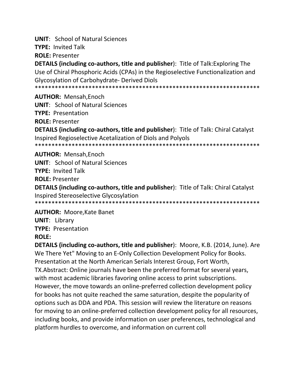**UNIT: School of Natural Sciences** 

**TYPE: Invited Talk** 

**ROLE: Presenter** 

**DETAILS (including co-authors, title and publisher):** Title of Talk: Exploring The Use of Chiral Phosphoric Acids (CPAs) in the Regioselective Functionalization and **Glycosylation of Carbohydrate- Derived Diols** 

**AUTHOR: Mensah.Enoch** 

**UNIT: School of Natural Sciences** 

**TYPE: Presentation** 

**ROLE: Presenter** 

**DETAILS (including co-authors, title and publisher):** Title of Talk: Chiral Catalyst Inspired Regioselective Acetalization of Diols and Polyols 

**AUTHOR: Mensah, Enoch** 

**UNIT: School of Natural Sciences** 

**TYPE: Invited Talk** 

**ROLE: Presenter** 

**DETAILS (including co-authors, title and publisher):** Title of Talk: Chiral Catalyst Inspired Stereoselective Glycosylation

**AUTHOR: Moore, Kate Banet** 

**UNIT: Library** 

**TYPE: Presentation** 

## **ROLE:**

**DETAILS (including co-authors, title and publisher):** Moore, K.B. (2014, June). Are We There Yet" Moving to an E-Only Collection Development Policy for Books. Presentation at the North American Serials Interest Group, Fort Worth, TX. Abstract: Online journals have been the preferred format for several years, with most academic libraries favoring online access to print subscriptions. However, the move towards an online-preferred collection development policy for books has not quite reached the same saturation, despite the popularity of options such as DDA and PDA. This session will review the literature on reasons for moving to an online-preferred collection development policy for all resources, including books, and provide information on user preferences, technological and platform hurdles to overcome, and information on current coll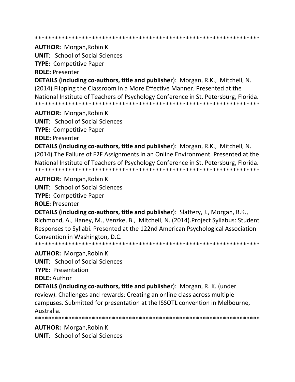\*\*\*\*\*\*\*\*\*\*\*\*\*\*\*\*\*\*\*\*\*\*\*\*\*\*\*\*\*\*\*\*\*\*\*\*\*\*\*\*\*\*\*\*\*\*\*\*\*\*\*\*\*\*\*\*\*\*\*\*\*\*\*\*\*\*\*

**AUTHOR:** Morgan,Robin K

**UNIT**: School of Social Sciences

**TYPE:** Competitive Paper

**ROLE:** Presenter

**DETAILS (including co-authors, title and publisher**): Morgan, R.K., Mitchell, N. (2014).Flipping the Classroom in a More Effective Manner. Presented at the National Institute of Teachers of Psychology Conference in St. Petersburg, Florida. \*\*\*\*\*\*\*\*\*\*\*\*\*\*\*\*\*\*\*\*\*\*\*\*\*\*\*\*\*\*\*\*\*\*\*\*\*\*\*\*\*\*\*\*\*\*\*\*\*\*\*\*\*\*\*\*\*\*\*\*\*\*\*\*\*\*\*

**AUTHOR:** Morgan,Robin K

**UNIT**: School of Social Sciences

**TYPE:** Competitive Paper

**ROLE:** Presenter

**DETAILS (including co-authors, title and publisher**): Morgan, R.K., Mitchell, N. (2014).The Failure of F2F Assignments in an Online Environment. Presented at the National Institute of Teachers of Psychology Conference in St. Petersburg, Florida. \*\*\*\*\*\*\*\*\*\*\*\*\*\*\*\*\*\*\*\*\*\*\*\*\*\*\*\*\*\*\*\*\*\*\*\*\*\*\*\*\*\*\*\*\*\*\*\*\*\*\*\*\*\*\*\*\*\*\*\*\*\*\*\*\*\*\*

**AUTHOR:** Morgan,Robin K

**UNIT**: School of Social Sciences

**TYPE:** Competitive Paper

**ROLE:** Presenter

**DETAILS (including co-authors, title and publisher**): Slattery, J., Morgan, R.K., Richmond, A., Haney, M., Venzke, B., Mitchell, N. (2014).Project Syllabus: Student Responses to Syllabi. Presented at the 122nd American Psychological Association Convention in Washington, D.C.

\*\*\*\*\*\*\*\*\*\*\*\*\*\*\*\*\*\*\*\*\*\*\*\*\*\*\*\*\*\*\*\*\*\*\*\*\*\*\*\*\*\*\*\*\*\*\*\*\*\*\*\*\*\*\*\*\*\*\*\*\*\*\*\*\*\*\*

**AUTHOR:** Morgan,Robin K

**UNIT**: School of Social Sciences

**TYPE:** Presentation

**ROLE:** Author

**DETAILS (including co-authors, title and publisher**): Morgan, R. K. (under review). Challenges and rewards: Creating an online class across multiple campuses. Submitted for presentation at the ISSOTL convention in Melbourne, Australia.

\*\*\*\*\*\*\*\*\*\*\*\*\*\*\*\*\*\*\*\*\*\*\*\*\*\*\*\*\*\*\*\*\*\*\*\*\*\*\*\*\*\*\*\*\*\*\*\*\*\*\*\*\*\*\*\*\*\*\*\*\*\*\*\*\*\*\*

**AUTHOR:** Morgan,Robin K

**UNIT**: School of Social Sciences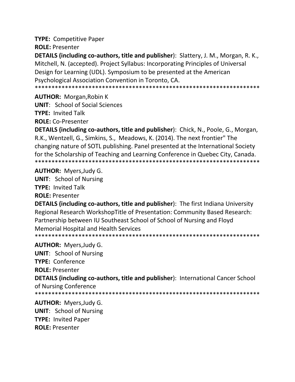**TYPE:** Competitive Paper

**ROLE: Presenter** 

DETAILS (including co-authors, title and publisher): Slattery, J. M., Morgan, R. K., Mitchell, N. (accepted). Project Syllabus: Incorporating Principles of Universal Design for Learning (UDL). Symposium to be presented at the American Psychological Association Convention in Toronto, CA. 

**AUTHOR: Morgan, Robin K** 

**UNIT:** School of Social Sciences **TYPE: Invited Talk** 

**ROLE: Co-Presenter** 

DETAILS (including co-authors, title and publisher): Chick, N., Poole, G., Morgan, R.K., Wentzell, G., Simkins, S., Meadows, K. (2014). The next frontier" The changing nature of SOTL publishing. Panel presented at the International Society for the Scholarship of Teaching and Learning Conference in Quebec City, Canada. 

**AUTHOR: Myers, Judy G.** 

**UNIT:** School of Nursing **TYPE: Invited Talk ROLE: Presenter** 

**DETAILS (including co-authors, title and publisher):** The first Indiana University Regional Research WorkshopTitle of Presentation: Community Based Research: Partnership between IU Southeast School of School of Nursing and Floyd **Memorial Hospital and Health Services** 

\*\*\*\*\*\*\*\*\*\*\*\*\*\*\*\*\*\*\*\*\*\*\*\*\*\*\*\*\*\* \*\*\*\*\*\*\*\*\*\*\*\*\*\*\*\*\*\*\*\*\*\*\*\*\*\*\*\*\*\*\*\*\*\*\*\*\*

**AUTHOR: Myers, Judy G.** 

**UNIT: School of Nursing TYPE: Conference** 

**ROLE: Presenter** 

**DETAILS (including co-authors, title and publisher):** International Cancer School of Nursing Conference

**AUTHOR: Myers, Judy G. UNIT:** School of Nursing **TYPE: Invited Paper ROLE: Presenter**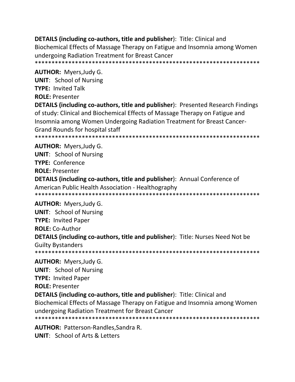**DETAILS (including co-authors, title and publisher):** Title: Clinical and Biochemical Effects of Massage Therapy on Fatigue and Insomnia among Women undergoing Radiation Treatment for Breast Cancer 

**AUTHOR: Myers, Judy G.** 

**UNIT:** School of Nursing

**TYPE: Invited Talk** 

**ROLE: Presenter** 

**DETAILS (including co-authors, title and publisher): Presented Research Findings** of study: Clinical and Biochemical Effects of Massage Therapy on Fatigue and Insomnia among Women Undergoing Radiation Treatment for Breast Cancer-**Grand Rounds for hospital staff** 

\*\*\*\*\*\*\*\*\*\*\*\*\*\*\*\*\*\*\*\*\*\* 

**AUTHOR: Myers, Judy G.** 

**UNIT:** School of Nursing **TYPE: Conference ROLE: Presenter** 

**DETAILS (including co-authors, title and publisher):** Annual Conference of American Public Health Association - Healthography 

**AUTHOR: Myers, Judy G.** 

**UNIT: School of Nursing TYPE: Invited Paper ROLE: Co-Author DETAILS (including co-authors, title and publisher):** Title: Nurses Need Not be **Guilty Bystanders** 

**AUTHOR:** Myers, Judy G. **UNIT:** School of Nursing **TYPE: Invited Paper ROLE: Presenter** 

**DETAILS (including co-authors, title and publisher):** Title: Clinical and Biochemical Effects of Massage Therapy on Fatigue and Insomnia among Women undergoing Radiation Treatment for Breast Cancer 

**AUTHOR: Patterson-Randles, Sandra R. UNIT:** School of Arts & Letters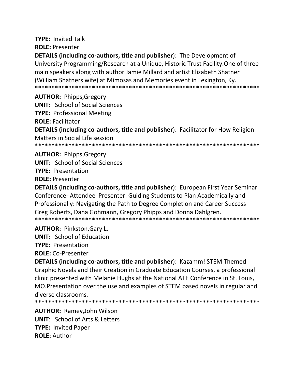**TYPE: Invited Talk ROLE: Presenter** 

**DETAILS (including co-authors, title and publisher):** The Development of University Programming/Research at a Unique, Historic Trust Facility. One of three main speakers along with author Jamie Millard and artist Elizabeth Shatner (William Shatners wife) at Mimosas and Memories event in Lexington, Ky. 

**AUTHOR: Phipps, Gregory UNIT:** School of Social Sciences **TYPE: Professional Meeting ROLE: Facilitator DETAILS (including co-authors, title and publisher):** Facilitator for How Religion Matters in Social Life session 

**AUTHOR: Phipps, Gregory** 

**UNIT:** School of Social Sciences

**TYPE: Presentation** 

**ROLE: Presenter** 

DETAILS (including co-authors, title and publisher): European First Year Seminar Conference-Attendee Presenter. Guiding Students to Plan Academically and Professionally: Navigating the Path to Degree Completion and Career Success Greg Roberts, Dana Gohmann, Gregory Phipps and Donna Dahlgren. 

**AUTHOR: Pinkston, Gary L.** 

**UNIT:** School of Education

**TYPE: Presentation** 

**ROLE: Co-Presenter** 

**DETAILS (including co-authors, title and publisher): Kazamm! STEM Themed** Graphic Novels and their Creation in Graduate Education Courses, a professional clinic presented with Melanie Hughs at the National ATE Conference in St. Louis, MO. Presentation over the use and examples of STEM based novels in regular and diverse classrooms.

**AUTHOR: Ramey, John Wilson UNIT:** School of Arts & Letters **TYPE: Invited Paper ROLE: Author**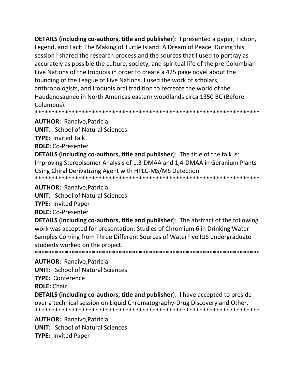**DETAILS (including co-authors, title and publisher):** I presented a paper, Fiction, Legend, and Fact: The Making of Turtle Island: A Dream of Peace. During this session I shared the research process and the sources that I used to portray as accurately as possible the culture, society, and spiritual life of the pre-Columbian Five Nations of the Iroquois in order to create a 425 page novel about the founding of the League of Five Nations. I used the work of scholars, anthropologists, and Iroquois oral tradition to recreate the world of the Haudenosaunee in North Americas eastern woodlands circa 1350 BC (Before Columbus).

**AUTHOR: Ranaivo, Patricia** 

**UNIT: School of Natural Sciences** 

**TYPE: Invited Talk** 

**ROLE: Co-Presenter** 

**DETAILS (including co-authors, title and publisher):** The title of the talk is: Improving Stereoisomer Analysis of 1,3-DMAA and 1,4-DMAA in Geranium Plants Using Chiral Derivatizing Agent with HPLC-MS/MS Detection 

**AUTHOR: Ranaivo, Patricia** 

**UNIT: School of Natural Sciences** 

**TYPE: Invited Paper** 

**ROLE:** Co-Presenter

**DETAILS (including co-authors, title and publisher):** The abstract of the following work was accepted for presentation: Studies of Chromium 6 in Drinking Water Samples Coming from Three Different Sources of WaterFive IUS undergraduate students worked on the project. 

**AUTHOR: Ranaivo, Patricia** 

**UNIT: School of Natural Sciences** 

**TYPE: Conference** 

**ROLE: Chair** 

**DETAILS (including co-authors, title and publisher):** I have accepted to preside over a technical session on Liquid Chromatography-Drug Discovery and Other. 

**AUTHOR: Ranaivo, Patricia UNIT:** School of Natural Sciences **TYPE: Invited Paper**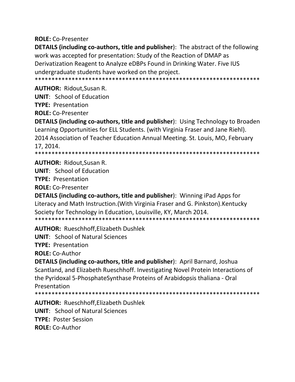**ROLE: Co-Presenter** 

**DETAILS (including co-authors, title and publisher):** The abstract of the following work was accepted for presentation: Study of the Reaction of DMAP as Derivatization Reagent to Analyze eDBPs Found in Drinking Water. Five IUS undergraduate students have worked on the project.

**AUTHOR: Ridout.Susan R.** 

**UNIT:** School of Education

**TYPE: Presentation** 

**ROLE: Co-Presenter** 

**DETAILS (including co-authors, title and publisher):** Using Technology to Broaden Learning Opportunities for ELL Students. (with Virginia Fraser and Jane Riehl). 2014 Association of Teacher Education Annual Meeting. St. Louis, MO, February 17.2014.

**AUTHOR: Ridout, Susan R.** 

**UNIT:** School of Education

**TYPE: Presentation** 

**ROLE: Co-Presenter** 

**DETAILS (including co-authors, title and publisher):** Winning iPad Apps for Literacy and Math Instruction. (With Virginia Fraser and G. Pinkston). Kentucky Society for Technology in Education, Louisville, KY, March 2014. 

**AUTHOR: Rueschhoff.Elizabeth Dushlek** 

**UNIT: School of Natural Sciences** 

**TYPE: Presentation** 

**ROLE: Co-Author** 

DETAILS (including co-authors, title and publisher): April Barnard, Joshua Scantland, and Elizabeth Rueschhoff. Investigating Novel Protein Interactions of the Pyridoxal 5-PhosphateSynthase Proteins of Arabidopsis thaliana - Oral Presentation

**AUTHOR: Rueschhoff, Elizabeth Dushlek UNIT: School of Natural Sciences TYPE: Poster Session ROLE:** Co-Author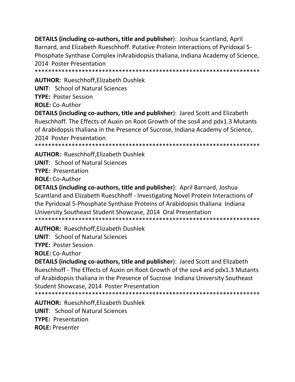DETAILS (including co-authors, title and publisher): Joshua Scantland, April Barnard, and Elizabeth Rueschhoff. Putative Protein Interactions of Pyridoxal 5-Phosphate Synthase Complex inArabidopsis thaliana, Indiana Academy of Science, 2014 Poster Presentation 

**AUTHOR: Rueschhoff, Elizabeth Dushlek** 

**UNIT: School of Natural Sciences** 

**TYPE: Poster Session** 

**ROLE: Co-Author** 

**DETAILS (including co-authors, title and publisher):** Jared Scott and Elizabeth Rueschhoff. The Effects of Auxin on Root Growth of the sos4 and pdx1.3 Mutants of Arabidopsis thaliana in the Presence of Sucrose, Indiana Academy of Science, 2014 Poster Presentation 

**AUTHOR: Rueschhoff, Elizabeth Dushlek** 

**UNIT: School of Natural Sciences** 

**TYPE: Presentation** 

**ROLE: Co-Author** 

DETAILS (including co-authors, title and publisher): April Barnard, Joshua Scantland and Elizabeth Rueschhoff - Investigating Novel Protein Interactions of the Pyridoxal 5-Phosphate Synthase Proteins of Arabidopsis thaliana Indiana University Southeast Student Showcase, 2014 Oral Presentation 

**AUTHOR: Rueschhoff.Elizabeth Dushlek** 

**UNIT: School of Natural Sciences** 

**TYPE: Poster Session** 

**ROLE: Co-Author** 

**DETAILS (including co-authors, title and publisher):** Jared Scott and Elizabeth Rueschhoff - The Effects of Auxin on Root Growth of the sos4 and pdx1.3 Mutants of Arabidopsis thaliana in the Presence of Sucrose Indiana University Southeast Student Showcase, 2014 Poster Presentation

**AUTHOR: Rueschhoff, Elizabeth Dushlek UNIT: School of Natural Sciences TYPE: Presentation ROLE: Presenter**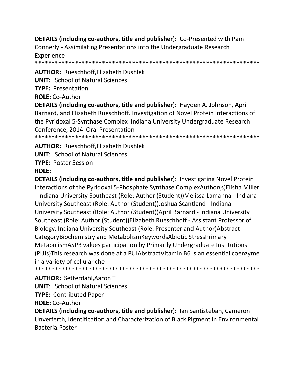**DETAILS (including co-authors, title and publisher): Co-Presented with Pam** Connerly - Assimilating Presentations into the Undergraduate Research Experience

**AUTHOR: Rueschhoff, Elizabeth Dushlek** 

**UNIT: School of Natural Sciences** 

**TYPE: Presentation** 

**ROLE: Co-Author** 

DETAILS (including co-authors, title and publisher): Hayden A. Johnson, April Barnard, and Elizabeth Rueschhoff. Investigation of Novel Protein Interactions of the Pyridoxal 5-Synthase Complex Indiana University Undergraduate Research Conference, 2014 Oral Presentation

\*\*\*\*\*\*\*\*\*\*\*\*\*\*\*\* \*\*\*\*\*\*\*\*\*\*\*\*\*\*\*\*\*\*\*\*\*\*\*\*\*\*\*\*\*\*\*\*\*\*\*\*\*\*

**AUTHOR: Rueschhoff, Elizabeth Dushlek** 

**UNIT:** School of Natural Sciences

**TYPE: Poster Session**  $ROIF:$ 

**DETAILS (including co-authors, title and publisher):** Investigating Novel Protein Interactions of the Pyridoxal 5-Phosphate Synthase ComplexAuthor(s)Elisha Miller - Indiana University Southeast (Role: Author (Student))Melissa Lamanna - Indiana University Southeast (Role: Author (Student)) Joshua Scantland - Indiana University Southeast (Role: Author (Student)) April Barnard - Indiana University Southeast (Role: Author (Student))Elizabeth Rueschhoff - Assistant Professor of Biology, Indiana University Southeast (Role: Presenter and Author) Abstract CategoryBiochemistry and MetabolismKeywordsAbiotic StressPrimary MetabolismASPB values participation by Primarily Undergraduate Institutions (PUIs) This research was done at a PUIA bstract Vitamin B6 is an essential coenzyme in a variety of cellular che 

**AUTHOR: Setterdahl, Aaron T UNIT: School of Natural Sciences** 

**TYPE: Contributed Paper** 

**ROLE: Co-Author** 

**DETAILS (including co-authors, title and publisher): Ian Santisteban, Cameron** Unverferth, Identification and Characterization of Black Pigment in Environmental **Bacteria Poster**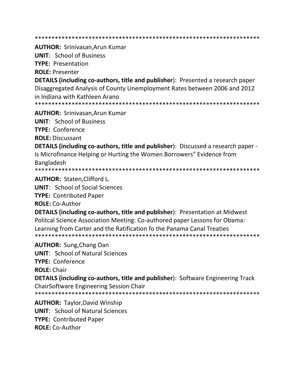**AUTHOR: Srinivasan.Arun Kumar** 

**UNIT: School of Business** 

**TYPE: Presentation** 

**ROLE: Presenter** 

**DETAILS (including co-authors, title and publisher)**: Presented a research paper Disaggregated Analysis of County Unemployment Rates between 2006 and 2012 in Indiana with Kathleen Arano

**AUTHOR: Srinivasan, Arun Kumar** 

**UNIT: School of Business** 

TYPE: Conference

**ROLE: Discussant** 

**DETAILS (including co-authors, title and publisher):** Discussed a research paper -Is Microfinance Helping or Hurting the Women Borrowers" Evidence from **Bangladesh** 

**AUTHOR: Staten.Clifford L.** 

**UNIT:** School of Social Sciences

**TYPE: Contributed Paper** 

**ROLE: Co-Author** 

**DETAILS (including co-authors, title and publisher):** Presentation at Midwest Politcal Science Association Meeting: Co-authored paper Lessons for Obama: Learning from Carter and the Ratification fo the Panama Canal Treaties 

**AUTHOR: Sung, Chang Oan** 

**UNIT:** School of Natural Sciences

**TYPE: Conference** 

**ROLE: Chair** 

**DETAILS (including co-authors, title and publisher):** Software Engineering Track **ChairSoftware Engineering Session Chair** 

**AUTHOR: Taylor, David Winship UNIT: School of Natural Sciences TYPE: Contributed Paper ROLE:** Co-Author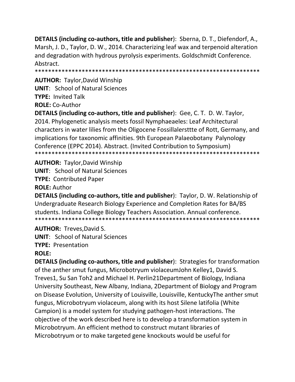DETAILS (including co-authors, title and publisher): Sberna, D. T., Diefendorf, A., Marsh, J. D., Taylor, D. W., 2014. Characterizing leaf wax and terpenoid alteration and degradation with hydrous pyrolysis experiments. Goldschmidt Conference. Abstract.

**AUTHOR: Taylor, David Winship UNIT: School of Natural Sciences TYPE: Invited Talk ROLE: Co-Author** 

**DETAILS (including co-authors, title and publisher): Gee, C. T. D. W. Taylor,** 2014. Phylogenetic analysis meets fossil Nymphaeaeles: Leaf Architectural characters in water lilies from the Oligocene Fossillalersttte of Rott, Germany, and implications for taxonomic affinities. 9th European Palaeobotany Palynology Conference (EPPC 2014). Abstract. (Invited Contribution to Symposium) 

**AUTHOR:** Taylor, David Winship **UNIT:** School of Natural Sciences **TYPE: Contributed Paper ROLE: Author** 

**DETAILS (including co-authors, title and publisher):** Taylor, D. W. Relationship of Undergraduate Research Biology Experience and Completion Rates for BA/BS students. Indiana College Biology Teachers Association. Annual conference. 

**AUTHOR: Treves.David S.** 

**UNIT: School of Natural Sciences** 

**TYPE: Presentation** 

# **ROLE:**

**DETAILS (including co-authors, title and publisher):** Strategies for transformation of the anther smut fungus, Microbotryum violaceumJohn Kelley1, David S. Treves1, Su San Toh2 and Michael H. Perlin21Department of Biology, Indiana University Southeast, New Albany, Indiana, 2Department of Biology and Program on Disease Evolution, University of Louisville, Louisville, Kentucky The anther smut fungus, Microbotryum violaceum, along with its host Silene latifolia (White Campion) is a model system for studying pathogen-host interactions. The objective of the work described here is to develop a transformation system in Microbotryum. An efficient method to construct mutant libraries of Microbotryum or to make targeted gene knockouts would be useful for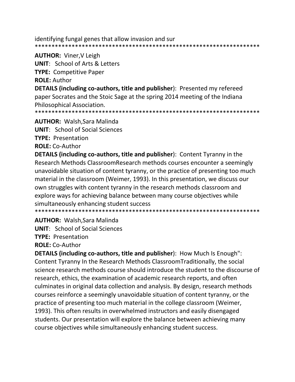identifying fungal genes that allow invasion and sur 

**AUTHOR: Viner, V Leigh** 

**UNIT:** School of Arts & Letters

**TYPE: Competitive Paper** 

**ROLE: Author** 

**DETAILS (including co-authors, title and publisher):** Presented my refereed paper Socrates and the Stoic Sage at the spring 2014 meeting of the Indiana Philosophical Association.

**AUTHOR:** Walsh, Sara Malinda

**UNIT:** School of Social Sciences

**TYPE: Presentation** 

**ROLE: Co-Author** 

**DETAILS (including co-authors, title and publisher):** Content Tyranny in the Research Methods ClassroomResearch methods courses encounter a seemingly unavoidable situation of content tyranny, or the practice of presenting too much material in the classroom (Weimer, 1993). In this presentation, we discuss our own struggles with content tyranny in the research methods classroom and explore ways for achieving balance between many course objectives while simultaneously enhancing student success

**AUTHOR: Walsh, Sara Malinda** 

**UNIT:** School of Social Sciences

**TYPE: Presentation** 

**ROLE:** Co-Author

**DETAILS (including co-authors, title and publisher):** How Much Is Enough": Content Tyranny In the Research Methods Classroom Traditionally, the social science research methods course should introduce the student to the discourse of research, ethics, the examination of academic research reports, and often culminates in original data collection and analysis. By design, research methods courses reinforce a seemingly unavoidable situation of content tyranny, or the practice of presenting too much material in the college classroom (Weimer, 1993). This often results in overwhelmed instructors and easily disengaged students. Our presentation will explore the balance between achieving many course objectives while simultaneously enhancing student success.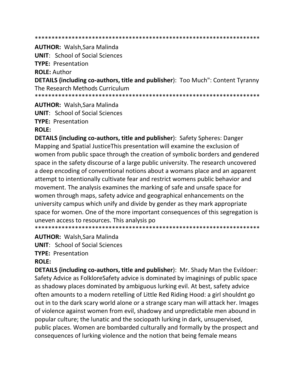#### 

**AUTHOR: Walsh, Sara Malinda UNIT:** School of Social Sciences **TYPE: Presentation ROLE: Author DETAILS (including co-authors, title and publisher)**: Too Much": Content Tyranny The Research Methods Curriculum 

**AUTHOR: Walsh, Sara Malinda** 

**UNIT:** School of Social Sciences

**TYPE: Presentation** 

**ROLE:** 

**DETAILS (including co-authors, title and publisher): Safety Spheres: Danger** Mapping and Spatial Justice This presentation will examine the exclusion of women from public space through the creation of symbolic borders and gendered space in the safety discourse of a large public university. The research uncovered a deep encoding of conventional notions about a womans place and an apparent attempt to intentionally cultivate fear and restrict womens public behavior and movement. The analysis examines the marking of safe and unsafe space for women through maps, safety advice and geographical enhancements on the university campus which unify and divide by gender as they mark appropriate space for women. One of the more important consequences of this segregation is uneven access to resources. This analysis po 

**AUTHOR: Walsh, Sara Malinda** 

**UNIT:** School of Social Sciences

**TYPE: Presentation** 

# **ROLE:**

**DETAILS (including co-authors, title and publisher):** Mr. Shady Man the Evildoer: Safety Advice as FolkloreSafety advice is dominated by imaginings of public space as shadowy places dominated by ambiguous lurking evil. At best, safety advice often amounts to a modern retelling of Little Red Riding Hood: a girl shouldnt go out in to the dark scary world alone or a strange scary man will attack her. Images of violence against women from evil, shadowy and unpredictable men abound in popular culture; the lunatic and the sociopath lurking in dark, unsupervised, public places. Women are bombarded culturally and formally by the prospect and consequences of lurking violence and the notion that being female means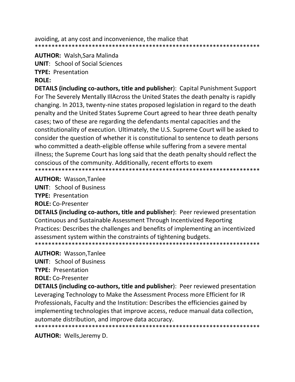avoiding, at any cost and inconvenience, the malice that 

**AUTHOR: Walsh, Sara Malinda** 

**UNIT:** School of Social Sciences

**TYPE: Presentation** 

### **ROLE:**

**DETAILS (including co-authors, title and publisher): Capital Punishment Support** For The Severely Mentally IllAcross the United States the death penalty is rapidly changing. In 2013, twenty-nine states proposed legislation in regard to the death penalty and the United States Supreme Court agreed to hear three death penalty cases; two of these are regarding the defendants mental capacities and the constitutionality of execution. Ultimately, the U.S. Supreme Court will be asked to consider the question of whether it is constitutional to sentence to death persons who committed a death-eligible offense while suffering from a severe mental illness; the Supreme Court has long said that the death penalty should reflect the conscious of the community. Additionally, recent efforts to exem 

#### **AUTHOR: Wasson, Tanlee**

**UNIT: School of Business TYPE: Presentation** 

**ROLE: Co-Presenter** 

DETAILS (including co-authors, title and publisher): Peer reviewed presentation Continuous and Sustainable Assessment Through Incentivized Reporting Practices: Describes the challenges and benefits of implementing an incentivized assessment system within the constraints of tightening budgets. 

# **AUTHOR: Wasson, Tanlee**

**UNIT: School of Business** 

**TYPE: Presentation** 

**ROLE: Co-Presenter** 

**DETAILS (including co-authors, title and publisher):** Peer reviewed presentation Leveraging Technology to Make the Assessment Process more Efficient for IR Professionals, Faculty and the Institution: Describes the efficiencies gained by implementing technologies that improve access, reduce manual data collection, automate distribution, and improve data accuracy. 

**AUTHOR:** Wells, Jeremy D.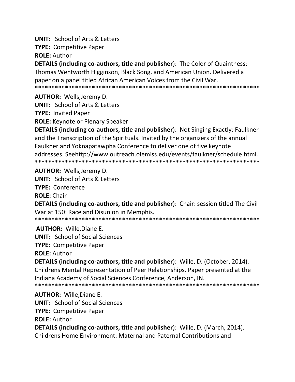**UNIT: School of Arts & Letters** 

**TYPE: Competitive Paper** 

**ROLE: Author** 

**DETAILS (including co-authors, title and publisher):** The Color of Quaintness: Thomas Wentworth Higginson, Black Song, and American Union. Delivered a paper on a panel titled African American Voices from the Civil War. 

**AUTHOR: Wells, Jeremy D.** 

**UNIT: School of Arts & Letters** 

**TYPE: Invited Paper** 

**ROLE:** Keynote or Plenary Speaker

**DETAILS (including co-authors, title and publisher):** Not Singing Exactly: Faulkner and the Transcription of the Spirituals. Invited by the organizers of the annual Faulkner and Yoknapatawpha Conference to deliver one of five keynote addresses. Seehttp://www.outreach.olemiss.edu/events/faulkner/schedule.html. 

**AUTHOR: Wells, Jeremy D.** 

**UNIT:** School of Arts & Letters

**TYPE: Conference** 

**ROLE: Chair** 

**DETAILS (including co-authors, title and publisher):** Chair: session titled The Civil War at 150: Race and Disunion in Memphis.

**AUTHOR: Wille.Diane E.** 

**UNIT:** School of Social Sciences

**TYPE: Competitive Paper** 

**ROLE: Author** 

DETAILS (including co-authors, title and publisher): Wille, D. (October, 2014). Childrens Mental Representation of Peer Relationships. Paper presented at the Indiana Academy of Social Sciences Conference, Anderson, IN. 

**AUTHOR: Wille, Diane E.** 

**UNIT:** School of Social Sciences

**TYPE: Competitive Paper** 

**ROLE: Author** 

**DETAILS (including co-authors, title and publisher):** Wille, D. (March, 2014). Childrens Home Environment: Maternal and Paternal Contributions and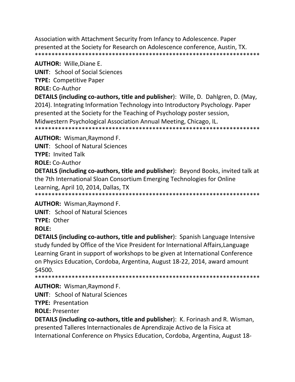Association with Attachment Security from Infancy to Adolescence. Paper presented at the Society for Research on Adolescence conference, Austin, TX. 

# **AUTHOR: Wille, Diane E.**

**UNIT:** School of Social Sciences

**TYPE: Competitive Paper** 

**ROLE: Co-Author** 

DETAILS (including co-authors, title and publisher): Wille, D. Dahlgren, D. (May, 2014). Integrating Information Technology into Introductory Psychology. Paper presented at the Society for the Teaching of Psychology poster session, Midwestern Psychological Association Annual Meeting, Chicago, IL. 

**AUTHOR: Wisman, Raymond F.** 

**UNIT: School of Natural Sciences** 

**TYPE: Invited Talk** 

**ROLE: Co-Author** 

**DETAILS (including co-authors, title and publisher):** Beyond Books, invited talk at the 7th International Sloan Consortium Emerging Technologies for Online Learning, April 10, 2014, Dallas, TX 

**AUTHOR: Wisman, Raymond F.** 

**UNIT: School of Natural Sciences** 

TYPE: Other

# **ROLE:**

**DETAILS (including co-authors, title and publisher)**: Spanish Language Intensive study funded by Office of the Vice President for International Affairs, Language Learning Grant in support of workshops to be given at International Conference on Physics Education, Cordoba, Argentina, August 18-22, 2014, award amount \$4500.

**AUTHOR: Wisman, Raymond F.** 

**UNIT:** School of Natural Sciences

**TYPE: Presentation** 

**ROLE: Presenter** 

**DETAILS (including co-authors, title and publisher):** K. Forinash and R. Wisman, presented Talleres Internactionales de Aprendizaje Activo de la Fisica at International Conference on Physics Education, Cordoba, Argentina, August 18-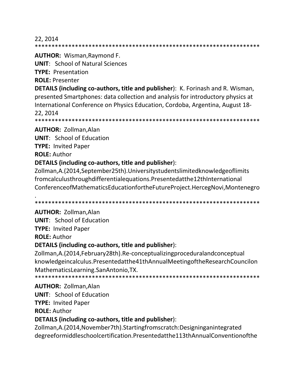#### 22, 2014

\*\*\*\*\*\*\*\*\*\*\*\*\*\*\*\*\*\*\*\*\*\*\*\*\*\*\*\*\*\*\*\*\*\*\*\*\*\*\*\*\*\*\*\*\*\*\*\*\*\*\*\*\*\*\*\*\*\*\*\*\*\*\*\*\*\*\*

#### **AUTHOR:** Wisman,Raymond F.

**UNIT**: School of Natural Sciences

**TYPE:** Presentation

**ROLE:** Presenter

**DETAILS (including co-authors, title and publisher**): K. Forinash and R. Wisman, presented Smartphones: data collection and analysis for introductory physics at International Conference on Physics Education, Cordoba, Argentina, August 18- 22, 2014

\*\*\*\*\*\*\*\*\*\*\*\*\*\*\*\*\*\*\*\*\*\*\*\*\*\*\*\*\*\*\*\*\*\*\*\*\*\*\*\*\*\*\*\*\*\*\*\*\*\*\*\*\*\*\*\*\*\*\*\*\*\*\*\*\*\*\*

#### **AUTHOR:** Zollman,Alan

**UNIT**: School of Education

**TYPE:** Invited Paper

**ROLE:** Author

## **DETAILS (including co-authors, title and publisher**):

Zollman,A.(2014,September25th).Universitystudentslimitedknowledgeoflimits fromcalculusthroughdifferentialequations.Presentedatthe12thInternational ConferenceofMathematicsEducationfortheFutureProject.HercegNovi,Montenegro

. \*\*\*\*\*\*\*\*\*\*\*\*\*\*\*\*\*\*\*\*\*\*\*\*\*\*\*\*\*\*\*\*\*\*\*\*\*\*\*\*\*\*\*\*\*\*\*\*\*\*\*\*\*\*\*\*\*\*\*\*\*\*\*\*\*\*\*

# **AUTHOR:** Zollman,Alan

**UNIT**: School of Education **TYPE:** Invited Paper **ROLE:** Author

#### **DETAILS (including co-authors, title and publisher**):

Zollman,A.(2014,February28th).Re-conceptualizingproceduralandconceptual knowledgeincalculus.Presentedatthe41thAnnualMeetingoftheResearchCouncilon MathematicsLearning.SanAntonio,TX.

\*\*\*\*\*\*\*\*\*\*\*\*\*\*\*\*\*\*\*\*\*\*\*\*\*\*\*\*\*\*\*\*\*\*\*\*\*\*\*\*\*\*\*\*\*\*\*\*\*\*\*\*\*\*\*\*\*\*\*\*\*\*\*\*\*\*\*

#### **AUTHOR:** Zollman,Alan

**UNIT**: School of Education

**TYPE:** Invited Paper

**ROLE:** Author

#### **DETAILS (including co-authors, title and publisher**):

Zollman,A.(2014,November7th).Startingfromscratch:Designinganintegrated degreeformiddleschoolcertification.Presentedatthe113thAnnualConventionofthe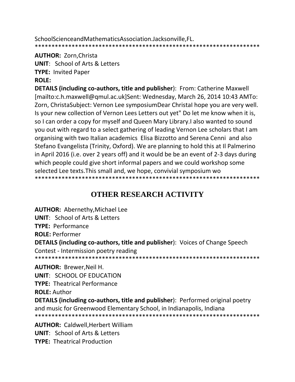SchoolScienceandMathematicsAssociation.Jacksonville, FL. 

#### **AUTHOR: Zorn, Christa**

**UNIT:** School of Arts & Letters

**TYPE: Invited Paper** 

# **ROLE:**

**DETAILS (including co-authors, title and publisher):** From: Catherine Maxwell [mailto:c.h.maxwell@qmul.ac.uk]Sent: Wednesday, March 26, 2014 10:43 AMTo: Zorn, ChristaSubject: Vernon Lee symposiumDear Christal hope you are very well. Is your new collection of Vernon Lees Letters out yet" Do let me know when it is, so I can order a copy for myself and Queen Mary Library. I also wanted to sound you out with regard to a select gathering of leading Vernon Lee scholars that I am organising with two Italian academics Elisa Bizzotto and Serena Cenni and also Stefano Evangelista (Trinity, Oxford). We are planning to hold this at Il Palmerino in April 2016 (i.e. over 2 years off) and it would be be an event of 2-3 days during which people could give short informal papers and we could workshop some selected Lee texts. This small and, we hope, convivial symposium wo 

# **OTHER RESEARCH ACTIVITY**

**AUTHOR: Abernethy, Michael Lee UNIT: School of Arts & Letters TYPE: Performance ROLE: Performer DETAILS (including co-authors, title and publisher):** Voices of Change Speech Contest - Intermission poetry reading **AUTHOR: Brewer, Neil H. UNIT: SCHOOL OF EDUCATION TYPE: Theatrical Performance ROLE: Author DETAILS (including co-authors, title and publisher):** Performed original poetry and music for Greenwood Elementary School, in Indianapolis, Indiana **AUTHOR: Caldwell, Herbert William** 

**UNIT:** School of Arts & Letters **TYPE: Theatrical Production**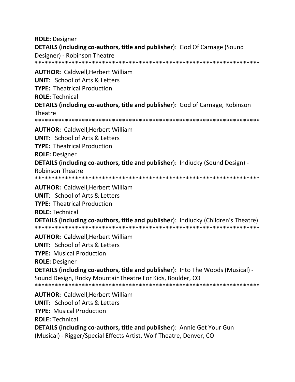**ROLE: Designer** DETAILS (including co-authors, title and publisher): God Of Carnage (Sound Designer) - Robinson Theatre **AUTHOR: Caldwell, Herbert William UNIT:** School of Arts & Letters **TYPE: Theatrical Production ROLE: Technical DETAILS (including co-authors, title and publisher):** God of Carnage, Robinson Theatre **AUTHOR: Caldwell.Herbert William UNIT: School of Arts & Letters TYPE: Theatrical Production ROLE: Designer DETAILS (including co-authors, title and publisher):** Indiucky (Sound Design) -**Robinson Theatre AUTHOR: Caldwell, Herbert William UNIT:** School of Arts & Letters **TYPE: Theatrical Production ROLE: Technical DETAILS (including co-authors, title and publisher):** Indiucky (Children's Theatre) **AUTHOR: Caldwell, Herbert William UNIT:** School of Arts & Letters **TYPE:** Musical Production **ROLE: Designer DETAILS (including co-authors, title and publisher):** Into The Woods (Musical) -Sound Design, Rocky MountainTheatre For Kids, Boulder, CO **AUTHOR: Caldwell, Herbert William UNIT: School of Arts & Letters TYPE: Musical Production ROLE: Technical DETAILS (including co-authors, title and publisher):** Annie Get Your Gun (Musical) - Rigger/Special Effects Artist, Wolf Theatre, Denver, CO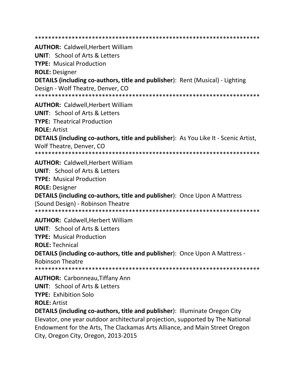**AUTHOR: Caldwell.Herbert William UNIT:** School of Arts & Letters **TYPE: Musical Production ROLE: Designer DETAILS (including co-authors, title and publisher):** Rent (Musical) - Lighting Design - Wolf Theatre, Denver, CO **AUTHOR: Caldwell, Herbert William UNIT:** School of Arts & Letters **TYPE: Theatrical Production ROLE: Artist DETAILS (including co-authors, title and publisher):** As You Like It - Scenic Artist, Wolf Theatre, Denver, CO **AUTHOR: Caldwell, Herbert William UNIT:** School of Arts & Letters **TYPE: Musical Production ROLE: Designer DETAILS (including co-authors, title and publisher):** Once Upon A Mattress (Sound Design) - Robinson Theatre **AUTHOR: Caldwell, Herbert William UNIT: School of Arts & Letters TYPE: Musical Production ROLE: Technical** DETAILS (including co-authors, title and publisher): Once Upon A Mattress -**Robinson Theatre AUTHOR: Carbonneau, Tiffany Ann UNIT:** School of Arts & Letters **TYPE: Exhibition Solo ROLE: Artist DETAILS (including co-authors, title and publisher): Illuminate Oregon City** Elevator, one year outdoor architectural projection, supported by The National Endowment for the Arts, The Clackamas Arts Alliance, and Main Street Oregon

City, Oregon City, Oregon, 2013-2015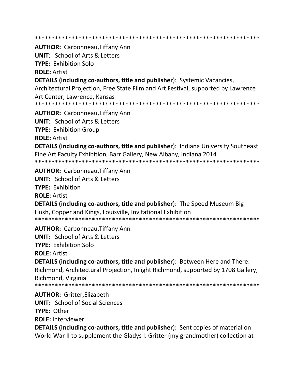\*\*\*\*\*\*\*\*\*\*\*\*\*\*\*\*\*\*\*\*\*\*\*\*\*\*\*\*\*\*\*\*\*\*\*\*\*\*\*\*\*\*\*\*\*\*\*\*\*\*\*\*\*\*\*\*\*\*\*\*\*\*\*\*\*\*\* **AUTHOR:** Carbonneau,Tiffany Ann **UNIT**: School of Arts & Letters **TYPE:** Exhibition Solo **ROLE:** Artist **DETAILS (including co-authors, title and publisher**): Systemic Vacancies, Architectural Projection, Free State Film and Art Festival, supported by Lawrence Art Center, Lawrence, Kansas \*\*\*\*\*\*\*\*\*\*\*\*\*\*\*\*\*\*\*\*\*\*\*\*\*\*\*\*\*\*\*\*\*\*\*\*\*\*\*\*\*\*\*\*\*\*\*\*\*\*\*\*\*\*\*\*\*\*\*\*\*\*\*\*\*\*\* **AUTHOR:** Carbonneau,Tiffany Ann **UNIT**: School of Arts & Letters **TYPE:** Exhibition Group **ROLE:** Artist **DETAILS (including co-authors, title and publisher**): Indiana University Southeast Fine Art Faculty Exhibition, Barr Gallery, New Albany, Indiana 2014 \*\*\*\*\*\*\*\*\*\*\*\*\*\*\*\*\*\*\*\*\*\*\*\*\*\*\*\*\*\*\*\*\*\*\*\*\*\*\*\*\*\*\*\*\*\*\*\*\*\*\*\*\*\*\*\*\*\*\*\*\*\*\*\*\*\*\* **AUTHOR:** Carbonneau,Tiffany Ann **UNIT**: School of Arts & Letters **TYPE:** Exhibition **ROLE:** Artist **DETAILS (including co-authors, title and publisher**): The Speed Museum Big Hush, Copper and Kings, Louisville, Invitational Exhibition \*\*\*\*\*\*\*\*\*\*\*\*\*\*\*\*\*\*\*\*\*\*\*\*\*\*\*\*\*\*\*\*\*\*\*\*\*\*\*\*\*\*\*\*\*\*\*\*\*\*\*\*\*\*\*\*\*\*\*\*\*\*\*\*\*\*\* **AUTHOR:** Carbonneau,Tiffany Ann **UNIT**: School of Arts & Letters **TYPE:** Exhibition Solo **ROLE:** Artist **DETAILS (including co-authors, title and publisher**): Between Here and There: Richmond, Architectural Projection, Inlight Richmond, supported by 1708 Gallery, Richmond, Virginia \*\*\*\*\*\*\*\*\*\*\*\*\*\*\*\*\*\*\*\*\*\*\*\*\*\*\*\*\*\*\*\*\*\*\*\*\*\*\*\*\*\*\*\*\*\*\*\*\*\*\*\*\*\*\*\*\*\*\*\*\*\*\*\*\*\*\* **AUTHOR:** Gritter,Elizabeth **UNIT**: School of Social Sciences **TYPE:** Other **ROLE:** Interviewer **DETAILS (including co-authors, title and publisher**): Sent copies of material on

World War II to supplement the Gladys I. Gritter (my grandmother) collection at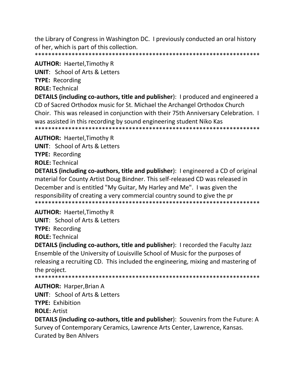the Library of Congress in Washington DC. I previously conducted an oral history of her, which is part of this collection. 

### **AUTHOR: Haertel, Timothy R**

**UNIT: School of Arts & Letters** 

**TYPE:** Recording

**ROLE: Technical** 

DETAILS (including co-authors, title and publisher): I produced and engineered a CD of Sacred Orthodox music for St. Michael the Archangel Orthodox Church Choir. This was released in conjunction with their 75th Anniversary Celebration. I was assisted in this recording by sound engineering student Niko Kas 

**AUTHOR: Haertel, Timothy R** 

**UNIT: School of Arts & Letters** 

**TYPE: Recording** 

**ROLE: Technical** 

**DETAILS (including co-authors, title and publisher):** I engineered a CD of original material for County Artist Doug Bindner. This self-released CD was released in December and is entitled "My Guitar, My Harley and Me". I was given the responsibility of creating a very commercial country sound to give the pr 

# **AUTHOR: Haertel, Timothy R**

**UNIT: School of Arts & Letters** 

**TYPE: Recording** 

**ROLE: Technical** 

**DETAILS (including co-authors, title and publisher):** I recorded the Faculty Jazz Ensemble of the University of Louisville School of Music for the purposes of releasing a recruiting CD. This included the engineering, mixing and mastering of the project.

# **AUTHOR: Harper, Brian A**

**UNIT:** School of Arts & Letters

**TYPE: Exhibition** 

**ROLE: Artist** 

**DETAILS (including co-authors, title and publisher):** Souvenirs from the Future: A Survey of Contemporary Ceramics, Lawrence Arts Center, Lawrence, Kansas. **Curated by Ben Ahlvers**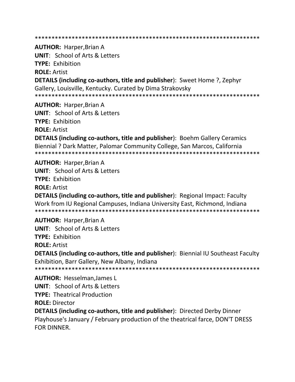\*\*\*\*\*\*\*\*\*\*\*\*\*\*\*\*\*\*\*\*\*\*\*\*\*\*\*\*\*\*\*\*\*\*\*\*\*\*\*\*\*\*\*\*\*\*\*\*\*\*\*\*\*\*\*\*\*\*\*\*\*\*\*\*\*\*\*

**AUTHOR:** Harper,Brian A

**UNIT**: School of Arts & Letters **TYPE:** Exhibition **ROLE:** Artist **DETAILS (including co-authors, title and publisher**): Sweet Home ?, Zephyr Gallery, Louisville, Kentucky. Curated by Dima Strakovsky \*\*\*\*\*\*\*\*\*\*\*\*\*\*\*\*\*\*\*\*\*\*\*\*\*\*\*\*\*\*\*\*\*\*\*\*\*\*\*\*\*\*\*\*\*\*\*\*\*\*\*\*\*\*\*\*\*\*\*\*\*\*\*\*\*\*\*

**AUTHOR:** Harper,Brian A **UNIT**: School of Arts & Letters **TYPE:** Exhibition **ROLE:** Artist

**DETAILS (including co-authors, title and publisher**): Boehm Gallery Ceramics Biennial ? Dark Matter, Palomar Community College, San Marcos, California \*\*\*\*\*\*\*\*\*\*\*\*\*\*\*\*\*\*\*\*\*\*\*\*\*\*\*\*\*\*\*\*\*\*\*\*\*\*\*\*\*\*\*\*\*\*\*\*\*\*\*\*\*\*\*\*\*\*\*\*\*\*\*\*\*\*\*

**AUTHOR:** Harper,Brian A **UNIT**: School of Arts & Letters **TYPE:** Exhibition

**ROLE:** Artist

**DETAILS (including co-authors, title and publisher**): Regional Impact: Faculty Work from IU Regional Campuses, Indiana University East, Richmond, Indiana \*\*\*\*\*\*\*\*\*\*\*\*\*\*\*\*\*\*\*\*\*\*\*\*\*\*\*\*\*\*\*\*\*\*\*\*\*\*\*\*\*\*\*\*\*\*\*\*\*\*\*\*\*\*\*\*\*\*\*\*\*\*\*\*\*\*\*

**AUTHOR:** Harper,Brian A **UNIT**: School of Arts & Letters **TYPE:** Exhibition **ROLE:** Artist

**DETAILS (including co-authors, title and publisher**): Biennial IU Southeast Faculty Exhibition, Barr Gallery, New Albany, Indiana

\*\*\*\*\*\*\*\*\*\*\*\*\*\*\*\*\*\*\*\*\*\*\*\*\*\*\*\*\*\*\*\*\*\*\*\*\*\*\*\*\*\*\*\*\*\*\*\*\*\*\*\*\*\*\*\*\*\*\*\*\*\*\*\*\*\*\*

**AUTHOR:** Hesselman,James L **UNIT**: School of Arts & Letters **TYPE:** Theatrical Production **ROLE:** Director

**DETAILS (including co-authors, title and publisher**): Directed Derby Dinner Playhouse's January / February production of the theatrical farce, DON'T DRESS FOR DINNER.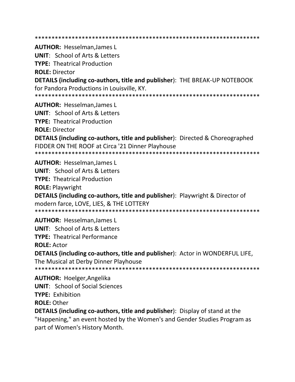**AUTHOR: Hesselman, James L UNIT:** School of Arts & Letters **TYPE: Theatrical Production ROLE: Director DETAILS (including co-authors, title and publisher): THE BREAK-UP NOTEBOOK** for Pandora Productions in Louisville, KY. **AUTHOR: Hesselman, James L UNIT:** School of Arts & Letters **TYPE: Theatrical Production ROLE: Director DETAILS (including co-authors, title and publisher):** Directed & Choreographed FIDDER ON THE ROOF at Circa '21 Dinner Playhouse **AUTHOR: Hesselman, James L UNIT:** School of Arts & Letters **TYPE: Theatrical Production ROLE: Playwright DETAILS (including co-authors, title and publisher)**: Playwright & Director of modern farce, LOVE, LIES, & THE LOTTERY **AUTHOR: Hesselman, James L UNIT: School of Arts & Letters TYPE: Theatrical Performance ROLE: Actor** DETAILS (including co-authors, title and publisher): Actor in WONDERFUL LIFE, The Musical at Derby Dinner Playhouse **AUTHOR: Hoelger, Angelika UNIT:** School of Social Sciences **TYPE: Exhibition ROLE: Other** 

**DETAILS (including co-authors, title and publisher)**: Display of stand at the "Happening," an event hosted by the Women's and Gender Studies Program as part of Women's History Month.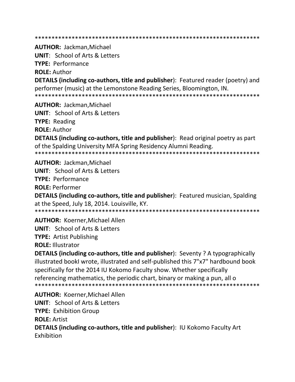**AUTHOR: Jackman, Michael** 

**UNIT:** School of Arts & Letters

**TYPE: Performance** 

**ROLE: Author** 

**DETAILS (including co-authors, title and publisher)**: Featured reader (poetry) and performer (music) at the Lemonstone Reading Series, Bloomington, IN. 

**AUTHOR: Jackman, Michael UNIT:** School of Arts & Letters **TYPE:** Reading **ROLE: Author DETAILS (including co-authors, title and publisher):** Read original poetry as part of the Spalding University MFA Spring Residency Alumni Reading.

**AUTHOR: Jackman, Michael** 

**UNIT:** School of Arts & Letters

**TYPE: Performance** 

**ROLE: Performer** 

**DETAILS (including co-authors, title and publisher):** Featured musician, Spalding at the Speed, July 18, 2014. Louisville, KY.

**AUTHOR: Koerner, Michael Allen UNIT: School of Arts & Letters** 

**TYPE:** Artist Publishing

**ROLE: Illustrator** 

**DETAILS (including co-authors, title and publisher):** Seventy ? A typographically illustrated bookl wrote, illustrated and self-published this 7"x7" hardbound book specifically for the 2014 IU Kokomo Faculty show. Whether specifically referencing mathematics, the periodic chart, binary or making a pun, all o 

**AUTHOR: Koerner, Michael Allen UNIT: School of Arts & Letters TYPE: Exhibition Group ROLE: Artist DETAILS (including co-authors, title and publisher): IU Kokomo Faculty Art** Exhibition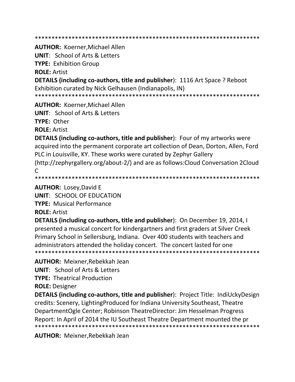**AUTHOR: Koerner, Michael Allen** 

**UNIT: School of Arts & Letters** 

**TYPE: Exhibition Group** 

**ROLE: Artist** 

**DETAILS (including co-authors, title and publisher): 1116 Art Space ? Reboot** Exhibition curated by Nick Gelhausen (Indianapolis, IN)

**AUTHOR: Koerner, Michael Allen** 

**UNIT:** School of Arts & Letters

**TYPE: Other** 

**ROLE: Artist** 

**DETAILS (including co-authors, title and publisher)**: Four of my artworks were acquired into the permanent corporate art collection of Dean, Dorton, Allen, Ford PLC in Louisville, KY. These works were curated by Zephyr Gallery (http://zephyrgallery.org/about-2/) and are as follows: Cloud Conversation 2Cloud  $\mathcal{C}$ 

**AUTHOR: Losey, David E** 

**UNIT: SCHOOL OF EDUCATION** 

**TYPE: Musical Performance** 

**ROLE: Artist** 

**DETAILS (including co-authors, title and publisher):** On December 19, 2014, I presented a musical concert for kindergartners and first graders at Silver Creek Primary School in Sellersburg, Indiana. Over 400 students with teachers and administrators attended the holiday concert. The concert lasted for one 

**AUTHOR: Meixner, Rebekkah Jean** 

**UNIT: School of Arts & Letters** 

**TYPE: Theatrical Production** 

**ROLE: Designer** 

**DETAILS (including co-authors, title and publisher): Project Title: IndiUckyDesign** credits: Scenery, Lighting Produced for Indiana University Southeast, Theatre DepartmentOgle Center; Robinson TheatreDirector: Jim Hesselman Progress Report: In April of 2014 the IU Southeast Theatre Department mounted the pr 

**AUTHOR: Meixner, Rebekkah Jean**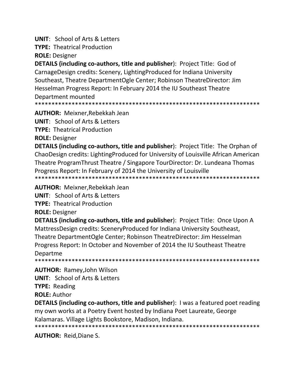**UNIT: School of Arts & Letters** 

**TYPE: Theatrical Production** 

**ROLE: Designer** 

**DETAILS (including co-authors, title and publisher): Project Title: God of** CarnageDesign credits: Scenery, LightingProduced for Indiana University Southeast, Theatre DepartmentOgle Center; Robinson TheatreDirector: Jim Hesselman Progress Report: In February 2014 the IU Southeast Theatre Department mounted

**AUTHOR: Meixner, Rebekkah Jean** 

**UNIT:** School of Arts & Letters

**TYPE: Theatrical Production** 

**ROLE: Designer** 

**DETAILS (including co-authors, title and publisher):** Project Title: The Orphan of ChaoDesign credits: LightingProduced for University of Louisville African American Theatre ProgramThrust Theatre / Singapore TourDirector: Dr. Lundeana Thomas Progress Report: In February of 2014 the University of Louisville 

**AUTHOR: Meixner, Rebekkah Jean** 

**UNIT:** School of Arts & Letters

**TYPE: Theatrical Production** 

**ROLE: Designer** 

**DETAILS (including co-authors, title and publisher): Project Title: Once Upon A** MattressDesign credits: SceneryProduced for Indiana University Southeast, Theatre DepartmentOgle Center; Robinson TheatreDirector: Jim Hesselman Progress Report: In October and November of 2014 the IU Southeast Theatre Departme

**AUTHOR: Ramey, John Wilson UNIT:** School of Arts & Letters **TYPE: Reading ROLE: Author** 

**DETAILS (including co-authors, title and publisher)**: I was a featured poet reading my own works at a Poetry Event hosted by Indiana Poet Laureate, George Kalamaras. Village Lights Bookstore, Madison, Indiana. 

**AUTHOR: Reid, Diane S.**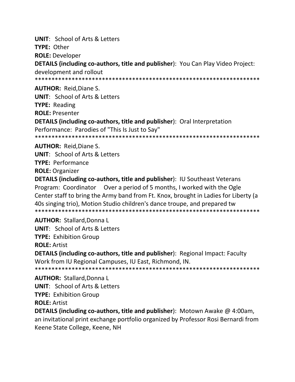**UNIT: School of Arts & Letters** TYPE: Other **ROLE: Developer DETAILS (including co-authors, title and publisher): You Can Play Video Project:** development and rollout **AUTHOR: Reid.Diane S. UNIT: School of Arts & Letters TYPE:** Reading **ROLE: Presenter DETAILS (including co-authors, title and publisher):** Oral Interpretation Performance: Parodies of "This Is Just to Say"

**AUTHOR: Reid.Diane S.** 

**UNIT:** School of Arts & Letters **TYPE: Performance ROLE: Organizer** 

**DETAILS (including co-authors, title and publisher): IU Southeast Veterans** Program: Coordinator Over a period of 5 months, I worked with the Ogle Center staff to bring the Army band from Ft. Knox, brought in Ladies for Liberty (a 40s singing trio), Motion Studio children's dance troupe, and prepared tw 

**AUTHOR: Stallard, Donna L UNIT: School of Arts & Letters TYPE: Exhibition Group ROLE: Artist DETAILS (including co-authors, title and publisher):** Regional Impact: Faculty Work from IU Regional Campuses, IU East, Richmond, IN.

**AUTHOR: Stallard, Donna L UNIT:** School of Arts & Letters **TYPE: Exhibition Group ROLE: Artist** 

**DETAILS (including co-authors, title and publisher)**: Motown Awake  $@$  4:00am, an invitational print exchange portfolio organized by Professor Rosi Bernardi from Keene State College, Keene, NH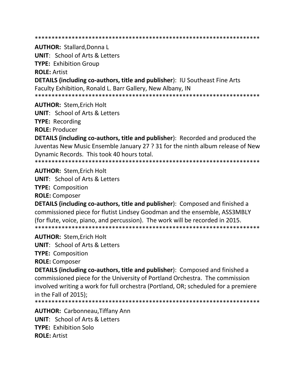**AUTHOR: Stallard, Donna L** 

**UNIT: School of Arts & Letters TYPE: Exhibition Group ROLE: Artist DETAILS (including co-authors, title and publisher): IU Southeast Fine Arts** 

Faculty Exhibition, Ronald L. Barr Gallery, New Albany, IN 

**AUTHOR: Stem, Erich Holt UNIT:** School of Arts & Letters **TYPE:** Recording

**ROLE: Producer** 

**DETAILS (including co-authors, title and publisher):** Recorded and produced the Juventas New Music Ensemble January 27 ? 31 for the ninth album release of New Dynamic Records. This took 40 hours total.

**AUTHOR: Stem.Erich Holt UNIT: School of Arts & Letters TYPE: Composition ROLE: Composer** 

**DETAILS (including co-authors, title and publisher):** Composed and finished a commissioned piece for flutist Lindsey Goodman and the ensemble, ASS3MBLY (for flute, voice, piano, and percussion). The work will be recorded in 2015. 

**AUTHOR: Stem, Erich Holt** 

**UNIT:** School of Arts & Letters

**TYPE: Composition** 

**ROLE: Composer** 

**DETAILS (including co-authors, title and publisher):** Composed and finished a commissioned piece for the University of Portland Orchestra. The commission involved writing a work for full orchestra (Portland, OR; scheduled for a premiere in the Fall of 2015);

**AUTHOR: Carbonneau, Tiffany Ann UNIT:** School of Arts & Letters TYPF: Exhibition Solo **ROLE: Artist**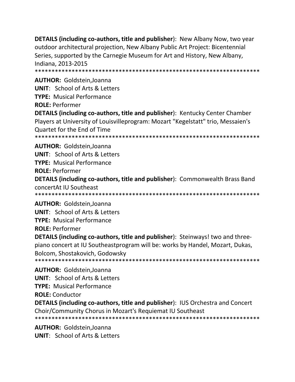**DETAILS (including co-authors, title and publisher):** New Albany Now, two year outdoor architectural projection, New Albany Public Art Project: Bicentennial Series, supported by the Carnegie Museum for Art and History, New Albany, Indiana, 2013-2015

**AUTHOR: Goldstein, Joanna UNIT: School of Arts & Letters TYPE:** Musical Performance

**ROLE: Performer** 

**DETAILS (including co-authors, title and publisher): Kentucky Center Chamber** Players at University of Louisvilleprogram: Mozart "Kegelstatt" trio, Messaien's Quartet for the End of Time 

**AUTHOR: Goldstein.Joanna** 

**UNIT:** School of Arts & Letters

**TYPE: Musical Performance** 

**ROLE: Performer** 

**DETAILS (including co-authors, title and publisher): Commonwealth Brass Band** concertAt IU Southeast

**AUTHOR: Goldstein, Joanna UNIT:** School of Arts & Letters **TYPE:** Musical Performance **ROLE: Performer** 

**DETAILS (including co-authors, title and publisher)**: Steinways! two and threepiano concert at IU Southeastprogram will be: works by Handel, Mozart, Dukas, Bolcom, Shostakovich, Godowsky 

**AUTHOR: Goldstein, Joanna UNIT:** School of Arts & Letters **TYPE:** Musical Performance **ROLE: Conductor** DETAILS (including co-authors, title and publisher): IUS Orchestra and Concert Choir/Community Chorus in Mozart's Requiemat IU Southeast 

**AUTHOR: Goldstein, Joanna UNIT:** School of Arts & Letters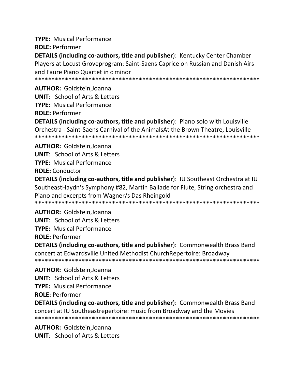**TYPE:** Musical Performance

**ROLE: Performer** 

**DETAILS (including co-authors, title and publisher): Kentucky Center Chamber** Players at Locust Groveprogram: Saint-Saens Caprice on Russian and Danish Airs and Faure Piano Quartet in c minor

**AUTHOR: Goldstein.Joanna** 

**UNIT: School of Arts & Letters** 

**TYPE:** Musical Performance

**ROLE: Performer** 

**DETAILS (including co-authors, title and publisher)**: Piano solo with Louisville Orchestra - Saint-Saens Carnival of the AnimalsAt the Brown Theatre, Louisville 

**AUTHOR: Goldstein.Joanna** 

**UNIT:** School of Arts & Letters

**TYPE: Musical Performance** 

**ROLE:** Conductor

**DETAILS (including co-authors, title and publisher): IU Southeast Orchestra at IU** SoutheastHaydn's Symphony #82, Martin Ballade for Flute, String orchestra and Piano and excerpts from Wagner/s Das Rheingold 

**AUTHOR: Goldstein, Joanna** 

**UNIT: School of Arts & Letters** 

**TYPE: Musical Performance** 

**ROLE: Performer** 

**DETAILS (including co-authors, title and publisher): Commonwealth Brass Band** concert at Edwardsville United Methodist Church Repertoire: Broadway 

**AUTHOR: Goldstein.Joanna UNIT:** School of Arts & Letters **TYPE:** Musical Performance

**ROLE: Performer** 

**DETAILS (including co-authors, title and publisher): Commonwealth Brass Band** concert at IU Southeastrepertoire: music from Broadway and the Movies 

**AUTHOR: Goldstein, Joanna UNIT:** School of Arts & Letters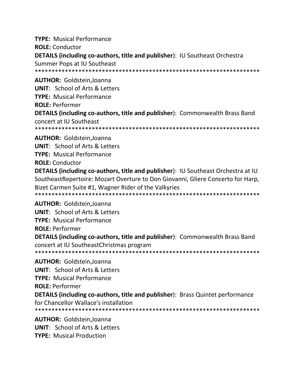**TYPE:** Musical Performance **ROLE:** Conductor DETAILS (including co-authors, title and publisher): IU Southeast Orchestra Summer Pops at IU Southeast **AUTHOR: Goldstein, Joanna UNIT:** School of Arts & Letters

**TYPE:** Musical Performance **ROLE: Performer** DETAILS (including co-authors, title and publisher): Commonwealth Brass Band concert at IU Southeast 

**AUTHOR: Goldstein, Joanna UNIT: School of Arts & Letters TYPE:** Musical Performance **ROLE: Conductor** 

**DETAILS (including co-authors, title and publisher): IU Southeast Orchestra at IU** Southeast Repertoire: Mozart Overture to Don Giovanni, Gliere Concerto for Harp, Bizet Carmen Suite #1, Wagner Rider of the Valkyries 

**AUTHOR: Goldstein, Joanna UNIT:** School of Arts & Letters **TYPE:** Musical Performance **ROLE: Performer DETAILS (including co-authors, title and publisher): Commonwealth Brass Band** concert at IU Southeast Christmas program **AUTHOR: Goldstein, Joanna UNIT: School of Arts & Letters TYPE:** Musical Performance **ROLE: Performer** 

**DETAILS (including co-authors, title and publisher):** Brass Quintet performance for Chancellor Wallace's installation 

**AUTHOR: Goldstein, Joanna UNIT:** School of Arts & Letters **TYPE:** Musical Production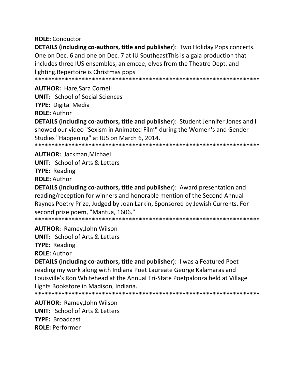**ROLE: Conductor** 

**DETAILS (including co-authors, title and publisher):** Two Holiday Pops concerts. One on Dec. 6 and one on Dec. 7 at IU Southeast This is a gala production that includes three IUS ensembles, an emcee, elves from the Theatre Dept. and lighting. Repertoire is Christmas pops

**AUTHOR: Hare Sara Cornell** 

**UNIT:** School of Social Sciences

**TYPE:** Digital Media

**ROLE: Author** 

**DETAILS (including co-authors, title and publisher):** Student Jennifer Jones and I showed our video "Sexism in Animated Film" during the Women's and Gender Studies "Happening" at IUS on March 6, 2014.

**AUTHOR: Jackman, Michael** 

**UNIT:** School of Arts & Letters

**TYPE: Reading** 

**ROLE: Author** 

**DETAILS (including co-authors, title and publisher):** Award presentation and reading/reception for winners and honorable mention of the Second Annual Raynes Poetry Prize, Judged by Joan Larkin, Sponsored by Jewish Currents. For second prize poem, "Mantua, 1606."

**AUTHOR: Ramey.John Wilson** 

**UNIT:** School of Arts & Letters

**TYPE: Reading** 

**ROLE: Author** 

**DETAILS (including co-authors, title and publisher):** I was a Featured Poet reading my work along with Indiana Poet Laureate George Kalamaras and Louisville's Ron Whitehead at the Annual Tri-State Poetpalooza held at Village Lights Bookstore in Madison, Indiana.

**AUTHOR: Ramey, John Wilson UNIT: School of Arts & Letters TYPE: Broadcast ROLE: Performer**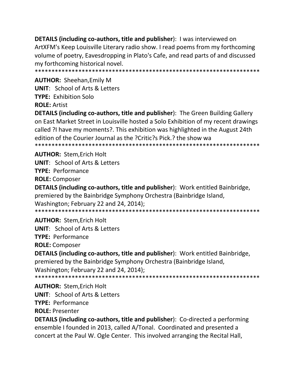**DETAILS (including co-authors, title and publisher):** I was interviewed on ArtXFM's Keep Louisville Literary radio show. I read poems from my forthcoming volume of poetry, Eavesdropping in Plato's Cafe, and read parts of and discussed my forthcoming historical novel. 

**AUTHOR: Sheehan, Emily M UNIT:** School of Arts & Letters **TYPE: Exhibition Solo ROLE: Artist** 

**DETAILS (including co-authors, title and publisher):** The Green Building Gallery on East Market Street in Louisville hosted a Solo Exhibition of my recent drawings called ?I have my moments?. This exhibition was highlighted in the August 24th edition of the Courier Journal as the ?Critic?s Pick.? the show wa 

**AUTHOR: Stem, Erich Holt UNIT:** School of Arts & Letters **TYPE: Performance ROLE:** Composer

**DETAILS (including co-authors, title and publisher):** Work entitled Bainbridge, premiered by the Bainbridge Symphony Orchestra (Bainbridge Island, Washington; February 22 and 24, 2014); 

**AUTHOR: Stem.Erich Holt UNIT: School of Arts & Letters TYPE: Performance ROLE: Composer** 

**DETAILS (including co-authors, title and publisher):** Work entitled Bainbridge, premiered by the Bainbridge Symphony Orchestra (Bainbridge Island, Washington; February 22 and 24, 2014); 

**AUTHOR: Stem, Erich Holt UNIT: School of Arts & Letters** 

**TYPE: Performance** 

**ROLE: Presenter** 

**DETAILS (including co-authors, title and publisher):** Co-directed a performing ensemble I founded in 2013, called A/Tonal. Coordinated and presented a concert at the Paul W. Ogle Center. This involved arranging the Recital Hall,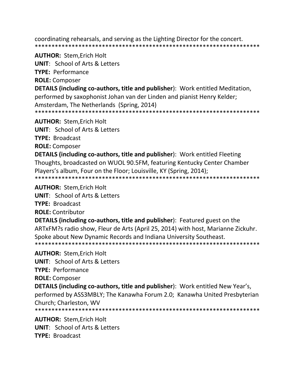coordinating rehearsals, and serving as the Lighting Director for the concert. 

**AUTHOR: Stem, Erich Holt** 

**UNIT:** School of Arts & Letters

**TYPE: Performance** 

**ROLE: Composer** 

DETAILS (including co-authors, title and publisher): Work entitled Meditation, performed by saxophonist Johan van der Linden and pianist Henry Kelder; Amsterdam, The Netherlands (Spring, 2014)

**AUTHOR: Stem, Erich Holt** 

**UNIT:** School of Arts & Letters

**TYPE: Broadcast** 

**ROLE: Composer** 

**DETAILS (including co-authors, title and publisher):** Work entitled Fleeting Thoughts, broadcasted on WUOL 90.5FM, featuring Kentucky Center Chamber Players's album, Four on the Floor; Louisville, KY (Spring, 2014); 

**AUTHOR: Stem, Erich Holt** 

**UNIT: School of Arts & Letters** 

**TYPE: Broadcast** 

**ROLE: Contributor** 

**DETAILS (including co-authors, title and publisher):** Featured guest on the ARTxFM?s radio show, Fleur de Arts (April 25, 2014) with host, Marianne Zickuhr. Spoke about New Dynamic Records and Indiana University Southeast. 

**AUTHOR: Stem, Erich Holt** 

**UNIT: School of Arts & Letters** 

**TYPE: Performance** 

**ROLE: Composer** 

DETAILS (including co-authors, title and publisher): Work entitled New Year's, performed by ASS3MBLY; The Kanawha Forum 2.0; Kanawha United Presbyterian Church: Charleston. WV

**AUTHOR: Stem, Erich Holt UNIT:** School of Arts & Letters **TYPE: Broadcast**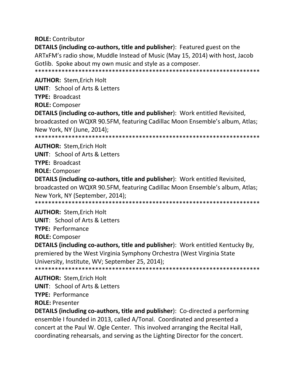**ROLE:** Contributor

**DETAILS (including co-authors, title and publisher)**: Featured guest on the ARTxFM's radio show, Muddle Instead of Music (May 15, 2014) with host, Jacob Gotlib. Spoke about my own music and style as a composer.

**AUTHOR: Stem, Erich Holt** 

**UNIT:** School of Arts & Letters

**TYPE: Broadcast** 

**ROLE:** Composer

**DETAILS (including co-authors, title and publisher):** Work entitled Revisited, broadcasted on WQXR 90.5FM, featuring Cadillac Moon Ensemble's album, Atlas; New York, NY (June, 2014);

**AUTHOR: Stem, Erich Holt UNIT:** School of Arts & Letters **TYPE: Broadcast** 

**ROLE: Composer** 

**DETAILS (including co-authors, title and publisher):** Work entitled Revisited, broadcasted on WQXR 90.5FM, featuring Cadillac Moon Ensemble's album, Atlas; New York, NY (September, 2014); 

**AUTHOR: Stem, Erich Holt UNIT: School of Arts & Letters TYPE: Performance ROLE: Composer** 

**DETAILS (including co-authors, title and publisher):** Work entitled Kentucky By, premiered by the West Virginia Symphony Orchestra (West Virginia State University, Institute, WV; September 25, 2014); 

**AUTHOR: Stem, Erich Holt UNIT:** School of Arts & Letters **TYPE: Performance ROLE: Presenter** 

**DETAILS (including co-authors, title and publisher):** Co-directed a performing ensemble I founded in 2013, called A/Tonal. Coordinated and presented a concert at the Paul W. Ogle Center. This involved arranging the Recital Hall, coordinating rehearsals, and serving as the Lighting Director for the concert.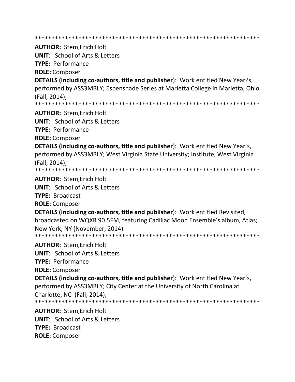**AUTHOR: Stem.Erich Holt UNIT:** School of Arts & Letters **TYPE: Performance ROLE: Composer DETAILS (including co-authors, title and publisher):** Work entitled New Year?s, performed by ASS3MBLY; Esbenshade Series at Marietta College in Marietta, Ohio (Fall. 2014): **AUTHOR: Stem, Erich Holt UNIT:** School of Arts & Letters **TYPE: Performance ROLE: Composer DETAILS (including co-authors, title and publisher):** Work entitled New Year's, performed by ASS3MBLY; West Virginia State University; Institute, West Virginia (Fall, 2014); **AUTHOR: Stem.Erich Holt UNIT: School of Arts & Letters TYPE: Broadcast ROLE: Composer DETAILS (including co-authors, title and publisher):** Work entitled Revisited, broadcasted on WQXR 90.5FM, featuring Cadillac Moon Ensemble's album, Atlas; New York, NY (November, 2014). **AUTHOR: Stem, Erich Holt UNIT:** School of Arts & Letters **TYPE: Performance ROLE: Composer DETAILS (including co-authors, title and publisher):** Work entitled New Year's, performed by ASS3MBLY; City Center at the University of North Carolina at Charlotte, NC (Fall, 2014); **AUTHOR: Stem.Erich Holt UNIT:** School of Arts & Letters **TYPE: Broadcast ROLE:** Composer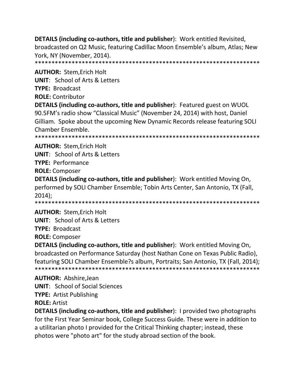**DETAILS (including co-authors, title and publisher**): Work entitled Revisited, broadcasted on Q2 Music, featuring Cadillac Moon Ensemble's album, Atlas; New York, NY (November, 2014).

\*\*\*\*\*\*\*\*\*\*\*\*\*\*\*\*\*\*\*\*\*\*\*\*\*\*\*\*\*\*\*\*\*\*\*\*\*\*\*\*\*\*\*\*\*\*\*\*\*\*\*\*\*\*\*\*\*\*\*\*\*\*\*\*\*\*\*

**AUTHOR:** Stem,Erich Holt

**UNIT**: School of Arts & Letters

**TYPE:** Broadcast

**ROLE:** Contributor

**DETAILS (including co-authors, title and publisher**): Featured guest on WUOL 90.5FM's radio show "Classical Music" (November 24, 2014) with host, Daniel Gilliam. Spoke about the upcoming New Dynamic Records release featuring SOLI Chamber Ensemble.

\*\*\*\*\*\*\*\*\*\*\*\*\*\*\*\*\*\*\*\*\*\*\*\*\*\*\*\*\*\*\*\*\*\*\*\*\*\*\*\*\*\*\*\*\*\*\*\*\*\*\*\*\*\*\*\*\*\*\*\*\*\*\*\*\*\*\*

**AUTHOR:** Stem,Erich Holt

**UNIT**: School of Arts & Letters

**TYPE:** Performance

**ROLE:** Composer

**DETAILS (including co-authors, title and publisher**): Work entitled Moving On, performed by SOLI Chamber Ensemble; Tobin Arts Center, San Antonio, TX (Fall, 2014);

\*\*\*\*\*\*\*\*\*\*\*\*\*\*\*\*\*\*\*\*\*\*\*\*\*\*\*\*\*\*\*\*\*\*\*\*\*\*\*\*\*\*\*\*\*\*\*\*\*\*\*\*\*\*\*\*\*\*\*\*\*\*\*\*\*\*\*

**AUTHOR:** Stem,Erich Holt

**UNIT**: School of Arts & Letters

**TYPE:** Broadcast

**ROLE:** Composer

**DETAILS (including co-authors, title and publisher**): Work entitled Moving On, broadcasted on Performance Saturday (host Nathan Cone on Texas Public Radio), featuring SOLI Chamber Ensemble?s album, Portraits; San Antonio, TX (Fall, 2014); \*\*\*\*\*\*\*\*\*\*\*\*\*\*\*\*\*\*\*\*\*\*\*\*\*\*\*\*\*\*\*\*\*\*\*\*\*\*\*\*\*\*\*\*\*\*\*\*\*\*\*\*\*\*\*\*\*\*\*\*\*\*\*\*\*\*\*

**AUTHOR:** Abshire,Jean **UNIT**: School of Social Sciences **TYPE:** Artist Publishing

**ROLE:** Artist

**DETAILS (including co-authors, title and publisher**): I provided two photographs for the First Year Seminar book, College Success Guide. These were in addition to a utilitarian photo I provided for the Critical Thinking chapter; instead, these photos were "photo art" for the study abroad section of the book.